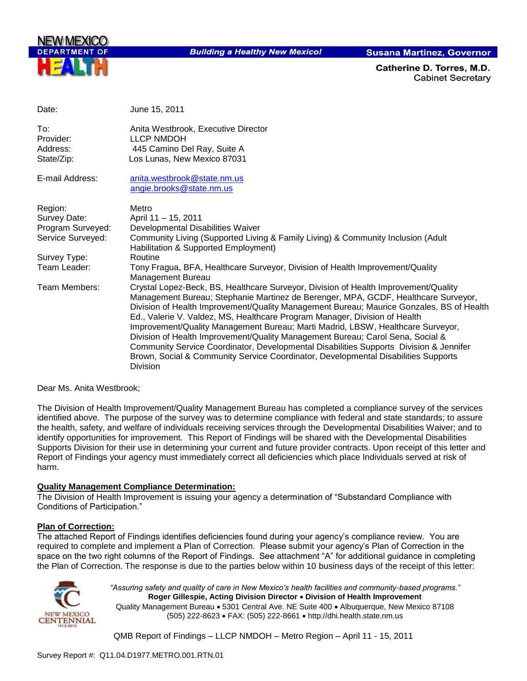

**Building a Healthy New Mexico!** 

**Susana Martinez, Governor** 

Catherine D. Torres. M.D. **Cabinet Secretary** 

| Date:                                      | June 15, 2011                                                                                                                                                                                                                                                                                                                                                                                                                                                                                                                                                                                                                                                                                                               |
|--------------------------------------------|-----------------------------------------------------------------------------------------------------------------------------------------------------------------------------------------------------------------------------------------------------------------------------------------------------------------------------------------------------------------------------------------------------------------------------------------------------------------------------------------------------------------------------------------------------------------------------------------------------------------------------------------------------------------------------------------------------------------------------|
| To:<br>Provider:<br>Address:<br>State/Zip: | Anita Westbrook, Executive Director<br><b>LLCP NMDOH</b><br>445 Camino Del Ray, Suite A<br>Los Lunas, New Mexico 87031                                                                                                                                                                                                                                                                                                                                                                                                                                                                                                                                                                                                      |
| E-mail Address:                            | anita.westbrook@state.nm.us<br>angie.brooks@state.nm.us                                                                                                                                                                                                                                                                                                                                                                                                                                                                                                                                                                                                                                                                     |
| Region:                                    | Metro                                                                                                                                                                                                                                                                                                                                                                                                                                                                                                                                                                                                                                                                                                                       |
| Survey Date:                               | April 11 - 15, 2011                                                                                                                                                                                                                                                                                                                                                                                                                                                                                                                                                                                                                                                                                                         |
| Program Surveyed:                          | Developmental Disabilities Waiver                                                                                                                                                                                                                                                                                                                                                                                                                                                                                                                                                                                                                                                                                           |
| Service Surveyed:                          | Community Living (Supported Living & Family Living) & Community Inclusion (Adult<br>Habilitation & Supported Employment)                                                                                                                                                                                                                                                                                                                                                                                                                                                                                                                                                                                                    |
| Survey Type:                               | Routine                                                                                                                                                                                                                                                                                                                                                                                                                                                                                                                                                                                                                                                                                                                     |
| Team Leader:                               | Tony Fragua, BFA, Healthcare Surveyor, Division of Health Improvement/Quality<br><b>Management Bureau</b>                                                                                                                                                                                                                                                                                                                                                                                                                                                                                                                                                                                                                   |
| Team Members:                              | Crystal Lopez-Beck, BS, Healthcare Surveyor, Division of Health Improvement/Quality<br>Management Bureau; Stephanie Martinez de Berenger, MPA, GCDF, Healthcare Surveyor,<br>Division of Health Improvement/Quality Management Bureau; Maurice Gonzales, BS of Health<br>Ed., Valerie V. Valdez, MS, Healthcare Program Manager, Division of Health<br>Improvement/Quality Management Bureau; Marti Madrid, LBSW, Healthcare Surveyor,<br>Division of Health Improvement/Quality Management Bureau; Carol Sena, Social &<br>Community Service Coordinator, Developmental Disabilities Supports Division & Jennifer<br>Brown, Social & Community Service Coordinator, Developmental Disabilities Supports<br><b>Division</b> |

Dear Ms. Anita Westbrook;

The Division of Health Improvement/Quality Management Bureau has completed a compliance survey of the services identified above. The purpose of the survey was to determine compliance with federal and state standards; to assure the health, safety, and welfare of individuals receiving services through the Developmental Disabilities Waiver; and to identify opportunities for improvement. This Report of Findings will be shared with the Developmental Disabilities Supports Division for their use in determining your current and future provider contracts. Upon receipt of this letter and Report of Findings your agency must immediately correct all deficiencies which place Individuals served at risk of harm.

## **Quality Management Compliance Determination:**

The Division of Health Improvement is issuing your agency a determination of "Substandard Compliance with Conditions of Participation."

#### **Plan of Correction:**

The attached Report of Findings identifies deficiencies found during your agency"s compliance review. You are required to complete and implement a Plan of Correction. Please submit your agency"s Plan of Correction in the space on the two right columns of the Report of Findings. See attachment "A" for additional guidance in completing the Plan of Correction. The response is due to the parties below within 10 business days of the receipt of this letter:



*"Assuring safety and quality of care in New Mexico's health facilities and community-based programs."* **Roger Gillespie, Acting Division Director Division of Health Improvement**  Quality Management Bureau • 5301 Central Ave. NE Suite 400 • Albuquerque, New Mexico 87108 (505) 222-8623 FAX: (505) 222-8661 http://dhi.health.state.nm.us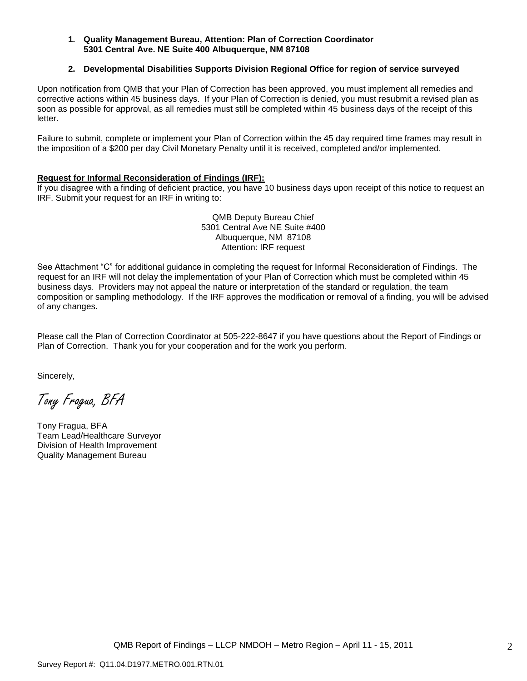#### **1. Quality Management Bureau, Attention: Plan of Correction Coordinator 5301 Central Ave. NE Suite 400 Albuquerque, NM 87108**

#### **2. Developmental Disabilities Supports Division Regional Office for region of service surveyed**

Upon notification from QMB that your Plan of Correction has been approved, you must implement all remedies and corrective actions within 45 business days. If your Plan of Correction is denied, you must resubmit a revised plan as soon as possible for approval, as all remedies must still be completed within 45 business days of the receipt of this letter.

Failure to submit, complete or implement your Plan of Correction within the 45 day required time frames may result in the imposition of a \$200 per day Civil Monetary Penalty until it is received, completed and/or implemented.

#### **Request for Informal Reconsideration of Findings (IRF):**

If you disagree with a finding of deficient practice, you have 10 business days upon receipt of this notice to request an IRF. Submit your request for an IRF in writing to:

> QMB Deputy Bureau Chief 5301 Central Ave NE Suite #400 Albuquerque, NM 87108 Attention: IRF request

See Attachment "C" for additional guidance in completing the request for Informal Reconsideration of Findings. The request for an IRF will not delay the implementation of your Plan of Correction which must be completed within 45 business days. Providers may not appeal the nature or interpretation of the standard or regulation, the team composition or sampling methodology. If the IRF approves the modification or removal of a finding, you will be advised of any changes.

Please call the Plan of Correction Coordinator at 505-222-8647 if you have questions about the Report of Findings or Plan of Correction. Thank you for your cooperation and for the work you perform.

Sincerely,

Tony Fragua, BFA

Tony Fragua, BFA Team Lead/Healthcare Surveyor Division of Health Improvement Quality Management Bureau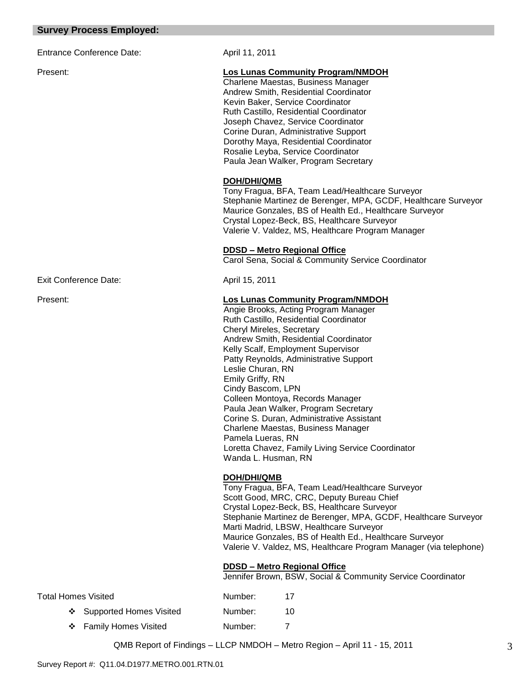#### **Survey Process Employed:**

Entrance Conference Date: April 11, 2011

#### Present: **Los Lunas Community Program/NMDOH**

Charlene Maestas, Business Manager Andrew Smith, Residential Coordinator Kevin Baker, Service Coordinator Ruth Castillo, Residential Coordinator Joseph Chavez, Service Coordinator Corine Duran, Administrative Support Dorothy Maya, Residential Coordinator Rosalie Leyba, Service Coordinator Paula Jean Walker, Program Secretary

#### **DOH/DHI/QMB**

Tony Fragua, BFA, Team Lead/Healthcare Surveyor Stephanie Martinez de Berenger, MPA, GCDF, Healthcare Surveyor Maurice Gonzales, BS of Health Ed., Healthcare Surveyor Crystal Lopez-Beck, BS, Healthcare Surveyor Valerie V. Valdez, MS, Healthcare Program Manager

#### **DDSD – Metro Regional Office**

Carol Sena, Social & Community Service Coordinator

Exit Conference Date: April 15, 2011

## Present: **Los Lunas Community Program/NMDOH**

 Angie Brooks, Acting Program Manager Ruth Castillo, Residential Coordinator Cheryl Mireles, Secretary Andrew Smith, Residential Coordinator Kelly Scalf, Employment Supervisor Patty Reynolds, Administrative Support Leslie Churan, RN Emily Griffy, RN Cindy Bascom, LPN Colleen Montoya, Records Manager Paula Jean Walker, Program Secretary Corine S. Duran, Administrative Assistant Charlene Maestas, Business Manager Pamela Lueras, RN Loretta Chavez, Family Living Service Coordinator Wanda L. Husman, RN

## **DOH/DHI/QMB**

Tony Fragua, BFA, Team Lead/Healthcare Surveyor Scott Good, MRC, CRC, Deputy Bureau Chief Crystal Lopez-Beck, BS, Healthcare Surveyor Stephanie Martinez de Berenger, MPA, GCDF, Healthcare Surveyor Marti Madrid, LBSW, Healthcare Surveyor Maurice Gonzales, BS of Health Ed., Healthcare Surveyor Valerie V. Valdez, MS, Healthcare Program Manager (via telephone)

## **DDSD – Metro Regional Office**

Jennifer Brown, BSW, Social & Community Service Coordinator

| Total Homes Visited |                           | Number: | 17 |
|---------------------|---------------------------|---------|----|
|                     | ❖ Supported Homes Visited | Number: | 10 |
|                     | ❖ Family Homes Visited    | Number: |    |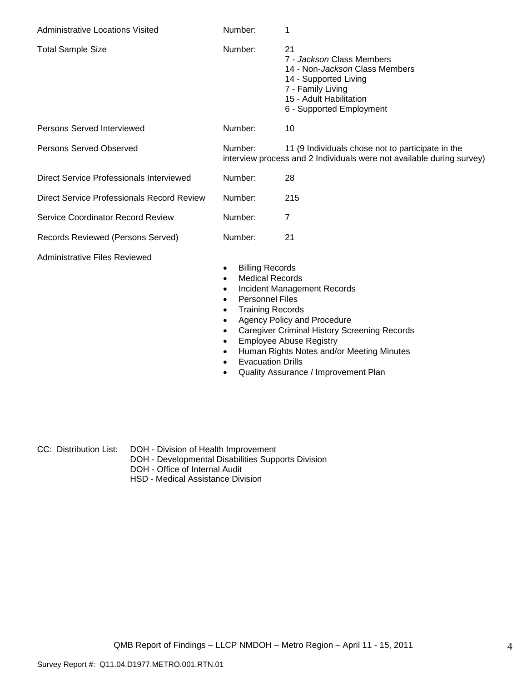| <b>Administrative Locations Visited</b>    | Number:            | 1                                                                                                                                                                              |
|--------------------------------------------|--------------------|--------------------------------------------------------------------------------------------------------------------------------------------------------------------------------|
| <b>Total Sample Size</b>                   | Number:            | 21<br>7 - Jackson Class Members<br>14 - Non- <i>Jackson</i> Class Members<br>14 - Supported Living<br>7 - Family Living<br>15 - Adult Habilitation<br>6 - Supported Employment |
| Persons Served Interviewed                 | Number:            | 10                                                                                                                                                                             |
| Persons Served Observed                    | Number:            | 11 (9 Individuals chose not to participate in the<br>interview process and 2 Individuals were not available during survey)                                                     |
| Direct Service Professionals Interviewed   | Number:            | 28                                                                                                                                                                             |
| Direct Service Professionals Record Review | Number:            | 215                                                                                                                                                                            |
| Service Coordinator Record Review          | Number:            | 7                                                                                                                                                                              |
| Records Reviewed (Persons Served)          | Number:            | 21                                                                                                                                                                             |
| Administrative Files Reviewed              | Dillia a Dalessale |                                                                                                                                                                                |

- Billing Records
- Medical Records
- Incident Management Records
- Personnel Files
- Training Records
- Agency Policy and Procedure
- Caregiver Criminal History Screening Records
- **Employee Abuse Registry**
- Human Rights Notes and/or Meeting Minutes
- **•** Evacuation Drills
- Quality Assurance / Improvement Plan

CC: Distribution List: DOH - Division of Health Improvement

- DOH Developmental Disabilities Supports Division
- DOH Office of Internal Audit
- HSD Medical Assistance Division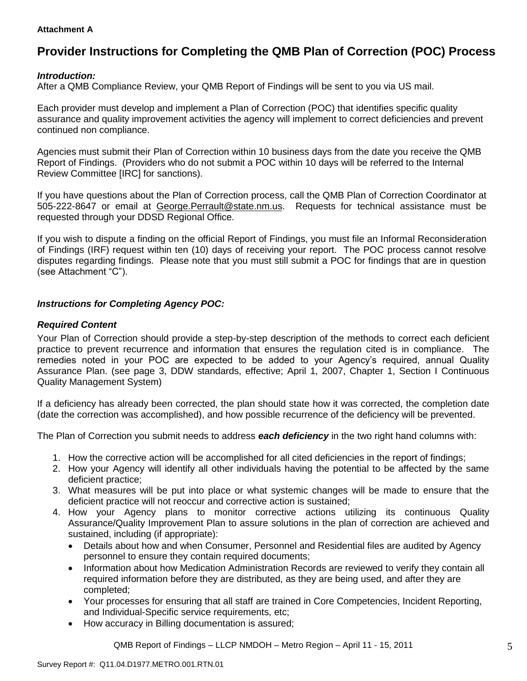## **Attachment A**

# **Provider Instructions for Completing the QMB Plan of Correction (POC) Process**

## *Introduction:*

After a QMB Compliance Review, your QMB Report of Findings will be sent to you via US mail.

Each provider must develop and implement a Plan of Correction (POC) that identifies specific quality assurance and quality improvement activities the agency will implement to correct deficiencies and prevent continued non compliance.

Agencies must submit their Plan of Correction within 10 business days from the date you receive the QMB Report of Findings. (Providers who do not submit a POC within 10 days will be referred to the Internal Review Committee [IRC] for sanctions).

If you have questions about the Plan of Correction process, call the QMB Plan of Correction Coordinator at 505-222-8647 or email at George.Perrault@state.nm.us. Requests for technical assistance must be requested through your DDSD Regional Office.

If you wish to dispute a finding on the official Report of Findings, you must file an Informal Reconsideration of Findings (IRF) request within ten (10) days of receiving your report. The POC process cannot resolve disputes regarding findings. Please note that you must still submit a POC for findings that are in question (see Attachment "C").

## *Instructions for Completing Agency POC:*

## *Required Content*

Your Plan of Correction should provide a step-by-step description of the methods to correct each deficient practice to prevent recurrence and information that ensures the regulation cited is in compliance. The remedies noted in your POC are expected to be added to your Agency"s required, annual Quality Assurance Plan. (see page 3, DDW standards, effective; April 1, 2007, Chapter 1, Section I Continuous Quality Management System)

If a deficiency has already been corrected, the plan should state how it was corrected, the completion date (date the correction was accomplished), and how possible recurrence of the deficiency will be prevented.

The Plan of Correction you submit needs to address *each deficiency* in the two right hand columns with:

- 1. How the corrective action will be accomplished for all cited deficiencies in the report of findings;
- 2. How your Agency will identify all other individuals having the potential to be affected by the same deficient practice;
- 3. What measures will be put into place or what systemic changes will be made to ensure that the deficient practice will not reoccur and corrective action is sustained;
- 4. How your Agency plans to monitor corrective actions utilizing its continuous Quality Assurance/Quality Improvement Plan to assure solutions in the plan of correction are achieved and sustained, including (if appropriate):
	- Details about how and when Consumer, Personnel and Residential files are audited by Agency personnel to ensure they contain required documents;
	- Information about how Medication Administration Records are reviewed to verify they contain all required information before they are distributed, as they are being used, and after they are completed;
	- Your processes for ensuring that all staff are trained in Core Competencies, Incident Reporting, and Individual-Specific service requirements, etc;
	- How accuracy in Billing documentation is assured;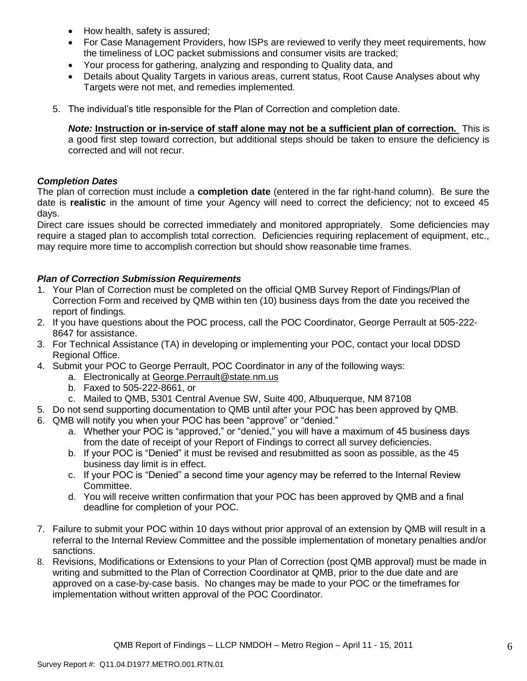- How health, safety is assured;
- For Case Management Providers, how ISPs are reviewed to verify they meet requirements, how the timeliness of LOC packet submissions and consumer visits are tracked;
- Your process for gathering, analyzing and responding to Quality data, and
- Details about Quality Targets in various areas, current status, Root Cause Analyses about why Targets were not met, and remedies implemented.
- 5. The individual"s title responsible for the Plan of Correction and completion date.

*Note:* **Instruction or in-service of staff alone may not be a sufficient plan of correction.** This is a good first step toward correction, but additional steps should be taken to ensure the deficiency is corrected and will not recur.

## *Completion Dates*

The plan of correction must include a **completion date** (entered in the far right-hand column). Be sure the date is **realistic** in the amount of time your Agency will need to correct the deficiency; not to exceed 45 days.

Direct care issues should be corrected immediately and monitored appropriately. Some deficiencies may require a staged plan to accomplish total correction. Deficiencies requiring replacement of equipment, etc., may require more time to accomplish correction but should show reasonable time frames.

## *Plan of Correction Submission Requirements*

- 1. Your Plan of Correction must be completed on the official QMB Survey Report of Findings/Plan of Correction Form and received by QMB within ten (10) business days from the date you received the report of findings.
- 2. If you have questions about the POC process, call the POC Coordinator, George Perrault at 505-222- 8647 for assistance.
- 3. For Technical Assistance (TA) in developing or implementing your POC, contact your local DDSD Regional Office.
- 4. Submit your POC to George Perrault, POC Coordinator in any of the following ways:
	- a. Electronically at [George.Perrault@state.nm.us](mailto:George.Perrault@state.nm.us)
	- b. Faxed to 505-222-8661, or
	- c. Mailed to QMB, 5301 Central Avenue SW, Suite 400, Albuquerque, NM 87108
- 5. Do not send supporting documentation to QMB until after your POC has been approved by QMB.
- 6. QMB will notify you when your POC has been "approve" or "denied."
	- a. Whether your POC is "approved," or "denied," you will have a maximum of 45 business days from the date of receipt of your Report of Findings to correct all survey deficiencies.
	- b. If your POC is "Denied" it must be revised and resubmitted as soon as possible, as the 45 business day limit is in effect.
	- c. If your POC is "Denied" a second time your agency may be referred to the Internal Review Committee.
	- d. You will receive written confirmation that your POC has been approved by QMB and a final deadline for completion of your POC.
- 7. Failure to submit your POC within 10 days without prior approval of an extension by QMB will result in a referral to the Internal Review Committee and the possible implementation of monetary penalties and/or sanctions.
- 8. Revisions, Modifications or Extensions to your Plan of Correction (post QMB approval) must be made in writing and submitted to the Plan of Correction Coordinator at QMB, prior to the due date and are approved on a case-by-case basis. No changes may be made to your POC or the timeframes for implementation without written approval of the POC Coordinator.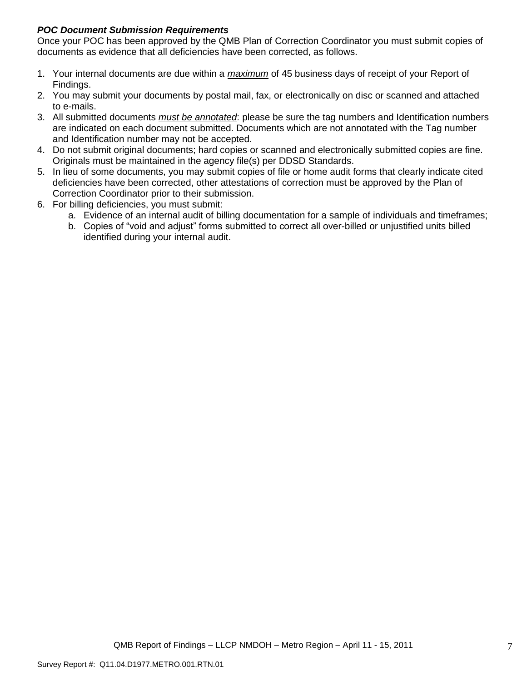## *POC Document Submission Requirements*

Once your POC has been approved by the QMB Plan of Correction Coordinator you must submit copies of documents as evidence that all deficiencies have been corrected, as follows.

- 1. Your internal documents are due within a *maximum* of 45 business days of receipt of your Report of Findings.
- 2. You may submit your documents by postal mail, fax, or electronically on disc or scanned and attached to e-mails.
- 3. All submitted documents *must be annotated*: please be sure the tag numbers and Identification numbers are indicated on each document submitted. Documents which are not annotated with the Tag number and Identification number may not be accepted.
- 4. Do not submit original documents; hard copies or scanned and electronically submitted copies are fine. Originals must be maintained in the agency file(s) per DDSD Standards.
- 5. In lieu of some documents, you may submit copies of file or home audit forms that clearly indicate cited deficiencies have been corrected, other attestations of correction must be approved by the Plan of Correction Coordinator prior to their submission.
- 6. For billing deficiencies, you must submit:
	- a. Evidence of an internal audit of billing documentation for a sample of individuals and timeframes;
	- b. Copies of "void and adjust" forms submitted to correct all over-billed or unjustified units billed identified during your internal audit.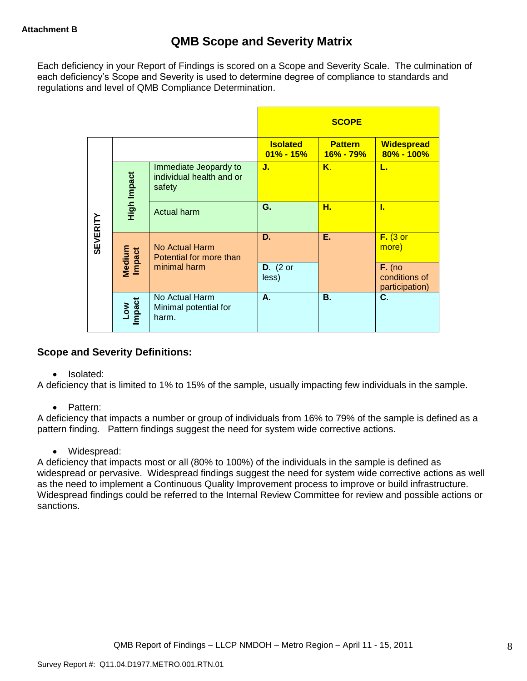Each deficiency in your Report of Findings is scored on a Scope and Severity Scale. The culmination of each deficiency"s Scope and Severity is used to determine degree of compliance to standards and regulations and level of QMB Compliance Determination.

|                 |                      |                                                             |                                  | <b>SCOPE</b>                |                                             |
|-----------------|----------------------|-------------------------------------------------------------|----------------------------------|-----------------------------|---------------------------------------------|
|                 |                      |                                                             | <b>Isolated</b><br>$01\% - 15\%$ | <b>Pattern</b><br>16% - 79% | <b>Widespread</b><br>$80\% - 100\%$         |
|                 | High Impact          | Immediate Jeopardy to<br>individual health and or<br>safety | J.                               | Κ.                          | L.                                          |
|                 |                      | <b>Actual harm</b>                                          | G.                               | н.                          | L                                           |
| <b>SEVERITY</b> | Medium<br>Impact     | No Actual Harm<br>Potential for more than                   | D.                               | Е.                          | $F.$ (3 or<br>more)                         |
|                 |                      | minimal harm                                                | $D.$ (2 or<br>less)              |                             | $F.$ (no<br>conditions of<br>participation) |
|                 | <b>Impact</b><br>Low | No Actual Harm<br>Minimal potential for<br>harm.            | А.                               | <b>B.</b>                   | C.                                          |

## **Scope and Severity Definitions:**

• Isolated:

A deficiency that is limited to 1% to 15% of the sample, usually impacting few individuals in the sample.

• Pattern:

A deficiency that impacts a number or group of individuals from 16% to 79% of the sample is defined as a pattern finding. Pattern findings suggest the need for system wide corrective actions.

• Widespread:

A deficiency that impacts most or all (80% to 100%) of the individuals in the sample is defined as widespread or pervasive. Widespread findings suggest the need for system wide corrective actions as well as the need to implement a Continuous Quality Improvement process to improve or build infrastructure. Widespread findings could be referred to the Internal Review Committee for review and possible actions or sanctions.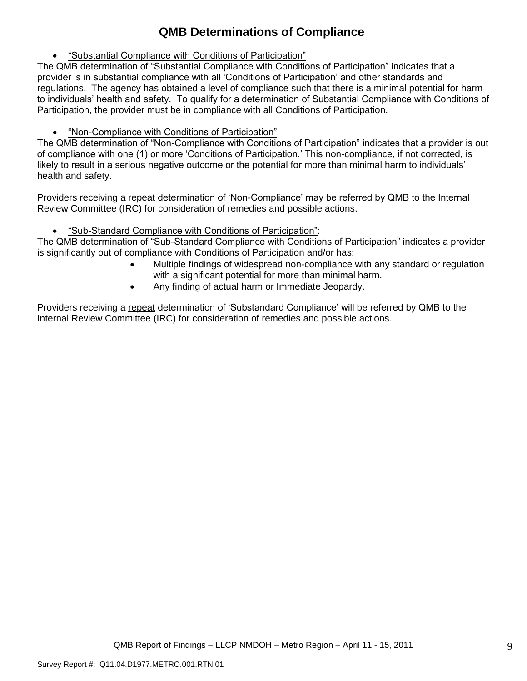# **QMB Determinations of Compliance**

"Substantial Compliance with Conditions of Participation"

The QMB determination of "Substantial Compliance with Conditions of Participation" indicates that a provider is in substantial compliance with all "Conditions of Participation" and other standards and regulations. The agency has obtained a level of compliance such that there is a minimal potential for harm to individuals" health and safety. To qualify for a determination of Substantial Compliance with Conditions of Participation, the provider must be in compliance with all Conditions of Participation.

"Non-Compliance with Conditions of Participation"

The QMB determination of "Non-Compliance with Conditions of Participation" indicates that a provider is out of compliance with one (1) or more "Conditions of Participation." This non-compliance, if not corrected, is likely to result in a serious negative outcome or the potential for more than minimal harm to individuals" health and safety.

Providers receiving a repeat determination of 'Non-Compliance' may be referred by QMB to the Internal Review Committee (IRC) for consideration of remedies and possible actions.

"Sub-Standard Compliance with Conditions of Participation":

The QMB determination of "Sub-Standard Compliance with Conditions of Participation" indicates a provider is significantly out of compliance with Conditions of Participation and/or has:

- Multiple findings of widespread non-compliance with any standard or regulation with a significant potential for more than minimal harm.
- Any finding of actual harm or Immediate Jeopardy.

Providers receiving a repeat determination of 'Substandard Compliance' will be referred by QMB to the Internal Review Committee (IRC) for consideration of remedies and possible actions.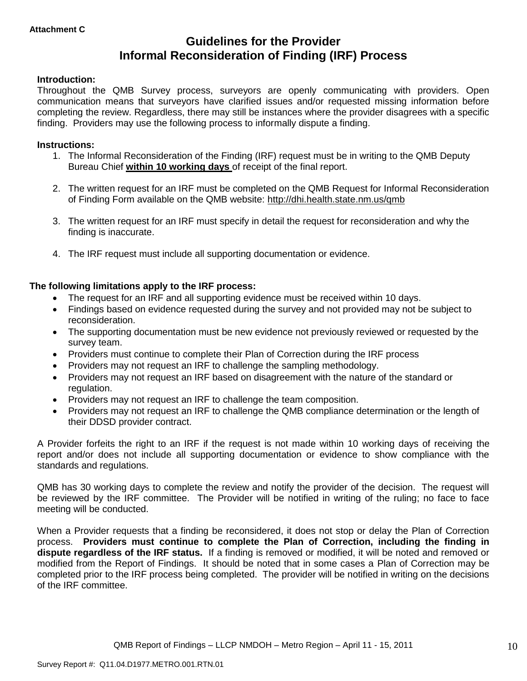# **Guidelines for the Provider Informal Reconsideration of Finding (IRF) Process**

## **Introduction:**

Throughout the QMB Survey process, surveyors are openly communicating with providers. Open communication means that surveyors have clarified issues and/or requested missing information before completing the review. Regardless, there may still be instances where the provider disagrees with a specific finding. Providers may use the following process to informally dispute a finding.

## **Instructions:**

- 1. The Informal Reconsideration of the Finding (IRF) request must be in writing to the QMB Deputy Bureau Chief **within 10 working days** of receipt of the final report.
- 2. The written request for an IRF must be completed on the QMB Request for Informal Reconsideration of Finding Form available on the QMB website:<http://dhi.health.state.nm.us/qmb>
- 3. The written request for an IRF must specify in detail the request for reconsideration and why the finding is inaccurate.
- 4. The IRF request must include all supporting documentation or evidence.

## **The following limitations apply to the IRF process:**

- The request for an IRF and all supporting evidence must be received within 10 days.
- Findings based on evidence requested during the survey and not provided may not be subject to reconsideration.
- The supporting documentation must be new evidence not previously reviewed or requested by the survey team.
- Providers must continue to complete their Plan of Correction during the IRF process
- Providers may not request an IRF to challenge the sampling methodology.
- Providers may not request an IRF based on disagreement with the nature of the standard or regulation.
- Providers may not request an IRF to challenge the team composition.
- Providers may not request an IRF to challenge the QMB compliance determination or the length of their DDSD provider contract.

A Provider forfeits the right to an IRF if the request is not made within 10 working days of receiving the report and/or does not include all supporting documentation or evidence to show compliance with the standards and regulations.

QMB has 30 working days to complete the review and notify the provider of the decision. The request will be reviewed by the IRF committee. The Provider will be notified in writing of the ruling; no face to face meeting will be conducted.

When a Provider requests that a finding be reconsidered, it does not stop or delay the Plan of Correction process. **Providers must continue to complete the Plan of Correction, including the finding in dispute regardless of the IRF status.** If a finding is removed or modified, it will be noted and removed or modified from the Report of Findings. It should be noted that in some cases a Plan of Correction may be completed prior to the IRF process being completed. The provider will be notified in writing on the decisions of the IRF committee.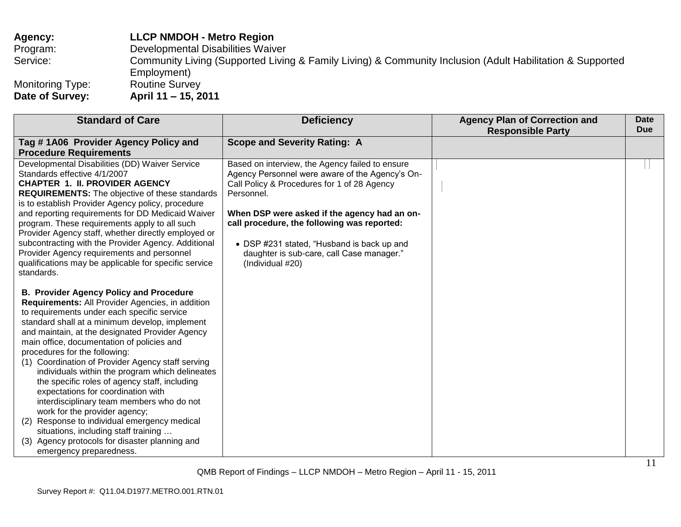## **Agency: LLCP NMDOH - Metro Region** Program: Developmental Disabilities Waiver Service: Community Living (Supported Living & Family Living) & Community Inclusion (Adult Habilitation & Supported Employment)<br>Routine Survey Monitoring Type:<br>Date of Survey: **Date of Survey: April 11 – 15, 2011**

| <b>Standard of Care</b>                                                                                                                                                                                                                                                                                                                                                                                                                                                                                                                                                                                                                                                                                                                                                                       | <b>Deficiency</b>                                                                                                                                                                                                                                                                                                                                                             | <b>Agency Plan of Correction and</b><br><b>Responsible Party</b> | <b>Date</b><br><b>Due</b> |
|-----------------------------------------------------------------------------------------------------------------------------------------------------------------------------------------------------------------------------------------------------------------------------------------------------------------------------------------------------------------------------------------------------------------------------------------------------------------------------------------------------------------------------------------------------------------------------------------------------------------------------------------------------------------------------------------------------------------------------------------------------------------------------------------------|-------------------------------------------------------------------------------------------------------------------------------------------------------------------------------------------------------------------------------------------------------------------------------------------------------------------------------------------------------------------------------|------------------------------------------------------------------|---------------------------|
| Tag #1A06 Provider Agency Policy and                                                                                                                                                                                                                                                                                                                                                                                                                                                                                                                                                                                                                                                                                                                                                          | <b>Scope and Severity Rating: A</b>                                                                                                                                                                                                                                                                                                                                           |                                                                  |                           |
| <b>Procedure Requirements</b>                                                                                                                                                                                                                                                                                                                                                                                                                                                                                                                                                                                                                                                                                                                                                                 |                                                                                                                                                                                                                                                                                                                                                                               |                                                                  |                           |
| Developmental Disabilities (DD) Waiver Service<br>Standards effective 4/1/2007<br><b>CHAPTER 1. II. PROVIDER AGENCY</b><br><b>REQUIREMENTS:</b> The objective of these standards<br>is to establish Provider Agency policy, procedure<br>and reporting requirements for DD Medicaid Waiver<br>program. These requirements apply to all such<br>Provider Agency staff, whether directly employed or<br>subcontracting with the Provider Agency. Additional<br>Provider Agency requirements and personnel<br>qualifications may be applicable for specific service<br>standards.                                                                                                                                                                                                                | Based on interview, the Agency failed to ensure<br>Agency Personnel were aware of the Agency's On-<br>Call Policy & Procedures for 1 of 28 Agency<br>Personnel.<br>When DSP were asked if the agency had an on-<br>call procedure, the following was reported:<br>• DSP #231 stated, "Husband is back up and<br>daughter is sub-care, call Case manager."<br>(Individual #20) |                                                                  |                           |
| <b>B. Provider Agency Policy and Procedure</b><br>Requirements: All Provider Agencies, in addition<br>to requirements under each specific service<br>standard shall at a minimum develop, implement<br>and maintain, at the designated Provider Agency<br>main office, documentation of policies and<br>procedures for the following:<br>(1) Coordination of Provider Agency staff serving<br>individuals within the program which delineates<br>the specific roles of agency staff, including<br>expectations for coordination with<br>interdisciplinary team members who do not<br>work for the provider agency;<br>Response to individual emergency medical<br>(2)<br>situations, including staff training<br>Agency protocols for disaster planning and<br>(3)<br>emergency preparedness. |                                                                                                                                                                                                                                                                                                                                                                               |                                                                  |                           |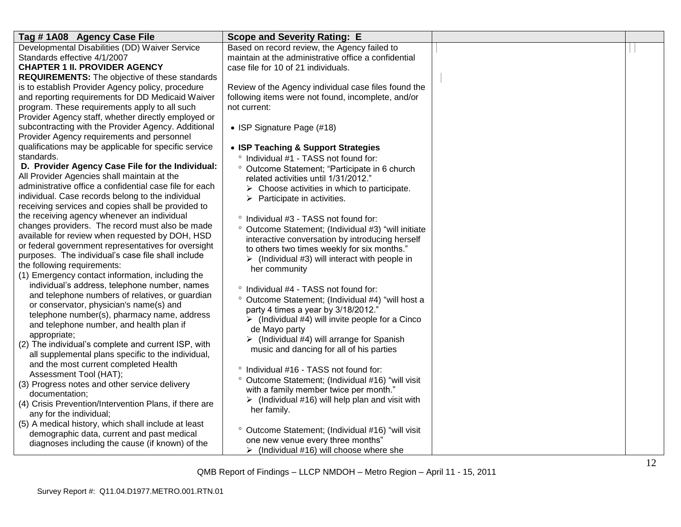| Tag #1A08 Agency Case File                                                                     | <b>Scope and Severity Rating: E</b>                             |  |
|------------------------------------------------------------------------------------------------|-----------------------------------------------------------------|--|
| Developmental Disabilities (DD) Waiver Service                                                 | Based on record review, the Agency failed to                    |  |
| Standards effective 4/1/2007                                                                   | maintain at the administrative office a confidential            |  |
| <b>CHAPTER 1 II. PROVIDER AGENCY</b>                                                           | case file for 10 of 21 individuals.                             |  |
| <b>REQUIREMENTS:</b> The objective of these standards                                          |                                                                 |  |
| is to establish Provider Agency policy, procedure                                              | Review of the Agency individual case files found the            |  |
| and reporting requirements for DD Medicaid Waiver                                              | following items were not found, incomplete, and/or              |  |
| program. These requirements apply to all such                                                  | not current:                                                    |  |
| Provider Agency staff, whether directly employed or                                            |                                                                 |  |
| subcontracting with the Provider Agency. Additional                                            | • ISP Signature Page (#18)                                      |  |
| Provider Agency requirements and personnel                                                     |                                                                 |  |
| qualifications may be applicable for specific service                                          | • ISP Teaching & Support Strategies                             |  |
| standards.                                                                                     | ° Individual #1 - TASS not found for:                           |  |
| D. Provider Agency Case File for the Individual:                                               | ° Outcome Statement; "Participate in 6 church                   |  |
| All Provider Agencies shall maintain at the                                                    | related activities until 1/31/2012."                            |  |
| administrative office a confidential case file for each                                        | $\triangleright$ Choose activities in which to participate.     |  |
| individual. Case records belong to the individual                                              | $\triangleright$ Participate in activities.                     |  |
| receiving services and copies shall be provided to                                             |                                                                 |  |
| the receiving agency whenever an individual<br>changes providers. The record must also be made | ° Individual #3 - TASS not found for:                           |  |
| available for review when requested by DOH, HSD                                                | ° Outcome Statement; (Individual #3) "will initiate             |  |
| or federal government representatives for oversight                                            | interactive conversation by introducing herself                 |  |
| purposes. The individual's case file shall include                                             | to others two times weekly for six months."                     |  |
| the following requirements:                                                                    | $\triangleright$ (Individual #3) will interact with people in   |  |
| (1) Emergency contact information, including the                                               | her community                                                   |  |
| individual's address, telephone number, names                                                  |                                                                 |  |
| and telephone numbers of relatives, or guardian                                                | ° Individual #4 - TASS not found for:                           |  |
| or conservator, physician's name(s) and                                                        | ° Outcome Statement; (Individual #4) "will host a               |  |
| telephone number(s), pharmacy name, address                                                    | party 4 times a year by 3/18/2012."                             |  |
| and telephone number, and health plan if                                                       | $\triangleright$ (Individual #4) will invite people for a Cinco |  |
| appropriate;                                                                                   | de Mayo party                                                   |  |
| (2) The individual's complete and current ISP, with                                            | $\triangleright$ (Individual #4) will arrange for Spanish       |  |
| all supplemental plans specific to the individual,                                             | music and dancing for all of his parties                        |  |
| and the most current completed Health                                                          |                                                                 |  |
| Assessment Tool (HAT);                                                                         | ° Individual #16 - TASS not found for:                          |  |
| (3) Progress notes and other service delivery                                                  | ° Outcome Statement; (Individual #16) "will visit               |  |
| documentation;                                                                                 | with a family member twice per month."                          |  |
| (4) Crisis Prevention/Intervention Plans, if there are                                         | $\triangleright$ (Individual #16) will help plan and visit with |  |
| any for the individual;                                                                        | her family.                                                     |  |
| (5) A medical history, which shall include at least                                            |                                                                 |  |
| demographic data, current and past medical                                                     | ° Outcome Statement; (Individual #16) "will visit               |  |
| diagnoses including the cause (if known) of the                                                | one new venue every three months"                               |  |
|                                                                                                | $\triangleright$ (Individual #16) will choose where she         |  |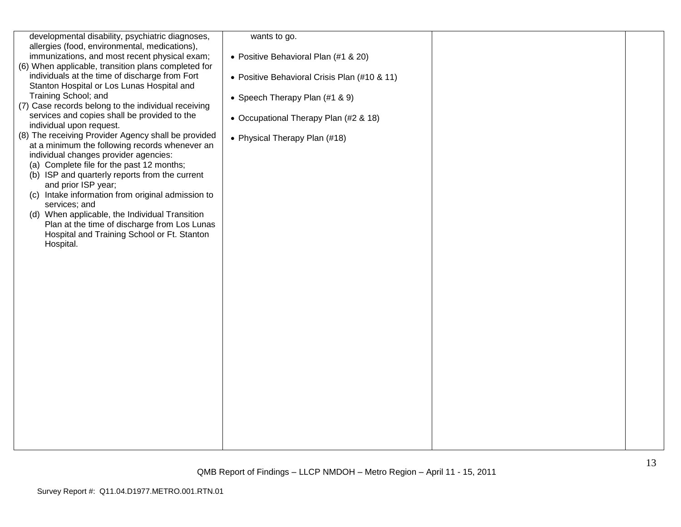| developmental disability, psychiatric diagnoses,<br>allergies (food, environmental, medications),<br>immunizations, and most recent physical exam;<br>(6) When applicable, transition plans completed for<br>individuals at the time of discharge from Fort<br>Stanton Hospital or Los Lunas Hospital and<br>Training School; and<br>(7) Case records belong to the individual receiving<br>services and copies shall be provided to the<br>individual upon request.<br>(8) The receiving Provider Agency shall be provided<br>at a minimum the following records whenever an<br>individual changes provider agencies:<br>(a) Complete file for the past 12 months;<br>(b) ISP and quarterly reports from the current<br>and prior ISP year;<br>(c) Intake information from original admission to<br>services; and<br>(d) When applicable, the Individual Transition<br>Plan at the time of discharge from Los Lunas<br>Hospital and Training School or Ft. Stanton<br>Hospital. | wants to go.<br>• Positive Behavioral Plan (#1 & 20)<br>• Positive Behavioral Crisis Plan (#10 & 11)<br>• Speech Therapy Plan (#1 & 9)<br>• Occupational Therapy Plan (#2 & 18)<br>• Physical Therapy Plan (#18) |  |
|----------------------------------------------------------------------------------------------------------------------------------------------------------------------------------------------------------------------------------------------------------------------------------------------------------------------------------------------------------------------------------------------------------------------------------------------------------------------------------------------------------------------------------------------------------------------------------------------------------------------------------------------------------------------------------------------------------------------------------------------------------------------------------------------------------------------------------------------------------------------------------------------------------------------------------------------------------------------------------|------------------------------------------------------------------------------------------------------------------------------------------------------------------------------------------------------------------|--|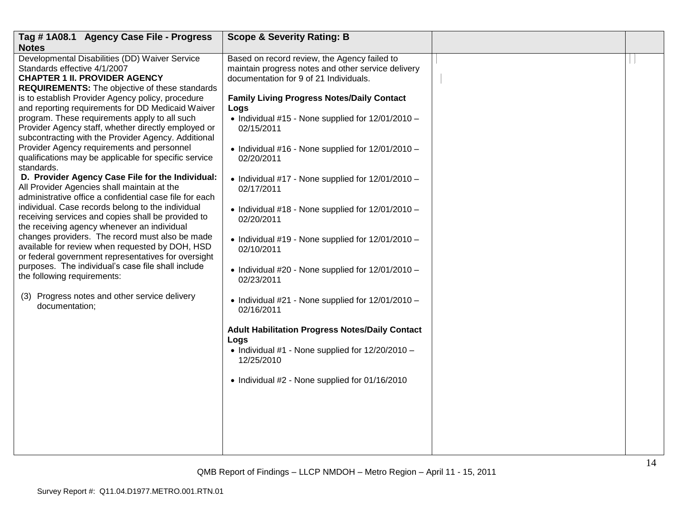| Tag #1A08.1 Agency Case File - Progress                                                                                                                                                                                                                                                                                                                                                                                                                                                                                                                                                                                                                                                                                                                                                                                                                                                                                                                              | <b>Scope &amp; Severity Rating: B</b>                                                                                                                                                                                                                                                                                                                                                                                                                                                       |  |
|----------------------------------------------------------------------------------------------------------------------------------------------------------------------------------------------------------------------------------------------------------------------------------------------------------------------------------------------------------------------------------------------------------------------------------------------------------------------------------------------------------------------------------------------------------------------------------------------------------------------------------------------------------------------------------------------------------------------------------------------------------------------------------------------------------------------------------------------------------------------------------------------------------------------------------------------------------------------|---------------------------------------------------------------------------------------------------------------------------------------------------------------------------------------------------------------------------------------------------------------------------------------------------------------------------------------------------------------------------------------------------------------------------------------------------------------------------------------------|--|
| <b>Notes</b>                                                                                                                                                                                                                                                                                                                                                                                                                                                                                                                                                                                                                                                                                                                                                                                                                                                                                                                                                         |                                                                                                                                                                                                                                                                                                                                                                                                                                                                                             |  |
| Developmental Disabilities (DD) Waiver Service<br>Standards effective 4/1/2007<br><b>CHAPTER 1 II. PROVIDER AGENCY</b><br><b>REQUIREMENTS:</b> The objective of these standards                                                                                                                                                                                                                                                                                                                                                                                                                                                                                                                                                                                                                                                                                                                                                                                      | Based on record review, the Agency failed to<br>maintain progress notes and other service delivery<br>documentation for 9 of 21 Individuals.                                                                                                                                                                                                                                                                                                                                                |  |
| is to establish Provider Agency policy, procedure<br>and reporting requirements for DD Medicaid Waiver<br>program. These requirements apply to all such<br>Provider Agency staff, whether directly employed or<br>subcontracting with the Provider Agency. Additional<br>Provider Agency requirements and personnel<br>qualifications may be applicable for specific service<br>standards.<br>D. Provider Agency Case File for the Individual:<br>All Provider Agencies shall maintain at the<br>administrative office a confidential case file for each<br>individual. Case records belong to the individual<br>receiving services and copies shall be provided to<br>the receiving agency whenever an individual<br>changes providers. The record must also be made<br>available for review when requested by DOH, HSD<br>or federal government representatives for oversight<br>purposes. The individual's case file shall include<br>the following requirements: | <b>Family Living Progress Notes/Daily Contact</b><br>Logs<br>• Individual #15 - None supplied for 12/01/2010 -<br>02/15/2011<br>• Individual #16 - None supplied for 12/01/2010 -<br>02/20/2011<br>• Individual #17 - None supplied for 12/01/2010 -<br>02/17/2011<br>• Individual #18 - None supplied for 12/01/2010 -<br>02/20/2011<br>$\bullet$ Individual #19 - None supplied for 12/01/2010 -<br>02/10/2011<br>$\bullet$ Individual #20 - None supplied for 12/01/2010 -<br>02/23/2011 |  |
| (3) Progress notes and other service delivery<br>documentation;                                                                                                                                                                                                                                                                                                                                                                                                                                                                                                                                                                                                                                                                                                                                                                                                                                                                                                      | • Individual #21 - None supplied for 12/01/2010 -<br>02/16/2011                                                                                                                                                                                                                                                                                                                                                                                                                             |  |
|                                                                                                                                                                                                                                                                                                                                                                                                                                                                                                                                                                                                                                                                                                                                                                                                                                                                                                                                                                      | <b>Adult Habilitation Progress Notes/Daily Contact</b><br>Logs<br>• Individual #1 - None supplied for $12/20/2010 -$<br>12/25/2010<br>• Individual #2 - None supplied for 01/16/2010                                                                                                                                                                                                                                                                                                        |  |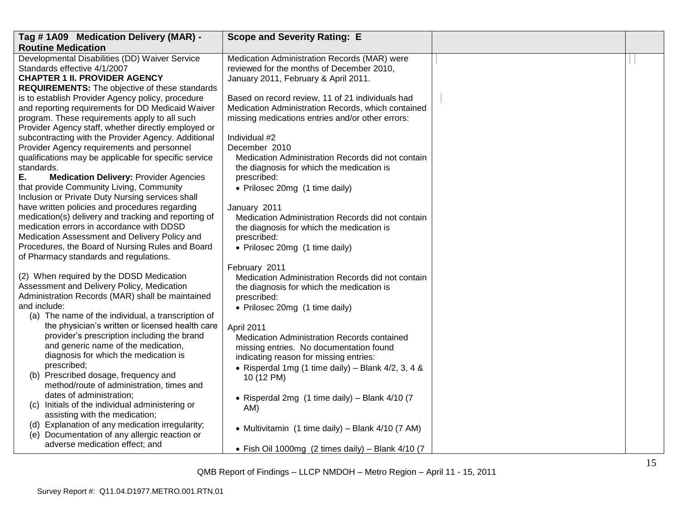| Tag #1A09 Medication Delivery (MAR) -                                                                                                                   | <b>Scope and Severity Rating: E</b>                                                                                                                        |  |
|---------------------------------------------------------------------------------------------------------------------------------------------------------|------------------------------------------------------------------------------------------------------------------------------------------------------------|--|
| <b>Routine Medication</b>                                                                                                                               |                                                                                                                                                            |  |
| Developmental Disabilities (DD) Waiver Service<br>Standards effective 4/1/2007<br><b>CHAPTER 1 II. PROVIDER AGENCY</b>                                  | Medication Administration Records (MAR) were<br>reviewed for the months of December 2010,<br>January 2011, February & April 2011.                          |  |
| <b>REQUIREMENTS:</b> The objective of these standards                                                                                                   |                                                                                                                                                            |  |
| is to establish Provider Agency policy, procedure<br>and reporting requirements for DD Medicaid Waiver<br>program. These requirements apply to all such | Based on record review, 11 of 21 individuals had<br>Medication Administration Records, which contained<br>missing medications entries and/or other errors: |  |
| Provider Agency staff, whether directly employed or                                                                                                     |                                                                                                                                                            |  |
| subcontracting with the Provider Agency. Additional                                                                                                     | Individual #2                                                                                                                                              |  |
| Provider Agency requirements and personnel                                                                                                              | December 2010                                                                                                                                              |  |
| qualifications may be applicable for specific service<br>standards.                                                                                     | Medication Administration Records did not contain<br>the diagnosis for which the medication is                                                             |  |
| Ε.<br><b>Medication Delivery: Provider Agencies</b>                                                                                                     | prescribed:                                                                                                                                                |  |
| that provide Community Living, Community<br>Inclusion or Private Duty Nursing services shall                                                            | • Prilosec 20mg (1 time daily)                                                                                                                             |  |
| have written policies and procedures regarding                                                                                                          | January 2011                                                                                                                                               |  |
| medication(s) delivery and tracking and reporting of                                                                                                    | Medication Administration Records did not contain                                                                                                          |  |
| medication errors in accordance with DDSD<br>Medication Assessment and Delivery Policy and                                                              | the diagnosis for which the medication is<br>prescribed:                                                                                                   |  |
| Procedures, the Board of Nursing Rules and Board                                                                                                        | • Prilosec 20mg (1 time daily)                                                                                                                             |  |
| of Pharmacy standards and regulations.                                                                                                                  |                                                                                                                                                            |  |
|                                                                                                                                                         | February 2011                                                                                                                                              |  |
| (2) When required by the DDSD Medication<br>Assessment and Delivery Policy, Medication                                                                  | Medication Administration Records did not contain                                                                                                          |  |
| Administration Records (MAR) shall be maintained                                                                                                        | the diagnosis for which the medication is<br>prescribed:                                                                                                   |  |
| and include:                                                                                                                                            | • Prilosec 20mg (1 time daily)                                                                                                                             |  |
| (a) The name of the individual, a transcription of                                                                                                      |                                                                                                                                                            |  |
| the physician's written or licensed health care<br>provider's prescription including the brand                                                          | April 2011<br>Medication Administration Records contained                                                                                                  |  |
| and generic name of the medication,                                                                                                                     | missing entries. No documentation found                                                                                                                    |  |
| diagnosis for which the medication is                                                                                                                   | indicating reason for missing entries:                                                                                                                     |  |
| prescribed;                                                                                                                                             | • Risperdal 1mg (1 time daily) – Blank $4/2$ , 3, 4 &                                                                                                      |  |
| (b) Prescribed dosage, frequency and<br>method/route of administration, times and                                                                       | 10 (12 PM)                                                                                                                                                 |  |
| dates of administration;                                                                                                                                | • Risperdal 2mg (1 time daily) - Blank 4/10 (7                                                                                                             |  |
| (c) Initials of the individual administering or<br>assisting with the medication;                                                                       | AM)                                                                                                                                                        |  |
| (d) Explanation of any medication irregularity;                                                                                                         |                                                                                                                                                            |  |
| (e) Documentation of any allergic reaction or                                                                                                           | • Multivitamin (1 time daily) – Blank 4/10 (7 AM)                                                                                                          |  |
| adverse medication effect; and                                                                                                                          | • Fish Oil 1000mg (2 times daily) - Blank $4/10$ (7                                                                                                        |  |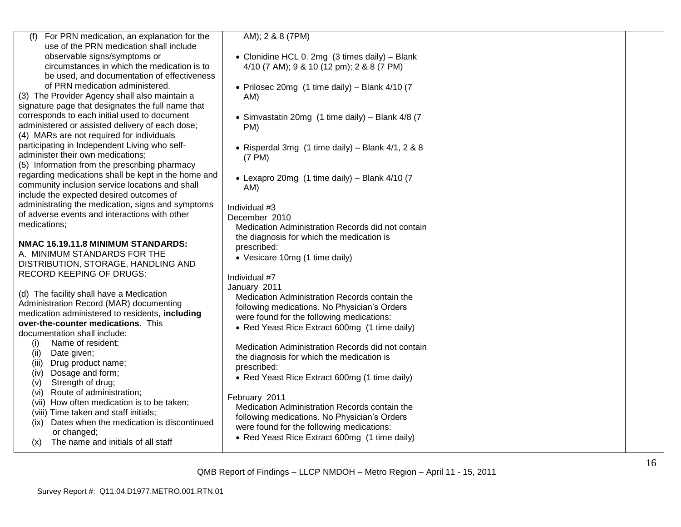| (f) For PRN medication, an explanation for the      | AM); 2 & 8 (7PM)                                                     |  |
|-----------------------------------------------------|----------------------------------------------------------------------|--|
| use of the PRN medication shall include             |                                                                      |  |
| observable signs/symptoms or                        | • Clonidine HCL 0. 2mg (3 times daily) - Blank                       |  |
| circumstances in which the medication is to         | 4/10 (7 AM); 9 & 10 (12 pm); 2 & 8 (7 PM)                            |  |
| be used, and documentation of effectiveness         |                                                                      |  |
| of PRN medication administered.                     | • Prilosec 20mg (1 time daily) - Blank 4/10 (7                       |  |
| (3) The Provider Agency shall also maintain a       | AM)                                                                  |  |
| signature page that designates the full name that   |                                                                      |  |
| corresponds to each initial used to document        | • Simvastatin 20mg (1 time daily) - Blank 4/8 (7                     |  |
| administered or assisted delivery of each dose;     | PM)                                                                  |  |
| (4) MARs are not required for individuals           |                                                                      |  |
| participating in Independent Living who self-       |                                                                      |  |
|                                                     | • Risperdal 3mg $(1 \text{ time daily}) - \text{Blank } 4/1, 2 \& 8$ |  |
| administer their own medications;                   | (7 PM)                                                               |  |
| (5) Information from the prescribing pharmacy       |                                                                      |  |
| regarding medications shall be kept in the home and | • Lexapro 20mg (1 time daily) - Blank 4/10 (7                        |  |
| community inclusion service locations and shall     | AM)                                                                  |  |
| include the expected desired outcomes of            |                                                                      |  |
| administrating the medication, signs and symptoms   | Individual #3                                                        |  |
| of adverse events and interactions with other       | December 2010                                                        |  |
| medications;                                        | Medication Administration Records did not contain                    |  |
|                                                     | the diagnosis for which the medication is                            |  |
| NMAC 16.19.11.8 MINIMUM STANDARDS:                  | prescribed:                                                          |  |
| A. MINIMUM STANDARDS FOR THE                        | • Vesicare 10mg (1 time daily)                                       |  |
| DISTRIBUTION, STORAGE, HANDLING AND                 |                                                                      |  |
| <b>RECORD KEEPING OF DRUGS:</b>                     | Individual #7                                                        |  |
|                                                     | January 2011                                                         |  |
| (d) The facility shall have a Medication            | Medication Administration Records contain the                        |  |
| Administration Record (MAR) documenting             |                                                                      |  |
| medication administered to residents, including     | following medications. No Physician's Orders                         |  |
| over-the-counter medications. This                  | were found for the following medications:                            |  |
| documentation shall include:                        | • Red Yeast Rice Extract 600mg (1 time daily)                        |  |
| Name of resident;<br>(i)                            |                                                                      |  |
| (ii)<br>Date given;                                 | Medication Administration Records did not contain                    |  |
|                                                     | the diagnosis for which the medication is                            |  |
| Drug product name;<br>(iii)                         | prescribed:                                                          |  |
| Dosage and form;<br>(iv)                            | • Red Yeast Rice Extract 600mg (1 time daily)                        |  |
| Strength of drug;<br>(v)                            |                                                                      |  |
| Route of administration;<br>(vi)                    | February 2011                                                        |  |
| (vii) How often medication is to be taken;          | Medication Administration Records contain the                        |  |
| (viii) Time taken and staff initials;               | following medications. No Physician's Orders                         |  |
| Dates when the medication is discontinued<br>(ix)   | were found for the following medications:                            |  |
| or changed;                                         | • Red Yeast Rice Extract 600mg (1 time daily)                        |  |
| The name and initials of all staff<br>(x)           |                                                                      |  |
|                                                     |                                                                      |  |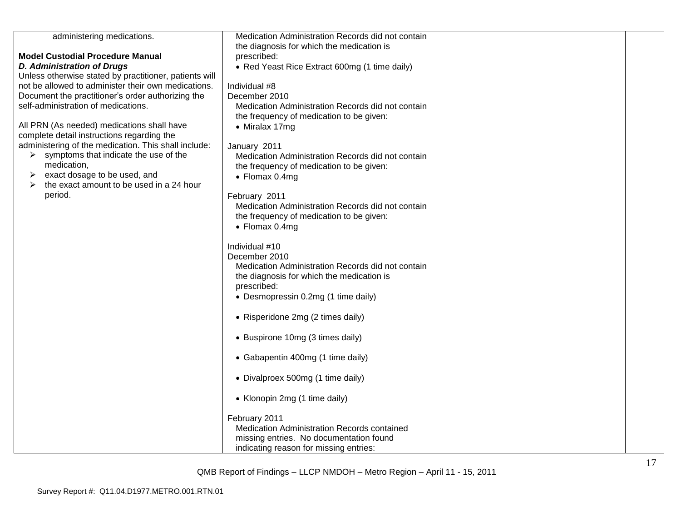| administering medications.                                                               | Medication Administration Records did not contain |  |
|------------------------------------------------------------------------------------------|---------------------------------------------------|--|
|                                                                                          | the diagnosis for which the medication is         |  |
| <b>Model Custodial Procedure Manual</b>                                                  | prescribed:                                       |  |
| <b>D. Administration of Drugs</b>                                                        | • Red Yeast Rice Extract 600mg (1 time daily)     |  |
| Unless otherwise stated by practitioner, patients will                                   |                                                   |  |
| not be allowed to administer their own medications.                                      | Individual #8                                     |  |
| Document the practitioner's order authorizing the                                        | December 2010                                     |  |
| self-administration of medications.                                                      | Medication Administration Records did not contain |  |
|                                                                                          | the frequency of medication to be given:          |  |
| All PRN (As needed) medications shall have<br>complete detail instructions regarding the | • Miralax 17mg                                    |  |
| administering of the medication. This shall include:                                     | January 2011                                      |  |
| $\triangleright$ symptoms that indicate the use of the                                   | Medication Administration Records did not contain |  |
| medication,                                                                              | the frequency of medication to be given:          |  |
| exact dosage to be used, and                                                             | • Flomax 0.4mg                                    |  |
| the exact amount to be used in a 24 hour                                                 |                                                   |  |
| period.                                                                                  | February 2011                                     |  |
|                                                                                          | Medication Administration Records did not contain |  |
|                                                                                          | the frequency of medication to be given:          |  |
|                                                                                          | $\bullet$ Flomax 0.4mg                            |  |
|                                                                                          | Individual #10                                    |  |
|                                                                                          | December 2010                                     |  |
|                                                                                          | Medication Administration Records did not contain |  |
|                                                                                          | the diagnosis for which the medication is         |  |
|                                                                                          | prescribed:                                       |  |
|                                                                                          | • Desmopressin 0.2mg (1 time daily)               |  |
|                                                                                          |                                                   |  |
|                                                                                          | • Risperidone 2mg (2 times daily)                 |  |
|                                                                                          |                                                   |  |
|                                                                                          | • Buspirone 10mg (3 times daily)                  |  |
|                                                                                          | • Gabapentin 400mg (1 time daily)                 |  |
|                                                                                          |                                                   |  |
|                                                                                          | • Divalproex 500mg (1 time daily)                 |  |
|                                                                                          | • Klonopin 2mg (1 time daily)                     |  |
|                                                                                          | February 2011                                     |  |
|                                                                                          | Medication Administration Records contained       |  |
|                                                                                          | missing entries. No documentation found           |  |
|                                                                                          | indicating reason for missing entries:            |  |
|                                                                                          |                                                   |  |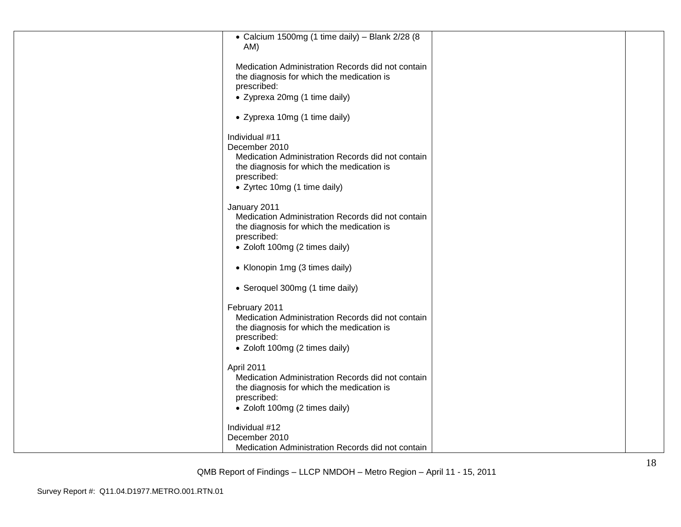| • Calcium 1500mg (1 time daily) - Blank 2/28 (8<br>AM)<br>Medication Administration Records did not contain<br>the diagnosis for which the medication is<br>prescribed:<br>• Zyprexa 20mg (1 time daily)<br>• Zyprexa 10mg (1 time daily)<br>Individual #11<br>December 2010<br>Medication Administration Records did not contain<br>the diagnosis for which the medication is<br>prescribed: |
|-----------------------------------------------------------------------------------------------------------------------------------------------------------------------------------------------------------------------------------------------------------------------------------------------------------------------------------------------------------------------------------------------|
|                                                                                                                                                                                                                                                                                                                                                                                               |
|                                                                                                                                                                                                                                                                                                                                                                                               |
|                                                                                                                                                                                                                                                                                                                                                                                               |
|                                                                                                                                                                                                                                                                                                                                                                                               |
| • Zyrtec 10mg (1 time daily)                                                                                                                                                                                                                                                                                                                                                                  |
| January 2011<br>Medication Administration Records did not contain<br>the diagnosis for which the medication is<br>prescribed:<br>• Zoloft 100mg (2 times daily)                                                                                                                                                                                                                               |
| • Klonopin 1mg (3 times daily)                                                                                                                                                                                                                                                                                                                                                                |
| • Seroquel 300mg (1 time daily)                                                                                                                                                                                                                                                                                                                                                               |
| February 2011<br>Medication Administration Records did not contain<br>the diagnosis for which the medication is<br>prescribed:<br>• Zoloft 100mg (2 times daily)                                                                                                                                                                                                                              |
| April 2011<br>Medication Administration Records did not contain<br>the diagnosis for which the medication is<br>prescribed:<br>• Zoloft 100mg (2 times daily)                                                                                                                                                                                                                                 |
| Individual #12<br>December 2010<br>Medication Administration Records did not contain                                                                                                                                                                                                                                                                                                          |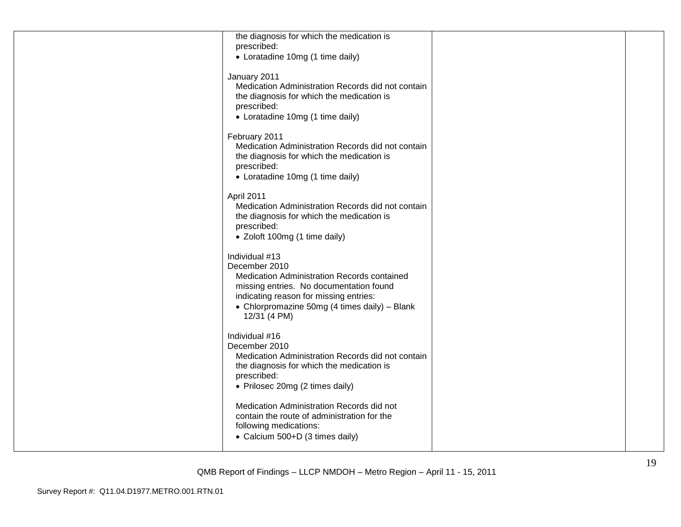| the diagnosis for which the medication is                                                      |  |
|------------------------------------------------------------------------------------------------|--|
| prescribed:                                                                                    |  |
| • Loratadine 10mg (1 time daily)                                                               |  |
| January 2011                                                                                   |  |
| Medication Administration Records did not contain                                              |  |
| the diagnosis for which the medication is                                                      |  |
| prescribed:                                                                                    |  |
| • Loratadine 10mg (1 time daily)                                                               |  |
|                                                                                                |  |
| February 2011                                                                                  |  |
| Medication Administration Records did not contain<br>the diagnosis for which the medication is |  |
| prescribed:                                                                                    |  |
| • Loratadine 10mg (1 time daily)                                                               |  |
|                                                                                                |  |
| April 2011                                                                                     |  |
| Medication Administration Records did not contain                                              |  |
| the diagnosis for which the medication is                                                      |  |
| prescribed:                                                                                    |  |
| • Zoloft 100mg (1 time daily)                                                                  |  |
| Individual #13                                                                                 |  |
| December 2010                                                                                  |  |
| Medication Administration Records contained                                                    |  |
| missing entries. No documentation found                                                        |  |
| indicating reason for missing entries:                                                         |  |
| • Chlorpromazine 50mg (4 times daily) - Blank                                                  |  |
| 12/31 (4 PM)                                                                                   |  |
| Individual #16                                                                                 |  |
| December 2010                                                                                  |  |
| Medication Administration Records did not contain                                              |  |
| the diagnosis for which the medication is                                                      |  |
| prescribed:                                                                                    |  |
| • Prilosec 20mg (2 times daily)                                                                |  |
|                                                                                                |  |
| Medication Administration Records did not<br>contain the route of administration for the       |  |
| following medications:                                                                         |  |
| • Calcium 500+D (3 times daily)                                                                |  |
|                                                                                                |  |
|                                                                                                |  |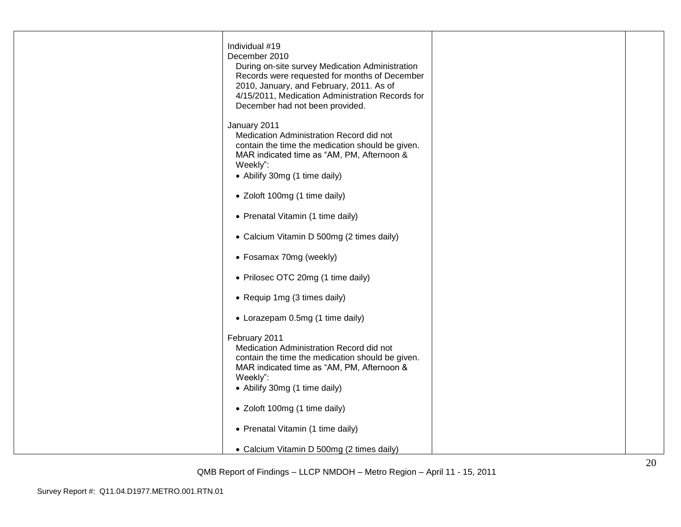| Individual #19<br>December 2010<br>During on-site survey Medication Administration<br>Records were requested for months of December<br>2010, January, and February, 2011. As of<br>4/15/2011, Medication Administration Records for<br>December had not been provided. |  |
|------------------------------------------------------------------------------------------------------------------------------------------------------------------------------------------------------------------------------------------------------------------------|--|
| January 2011<br>Medication Administration Record did not<br>contain the time the medication should be given.<br>MAR indicated time as "AM, PM, Afternoon &<br>Weekly":<br>• Abilify 30mg (1 time daily)                                                                |  |
| • Zoloft 100mg (1 time daily)                                                                                                                                                                                                                                          |  |
| • Prenatal Vitamin (1 time daily)                                                                                                                                                                                                                                      |  |
| • Calcium Vitamin D 500mg (2 times daily)                                                                                                                                                                                                                              |  |
| • Fosamax 70mg (weekly)                                                                                                                                                                                                                                                |  |
| • Prilosec OTC 20mg (1 time daily)                                                                                                                                                                                                                                     |  |
| • Requip 1mg (3 times daily)                                                                                                                                                                                                                                           |  |
| • Lorazepam 0.5mg (1 time daily)                                                                                                                                                                                                                                       |  |
| February 2011<br>Medication Administration Record did not<br>contain the time the medication should be given.<br>MAR indicated time as "AM, PM, Afternoon &<br>Weekly":<br>• Abilify 30mg (1 time daily)                                                               |  |
| • Zoloft 100mg (1 time daily)                                                                                                                                                                                                                                          |  |
| • Prenatal Vitamin (1 time daily)                                                                                                                                                                                                                                      |  |
| • Calcium Vitamin D 500mg (2 times daily)                                                                                                                                                                                                                              |  |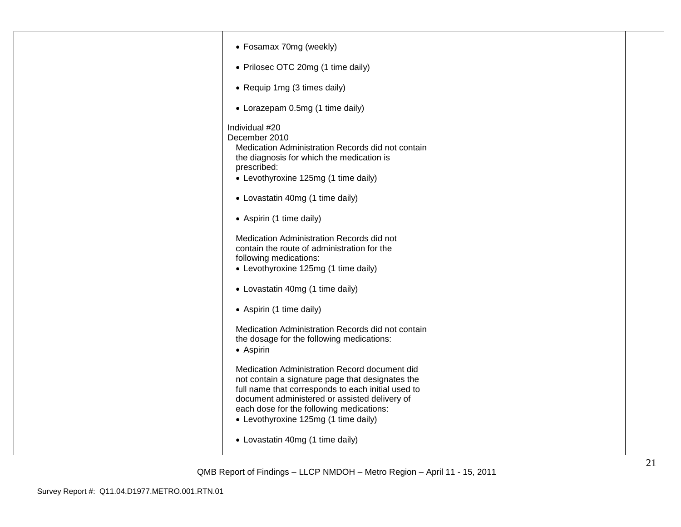| • Fosamax 70mg (weekly)                                                                                                                                                                                                                                                                      |  |
|----------------------------------------------------------------------------------------------------------------------------------------------------------------------------------------------------------------------------------------------------------------------------------------------|--|
|                                                                                                                                                                                                                                                                                              |  |
| • Prilosec OTC 20mg (1 time daily)                                                                                                                                                                                                                                                           |  |
| • Requip 1mg (3 times daily)                                                                                                                                                                                                                                                                 |  |
| • Lorazepam 0.5mg (1 time daily)                                                                                                                                                                                                                                                             |  |
| Individual #20<br>December 2010<br>Medication Administration Records did not contain<br>the diagnosis for which the medication is<br>prescribed:<br>• Levothyroxine 125mg (1 time daily)                                                                                                     |  |
| • Lovastatin 40mg (1 time daily)                                                                                                                                                                                                                                                             |  |
| • Aspirin (1 time daily)                                                                                                                                                                                                                                                                     |  |
| Medication Administration Records did not<br>contain the route of administration for the<br>following medications:<br>• Levothyroxine 125mg (1 time daily)                                                                                                                                   |  |
| • Lovastatin 40mg (1 time daily)                                                                                                                                                                                                                                                             |  |
| • Aspirin (1 time daily)                                                                                                                                                                                                                                                                     |  |
| Medication Administration Records did not contain<br>the dosage for the following medications:<br>• Aspirin                                                                                                                                                                                  |  |
| Medication Administration Record document did<br>not contain a signature page that designates the<br>full name that corresponds to each initial used to<br>document administered or assisted delivery of<br>each dose for the following medications:<br>• Levothyroxine 125mg (1 time daily) |  |
| • Lovastatin 40mg (1 time daily)                                                                                                                                                                                                                                                             |  |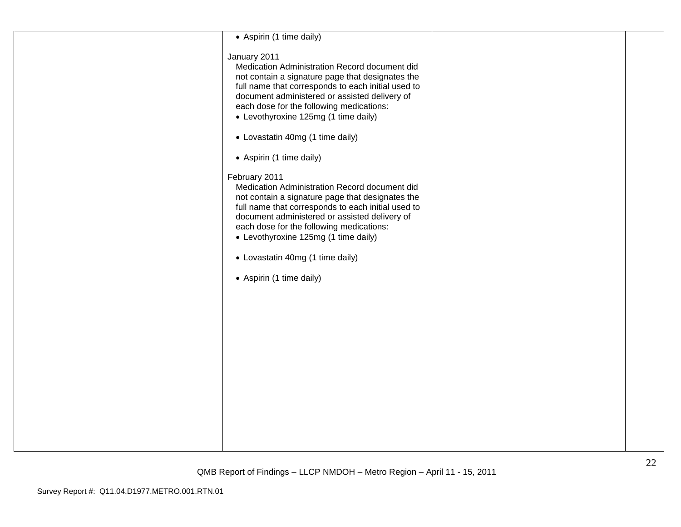| • Aspirin (1 time daily)                                                                                                                                                                                                                                                                                                                                                      |  |
|-------------------------------------------------------------------------------------------------------------------------------------------------------------------------------------------------------------------------------------------------------------------------------------------------------------------------------------------------------------------------------|--|
| January 2011<br>Medication Administration Record document did<br>not contain a signature page that designates the<br>full name that corresponds to each initial used to<br>document administered or assisted delivery of<br>each dose for the following medications:<br>• Levothyroxine 125mg (1 time daily)                                                                  |  |
| • Lovastatin 40mg (1 time daily)                                                                                                                                                                                                                                                                                                                                              |  |
| • Aspirin (1 time daily)                                                                                                                                                                                                                                                                                                                                                      |  |
| February 2011<br>Medication Administration Record document did<br>not contain a signature page that designates the<br>full name that corresponds to each initial used to<br>document administered or assisted delivery of<br>each dose for the following medications:<br>• Levothyroxine 125mg (1 time daily)<br>• Lovastatin 40mg (1 time daily)<br>• Aspirin (1 time daily) |  |
|                                                                                                                                                                                                                                                                                                                                                                               |  |
|                                                                                                                                                                                                                                                                                                                                                                               |  |
|                                                                                                                                                                                                                                                                                                                                                                               |  |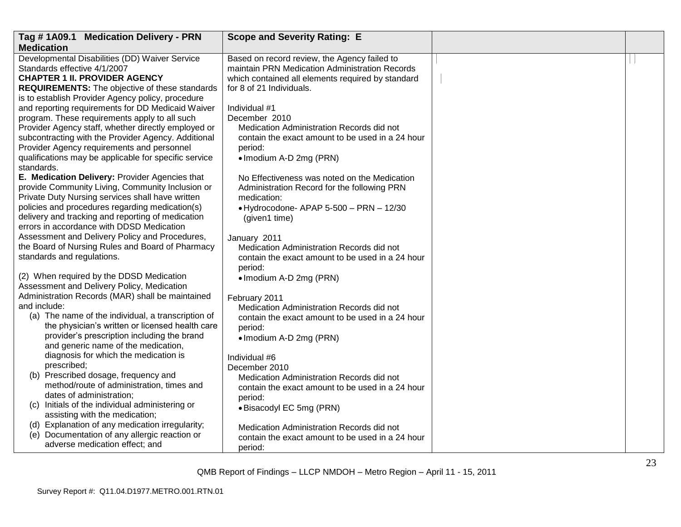| Tag #1A09.1 Medication Delivery - PRN                                                               | <b>Scope and Severity Rating: E</b>               |  |
|-----------------------------------------------------------------------------------------------------|---------------------------------------------------|--|
| <b>Medication</b>                                                                                   |                                                   |  |
| Developmental Disabilities (DD) Waiver Service                                                      | Based on record review, the Agency failed to      |  |
| Standards effective 4/1/2007                                                                        | maintain PRN Medication Administration Records    |  |
| <b>CHAPTER 1 II. PROVIDER AGENCY</b>                                                                | which contained all elements required by standard |  |
| <b>REQUIREMENTS:</b> The objective of these standards                                               | for 8 of 21 Individuals.                          |  |
| is to establish Provider Agency policy, procedure                                                   |                                                   |  |
| and reporting requirements for DD Medicaid Waiver                                                   | Individual #1                                     |  |
| program. These requirements apply to all such                                                       | December 2010                                     |  |
| Provider Agency staff, whether directly employed or                                                 | Medication Administration Records did not         |  |
| subcontracting with the Provider Agency. Additional                                                 | contain the exact amount to be used in a 24 hour  |  |
| Provider Agency requirements and personnel                                                          | period:                                           |  |
| qualifications may be applicable for specific service                                               | • Imodium A-D 2mg (PRN)                           |  |
| standards.                                                                                          |                                                   |  |
| E. Medication Delivery: Provider Agencies that                                                      | No Effectiveness was noted on the Medication      |  |
| provide Community Living, Community Inclusion or                                                    | Administration Record for the following PRN       |  |
| Private Duty Nursing services shall have written<br>policies and procedures regarding medication(s) | medication:                                       |  |
| delivery and tracking and reporting of medication                                                   | • Hydrocodone- APAP 5-500 - PRN - 12/30           |  |
| errors in accordance with DDSD Medication                                                           | (given1 time)                                     |  |
| Assessment and Delivery Policy and Procedures,                                                      | January 2011                                      |  |
| the Board of Nursing Rules and Board of Pharmacy                                                    | Medication Administration Records did not         |  |
| standards and regulations.                                                                          | contain the exact amount to be used in a 24 hour  |  |
|                                                                                                     | period:                                           |  |
| (2) When required by the DDSD Medication                                                            | • Imodium A-D 2mg (PRN)                           |  |
| Assessment and Delivery Policy, Medication                                                          |                                                   |  |
| Administration Records (MAR) shall be maintained                                                    | February 2011                                     |  |
| and include:                                                                                        | Medication Administration Records did not         |  |
| (a) The name of the individual, a transcription of                                                  | contain the exact amount to be used in a 24 hour  |  |
| the physician's written or licensed health care                                                     | period:                                           |  |
| provider's prescription including the brand                                                         | • Imodium A-D 2mg (PRN)                           |  |
| and generic name of the medication,                                                                 |                                                   |  |
| diagnosis for which the medication is                                                               | Individual #6                                     |  |
| prescribed;                                                                                         | December 2010                                     |  |
| (b) Prescribed dosage, frequency and                                                                | Medication Administration Records did not         |  |
| method/route of administration, times and                                                           | contain the exact amount to be used in a 24 hour  |  |
| dates of administration;                                                                            | period:                                           |  |
| (c) Initials of the individual administering or                                                     | • Bisacodyl EC 5mg (PRN)                          |  |
| assisting with the medication;                                                                      |                                                   |  |
| (d) Explanation of any medication irregularity;                                                     | Medication Administration Records did not         |  |
| (e) Documentation of any allergic reaction or                                                       | contain the exact amount to be used in a 24 hour  |  |
| adverse medication effect; and                                                                      | period:                                           |  |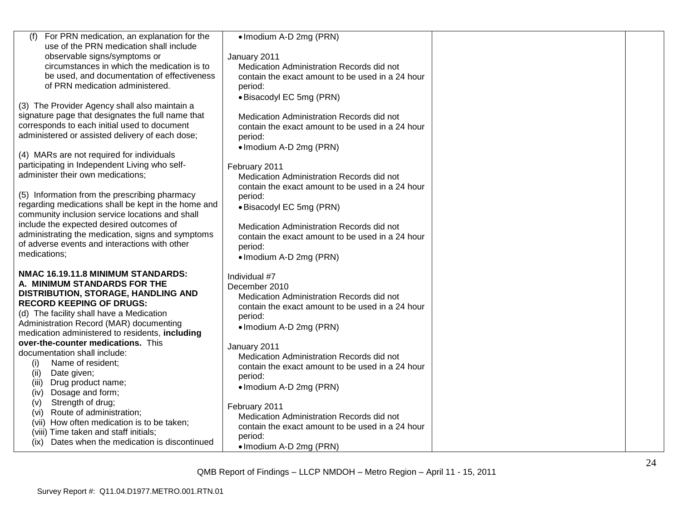| For PRN medication, an explanation for the<br>(f)                                                 | • Imodium A-D 2mg (PRN)                                    |  |
|---------------------------------------------------------------------------------------------------|------------------------------------------------------------|--|
| use of the PRN medication shall include                                                           |                                                            |  |
| observable signs/symptoms or                                                                      | January 2011                                               |  |
| circumstances in which the medication is to                                                       | Medication Administration Records did not                  |  |
| be used, and documentation of effectiveness<br>of PRN medication administered.                    | contain the exact amount to be used in a 24 hour           |  |
|                                                                                                   | period:                                                    |  |
|                                                                                                   | • Bisacodyl EC 5mg (PRN)                                   |  |
| (3) The Provider Agency shall also maintain a                                                     |                                                            |  |
| signature page that designates the full name that<br>corresponds to each initial used to document | Medication Administration Records did not                  |  |
| administered or assisted delivery of each dose;                                                   | contain the exact amount to be used in a 24 hour           |  |
|                                                                                                   | period:                                                    |  |
| (4) MARs are not required for individuals                                                         | • Imodium A-D 2mg (PRN)                                    |  |
| participating in Independent Living who self-                                                     |                                                            |  |
| administer their own medications;                                                                 | February 2011<br>Medication Administration Records did not |  |
|                                                                                                   | contain the exact amount to be used in a 24 hour           |  |
| (5) Information from the prescribing pharmacy                                                     | period:                                                    |  |
| regarding medications shall be kept in the home and                                               | · Bisacodyl EC 5mg (PRN)                                   |  |
| community inclusion service locations and shall                                                   |                                                            |  |
| include the expected desired outcomes of                                                          | Medication Administration Records did not                  |  |
| administrating the medication, signs and symptoms                                                 | contain the exact amount to be used in a 24 hour           |  |
| of adverse events and interactions with other                                                     | period:                                                    |  |
| medications;                                                                                      | • Imodium A-D 2mg (PRN)                                    |  |
|                                                                                                   |                                                            |  |
| NMAC 16.19.11.8 MINIMUM STANDARDS:                                                                | Individual #7                                              |  |
| A. MINIMUM STANDARDS FOR THE                                                                      | December 2010                                              |  |
| DISTRIBUTION, STORAGE, HANDLING AND                                                               | Medication Administration Records did not                  |  |
| <b>RECORD KEEPING OF DRUGS:</b>                                                                   | contain the exact amount to be used in a 24 hour           |  |
| (d) The facility shall have a Medication                                                          | period:                                                    |  |
| Administration Record (MAR) documenting                                                           | • Imodium A-D 2mg (PRN)                                    |  |
| medication administered to residents, including                                                   |                                                            |  |
| over-the-counter medications. This                                                                | January 2011                                               |  |
| documentation shall include:                                                                      | Medication Administration Records did not                  |  |
| Name of resident;<br>(i)                                                                          | contain the exact amount to be used in a 24 hour           |  |
| Date given;<br>(ii)                                                                               | period:                                                    |  |
| (iii)<br>Drug product name;<br>Dosage and form;<br>(iv)                                           | • Imodium A-D 2mg (PRN)                                    |  |
| Strength of drug;<br>(v)                                                                          |                                                            |  |
| Route of administration;<br>(vi)                                                                  | February 2011                                              |  |
| (vii) How often medication is to be taken;                                                        | Medication Administration Records did not                  |  |
| (viii) Time taken and staff initials;                                                             | contain the exact amount to be used in a 24 hour           |  |
| (ix) Dates when the medication is discontinued                                                    | period:                                                    |  |
|                                                                                                   | • Imodium A-D 2mg (PRN)                                    |  |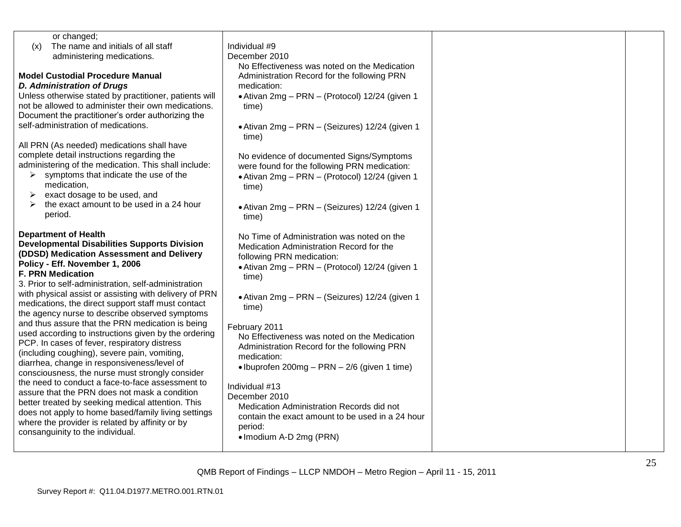| or changed;<br>The name and initials of all staff<br>(x)<br>administering medications.<br><b>Model Custodial Procedure Manual</b><br><b>D. Administration of Drugs</b><br>Unless otherwise stated by practitioner, patients will<br>not be allowed to administer their own medications.<br>Document the practitioner's order authorizing the                                                                                                                                                                                                                   | Individual #9<br>December 2010<br>No Effectiveness was noted on the Medication<br>Administration Record for the following PRN<br>medication:<br>• Ativan 2mg - PRN - (Protocol) 12/24 (given 1<br>time)                                                                                                                                                 |  |
|----------------------------------------------------------------------------------------------------------------------------------------------------------------------------------------------------------------------------------------------------------------------------------------------------------------------------------------------------------------------------------------------------------------------------------------------------------------------------------------------------------------------------------------------------------------|---------------------------------------------------------------------------------------------------------------------------------------------------------------------------------------------------------------------------------------------------------------------------------------------------------------------------------------------------------|--|
| self-administration of medications.<br>All PRN (As needed) medications shall have<br>complete detail instructions regarding the<br>administering of the medication. This shall include:<br>symptoms that indicate the use of the<br>➤<br>medication,<br>exact dosage to be used, and<br>➤<br>the exact amount to be used in a 24 hour<br>↘<br>period.                                                                                                                                                                                                          | • Ativan 2mg - PRN - (Seizures) 12/24 (given 1<br>time)<br>No evidence of documented Signs/Symptoms<br>were found for the following PRN medication:<br>• Ativan 2mg - PRN - (Protocol) 12/24 (given 1<br>time)<br>• Ativan 2mg - PRN - (Seizures) 12/24 (given 1<br>time)                                                                               |  |
| <b>Department of Health</b><br><b>Developmental Disabilities Supports Division</b><br>(DDSD) Medication Assessment and Delivery<br>Policy - Eff. November 1, 2006<br><b>F. PRN Medication</b><br>3. Prior to self-administration, self-administration<br>with physical assist or assisting with delivery of PRN<br>medications, the direct support staff must contact<br>the agency nurse to describe observed symptoms<br>and thus assure that the PRN medication is being                                                                                    | No Time of Administration was noted on the<br>Medication Administration Record for the<br>following PRN medication:<br>• Ativan 2mg - PRN - (Protocol) 12/24 (given 1<br>time)<br>• Ativan 2mg - PRN - (Seizures) 12/24 (given 1<br>time)                                                                                                               |  |
| used according to instructions given by the ordering<br>PCP. In cases of fever, respiratory distress<br>(including coughing), severe pain, vomiting,<br>diarrhea, change in responsiveness/level of<br>consciousness, the nurse must strongly consider<br>the need to conduct a face-to-face assessment to<br>assure that the PRN does not mask a condition<br>better treated by seeking medical attention. This<br>does not apply to home based/family living settings<br>where the provider is related by affinity or by<br>consanguinity to the individual. | February 2011<br>No Effectiveness was noted on the Medication<br>Administration Record for the following PRN<br>medication:<br>• Ibuprofen 200mg – PRN – $2/6$ (given 1 time)<br>Individual #13<br>December 2010<br>Medication Administration Records did not<br>contain the exact amount to be used in a 24 hour<br>period:<br>• Imodium A-D 2mg (PRN) |  |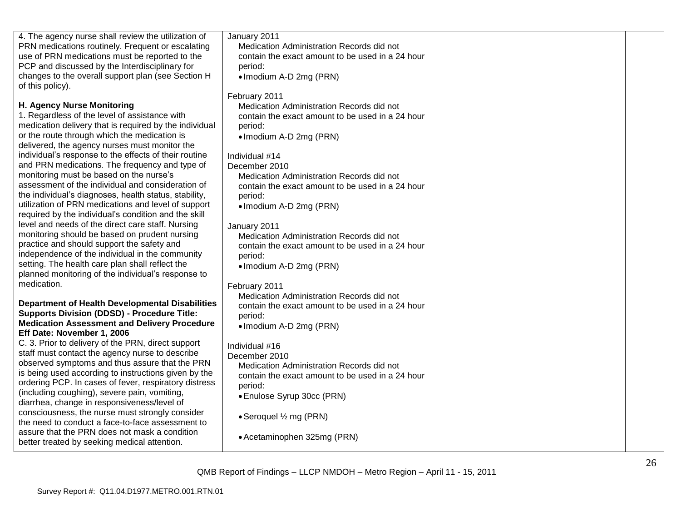| 4. The agency nurse shall review the utilization of<br>PRN medications routinely. Frequent or escalating<br>use of PRN medications must be reported to the<br>PCP and discussed by the Interdisciplinary for<br>changes to the overall support plan (see Section H<br>of this policy).                                                                                                                                                                                                                                                                                                                                                                                                                                                                                                                                                                                                                                                                                                                                                                                                                                                                                                                                                                                                                                                                                                                                                                                                                                                                                                                                                                                                           | January 2011<br>Medication Administration Records did not<br>contain the exact amount to be used in a 24 hour<br>period:<br>· Imodium A-D 2mg (PRN)                                                                                                                                                                                                                                                                                                                                                                                                                                                                                                                                                                                                                                                                                                                                  |  |
|--------------------------------------------------------------------------------------------------------------------------------------------------------------------------------------------------------------------------------------------------------------------------------------------------------------------------------------------------------------------------------------------------------------------------------------------------------------------------------------------------------------------------------------------------------------------------------------------------------------------------------------------------------------------------------------------------------------------------------------------------------------------------------------------------------------------------------------------------------------------------------------------------------------------------------------------------------------------------------------------------------------------------------------------------------------------------------------------------------------------------------------------------------------------------------------------------------------------------------------------------------------------------------------------------------------------------------------------------------------------------------------------------------------------------------------------------------------------------------------------------------------------------------------------------------------------------------------------------------------------------------------------------------------------------------------------------|--------------------------------------------------------------------------------------------------------------------------------------------------------------------------------------------------------------------------------------------------------------------------------------------------------------------------------------------------------------------------------------------------------------------------------------------------------------------------------------------------------------------------------------------------------------------------------------------------------------------------------------------------------------------------------------------------------------------------------------------------------------------------------------------------------------------------------------------------------------------------------------|--|
| H. Agency Nurse Monitoring<br>1. Regardless of the level of assistance with<br>medication delivery that is required by the individual<br>or the route through which the medication is<br>delivered, the agency nurses must monitor the<br>individual's response to the effects of their routine<br>and PRN medications. The frequency and type of<br>monitoring must be based on the nurse's<br>assessment of the individual and consideration of<br>the individual's diagnoses, health status, stability,<br>utilization of PRN medications and level of support<br>required by the individual's condition and the skill<br>level and needs of the direct care staff. Nursing<br>monitoring should be based on prudent nursing<br>practice and should support the safety and<br>independence of the individual in the community<br>setting. The health care plan shall reflect the<br>planned monitoring of the individual's response to<br>medication.<br><b>Department of Health Developmental Disabilities</b><br><b>Supports Division (DDSD) - Procedure Title:</b><br><b>Medication Assessment and Delivery Procedure</b><br>Eff Date: November 1, 2006<br>C. 3. Prior to delivery of the PRN, direct support<br>staff must contact the agency nurse to describe<br>observed symptoms and thus assure that the PRN<br>is being used according to instructions given by the<br>ordering PCP. In cases of fever, respiratory distress<br>(including coughing), severe pain, vomiting,<br>diarrhea, change in responsiveness/level of<br>consciousness, the nurse must strongly consider<br>the need to conduct a face-to-face assessment to<br>assure that the PRN does not mask a condition | February 2011<br>Medication Administration Records did not<br>contain the exact amount to be used in a 24 hour<br>period:<br>• Imodium A-D 2mg (PRN)<br>Individual #14<br>December 2010<br>Medication Administration Records did not<br>contain the exact amount to be used in a 24 hour<br>period:<br>• Imodium A-D 2mg (PRN)<br>January 2011<br>Medication Administration Records did not<br>contain the exact amount to be used in a 24 hour<br>period:<br>• Imodium A-D 2mg (PRN)<br>February 2011<br>Medication Administration Records did not<br>contain the exact amount to be used in a 24 hour<br>period:<br>• Imodium A-D 2mg (PRN)<br>Individual #16<br>December 2010<br>Medication Administration Records did not<br>contain the exact amount to be used in a 24 hour<br>period:<br>• Enulose Syrup 30cc (PRN)<br>• Seroquel 1/2 mg (PRN)<br>• Acetaminophen 325mg (PRN) |  |
| better treated by seeking medical attention.                                                                                                                                                                                                                                                                                                                                                                                                                                                                                                                                                                                                                                                                                                                                                                                                                                                                                                                                                                                                                                                                                                                                                                                                                                                                                                                                                                                                                                                                                                                                                                                                                                                     |                                                                                                                                                                                                                                                                                                                                                                                                                                                                                                                                                                                                                                                                                                                                                                                                                                                                                      |  |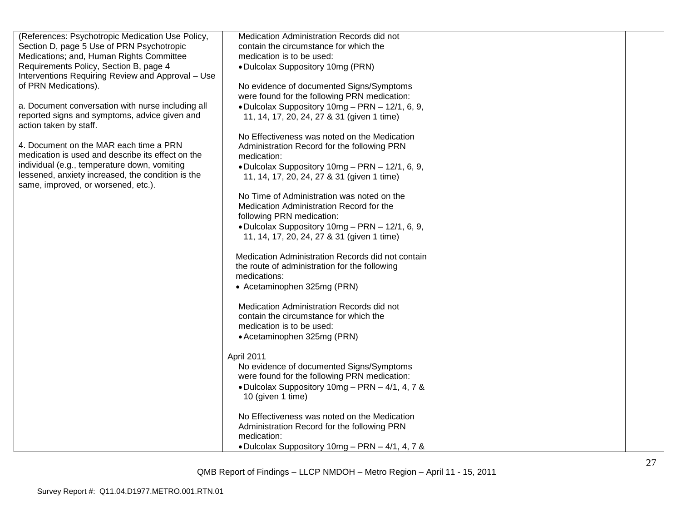| (References: Psychotropic Medication Use Policy,  | Medication Administration Records did not         |  |
|---------------------------------------------------|---------------------------------------------------|--|
| Section D, page 5 Use of PRN Psychotropic         | contain the circumstance for which the            |  |
| Medications; and, Human Rights Committee          | medication is to be used:                         |  |
| Requirements Policy, Section B, page 4            | • Dulcolax Suppository 10mg (PRN)                 |  |
| Interventions Requiring Review and Approval - Use |                                                   |  |
| of PRN Medications).                              | No evidence of documented Signs/Symptoms          |  |
|                                                   | were found for the following PRN medication:      |  |
| a. Document conversation with nurse including all | • Dulcolax Suppository 10mg - PRN - 12/1, 6, 9,   |  |
| reported signs and symptoms, advice given and     | 11, 14, 17, 20, 24, 27 & 31 (given 1 time)        |  |
| action taken by staff.                            |                                                   |  |
|                                                   | No Effectiveness was noted on the Medication      |  |
| 4. Document on the MAR each time a PRN            | Administration Record for the following PRN       |  |
| medication is used and describe its effect on the | medication:                                       |  |
| individual (e.g., temperature down, vomiting      | • Dulcolax Suppository 10mg - PRN - 12/1, 6, 9,   |  |
| lessened, anxiety increased, the condition is the | 11, 14, 17, 20, 24, 27 & 31 (given 1 time)        |  |
| same, improved, or worsened, etc.).               |                                                   |  |
|                                                   | No Time of Administration was noted on the        |  |
|                                                   | Medication Administration Record for the          |  |
|                                                   | following PRN medication:                         |  |
|                                                   | • Dulcolax Suppository 10mg - PRN - 12/1, 6, 9,   |  |
|                                                   | 11, 14, 17, 20, 24, 27 & 31 (given 1 time)        |  |
|                                                   | Medication Administration Records did not contain |  |
|                                                   | the route of administration for the following     |  |
|                                                   | medications:                                      |  |
|                                                   | • Acetaminophen 325mg (PRN)                       |  |
|                                                   |                                                   |  |
|                                                   | Medication Administration Records did not         |  |
|                                                   | contain the circumstance for which the            |  |
|                                                   | medication is to be used:                         |  |
|                                                   | • Acetaminophen 325mg (PRN)                       |  |
|                                                   |                                                   |  |
|                                                   | April 2011                                        |  |
|                                                   | No evidence of documented Signs/Symptoms          |  |
|                                                   | were found for the following PRN medication:      |  |
|                                                   | • Dulcolax Suppository 10mg - PRN - 4/1, 4, 7 &   |  |
|                                                   | 10 (given 1 time)                                 |  |
|                                                   |                                                   |  |
|                                                   | No Effectiveness was noted on the Medication      |  |
|                                                   | Administration Record for the following PRN       |  |
|                                                   | medication:                                       |  |
|                                                   | • Dulcolax Suppository 10mg – PRN – 4/1, 4, 7 &   |  |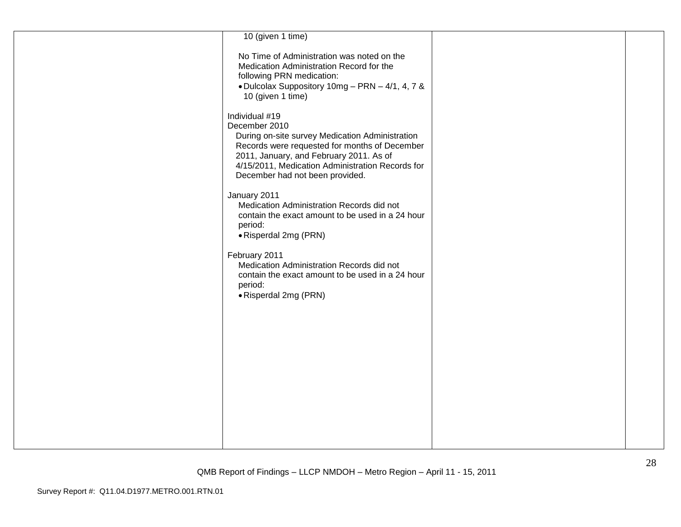| 10 (given 1 time)                                                                                                                                                                                                                                                     |  |
|-----------------------------------------------------------------------------------------------------------------------------------------------------------------------------------------------------------------------------------------------------------------------|--|
| No Time of Administration was noted on the<br>Medication Administration Record for the<br>following PRN medication:<br>• Dulcolax Suppository 10mg - PRN - 4/1, 4, 7 &<br>10 (given 1 time)                                                                           |  |
| Individual #19<br>December 2010<br>During on-site survey Medication Administration<br>Records were requested for months of December<br>2011, January, and February 2011. As of<br>4/15/2011, Medication Administration Records for<br>December had not been provided. |  |
| January 2011<br>Medication Administration Records did not<br>contain the exact amount to be used in a 24 hour<br>period:<br>• Risperdal 2mg (PRN)                                                                                                                     |  |
| February 2011<br>Medication Administration Records did not<br>contain the exact amount to be used in a 24 hour<br>period:<br>• Risperdal 2mg (PRN)                                                                                                                    |  |
|                                                                                                                                                                                                                                                                       |  |
|                                                                                                                                                                                                                                                                       |  |
|                                                                                                                                                                                                                                                                       |  |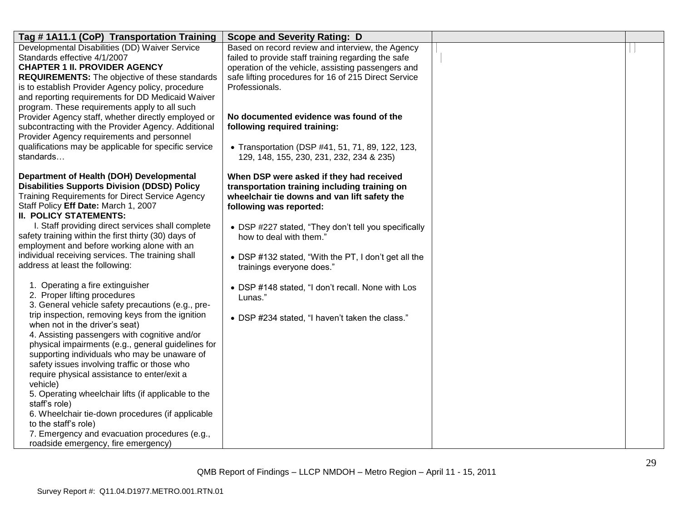| Tag # 1A11.1 (CoP) Transportation Training                                                        | <b>Scope and Severity Rating: D</b>                                                          |  |
|---------------------------------------------------------------------------------------------------|----------------------------------------------------------------------------------------------|--|
| Developmental Disabilities (DD) Waiver Service                                                    | Based on record review and interview, the Agency                                             |  |
| Standards effective 4/1/2007                                                                      | failed to provide staff training regarding the safe                                          |  |
| <b>CHAPTER 1 II. PROVIDER AGENCY</b>                                                              | operation of the vehicle, assisting passengers and                                           |  |
| <b>REQUIREMENTS:</b> The objective of these standards                                             | safe lifting procedures for 16 of 215 Direct Service                                         |  |
| is to establish Provider Agency policy, procedure                                                 | Professionals.                                                                               |  |
| and reporting requirements for DD Medicaid Waiver                                                 |                                                                                              |  |
| program. These requirements apply to all such                                                     |                                                                                              |  |
| Provider Agency staff, whether directly employed or                                               | No documented evidence was found of the                                                      |  |
| subcontracting with the Provider Agency. Additional<br>Provider Agency requirements and personnel | following required training:                                                                 |  |
| qualifications may be applicable for specific service                                             |                                                                                              |  |
| standards                                                                                         | • Transportation (DSP #41, 51, 71, 89, 122, 123,<br>129, 148, 155, 230, 231, 232, 234 & 235) |  |
|                                                                                                   |                                                                                              |  |
| Department of Health (DOH) Developmental                                                          | When DSP were asked if they had received                                                     |  |
| <b>Disabilities Supports Division (DDSD) Policy</b>                                               | transportation training including training on                                                |  |
| <b>Training Requirements for Direct Service Agency</b>                                            | wheelchair tie downs and van lift safety the                                                 |  |
| Staff Policy Eff Date: March 1, 2007                                                              | following was reported:                                                                      |  |
| <b>II. POLICY STATEMENTS:</b>                                                                     |                                                                                              |  |
| I. Staff providing direct services shall complete                                                 | • DSP #227 stated, "They don't tell you specifically                                         |  |
| safety training within the first thirty (30) days of                                              | how to deal with them.'                                                                      |  |
| employment and before working alone with an                                                       |                                                                                              |  |
| individual receiving services. The training shall                                                 | • DSP #132 stated, "With the PT, I don't get all the                                         |  |
| address at least the following:                                                                   | trainings everyone does."                                                                    |  |
| 1. Operating a fire extinguisher                                                                  | • DSP #148 stated, "I don't recall. None with Los                                            |  |
| 2. Proper lifting procedures                                                                      | Lunas."                                                                                      |  |
| 3. General vehicle safety precautions (e.g., pre-                                                 |                                                                                              |  |
| trip inspection, removing keys from the ignition                                                  | • DSP #234 stated, "I haven't taken the class."                                              |  |
| when not in the driver's seat)                                                                    |                                                                                              |  |
| 4. Assisting passengers with cognitive and/or                                                     |                                                                                              |  |
| physical impairments (e.g., general guidelines for                                                |                                                                                              |  |
| supporting individuals who may be unaware of                                                      |                                                                                              |  |
| safety issues involving traffic or those who                                                      |                                                                                              |  |
| require physical assistance to enter/exit a                                                       |                                                                                              |  |
| vehicle)                                                                                          |                                                                                              |  |
| 5. Operating wheelchair lifts (if applicable to the<br>staff's role)                              |                                                                                              |  |
| 6. Wheelchair tie-down procedures (if applicable                                                  |                                                                                              |  |
| to the staff's role)                                                                              |                                                                                              |  |
| 7. Emergency and evacuation procedures (e.g.,                                                     |                                                                                              |  |
| roadside emergency, fire emergency)                                                               |                                                                                              |  |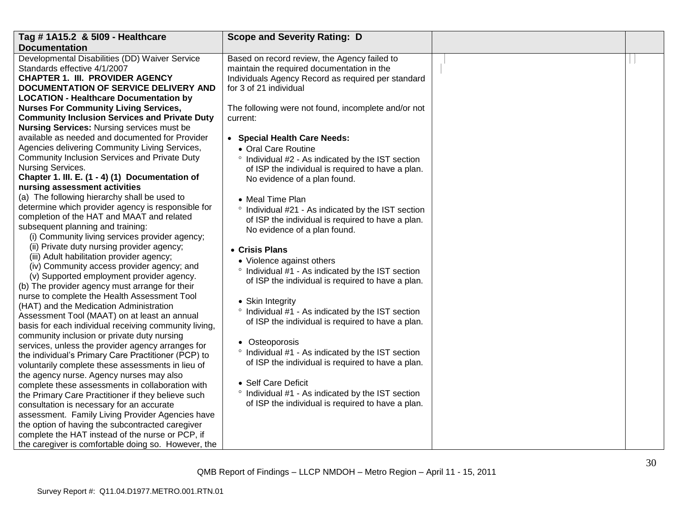| Tag # 1A15.2 & 5109 - Healthcare                                                                       | <b>Scope and Severity Rating: D</b>                        |  |
|--------------------------------------------------------------------------------------------------------|------------------------------------------------------------|--|
| <b>Documentation</b>                                                                                   |                                                            |  |
| Developmental Disabilities (DD) Waiver Service                                                         | Based on record review, the Agency failed to               |  |
| Standards effective 4/1/2007                                                                           | maintain the required documentation in the                 |  |
| <b>CHAPTER 1. III. PROVIDER AGENCY</b>                                                                 | Individuals Agency Record as required per standard         |  |
| DOCUMENTATION OF SERVICE DELIVERY AND                                                                  | for 3 of 21 individual                                     |  |
| <b>LOCATION - Healthcare Documentation by</b>                                                          |                                                            |  |
| <b>Nurses For Community Living Services,</b>                                                           | The following were not found, incomplete and/or not        |  |
| <b>Community Inclusion Services and Private Duty</b>                                                   | current:                                                   |  |
| <b>Nursing Services: Nursing services must be</b>                                                      |                                                            |  |
| available as needed and documented for Provider                                                        | • Special Health Care Needs:                               |  |
| Agencies delivering Community Living Services,                                                         | • Oral Care Routine                                        |  |
| Community Inclusion Services and Private Duty                                                          | ° Individual #2 - As indicated by the IST section          |  |
| Nursing Services.                                                                                      | of ISP the individual is required to have a plan.          |  |
| Chapter 1. III. E. (1 - 4) (1) Documentation of                                                        | No evidence of a plan found.                               |  |
| nursing assessment activities                                                                          |                                                            |  |
| (a) The following hierarchy shall be used to                                                           | • Meal Time Plan                                           |  |
| determine which provider agency is responsible for                                                     | ° Individual #21 - As indicated by the IST section         |  |
| completion of the HAT and MAAT and related                                                             | of ISP the individual is required to have a plan.          |  |
| subsequent planning and training:                                                                      | No evidence of a plan found.                               |  |
| (i) Community living services provider agency;                                                         |                                                            |  |
| (ii) Private duty nursing provider agency;                                                             | • Crisis Plans                                             |  |
| (iii) Adult habilitation provider agency;                                                              | • Violence against others                                  |  |
| (iv) Community access provider agency; and                                                             | Individual #1 - As indicated by the IST section<br>$\circ$ |  |
| (v) Supported employment provider agency.                                                              | of ISP the individual is required to have a plan.          |  |
| (b) The provider agency must arrange for their                                                         |                                                            |  |
| nurse to complete the Health Assessment Tool                                                           | • Skin Integrity                                           |  |
| (HAT) and the Medication Administration                                                                | ° Individual #1 - As indicated by the IST section          |  |
| Assessment Tool (MAAT) on at least an annual                                                           | of ISP the individual is required to have a plan.          |  |
| basis for each individual receiving community living,                                                  |                                                            |  |
| community inclusion or private duty nursing                                                            | • Osteoporosis                                             |  |
| services, unless the provider agency arranges for                                                      | ° Individual #1 - As indicated by the IST section          |  |
| the individual's Primary Care Practitioner (PCP) to                                                    | of ISP the individual is required to have a plan.          |  |
| voluntarily complete these assessments in lieu of                                                      |                                                            |  |
| the agency nurse. Agency nurses may also                                                               | • Self Care Deficit                                        |  |
| complete these assessments in collaboration with<br>the Primary Care Practitioner if they believe such | ° Individual #1 - As indicated by the IST section          |  |
| consultation is necessary for an accurate                                                              | of ISP the individual is required to have a plan.          |  |
| assessment. Family Living Provider Agencies have                                                       |                                                            |  |
| the option of having the subcontracted caregiver                                                       |                                                            |  |
| complete the HAT instead of the nurse or PCP, if                                                       |                                                            |  |
| the caregiver is comfortable doing so. However, the                                                    |                                                            |  |
|                                                                                                        |                                                            |  |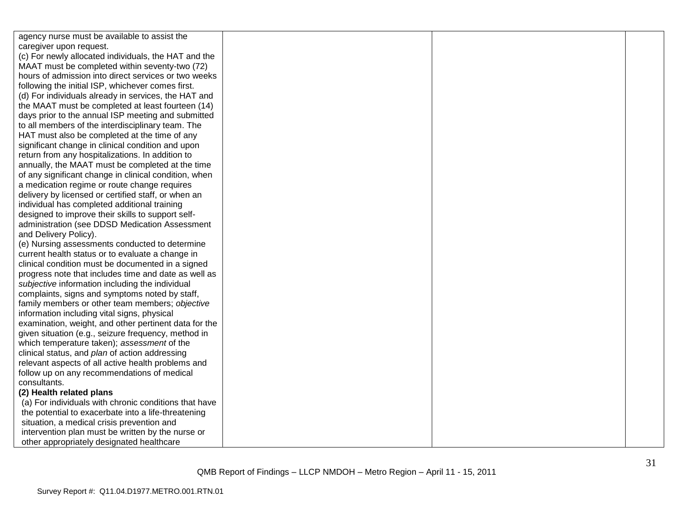| agency nurse must be available to assist the          |  |  |
|-------------------------------------------------------|--|--|
| caregiver upon request.                               |  |  |
| (c) For newly allocated individuals, the HAT and the  |  |  |
| MAAT must be completed within seventy-two (72)        |  |  |
| hours of admission into direct services or two weeks  |  |  |
| following the initial ISP, whichever comes first.     |  |  |
| (d) For individuals already in services, the HAT and  |  |  |
| the MAAT must be completed at least fourteen (14)     |  |  |
| days prior to the annual ISP meeting and submitted    |  |  |
| to all members of the interdisciplinary team. The     |  |  |
| HAT must also be completed at the time of any         |  |  |
| significant change in clinical condition and upon     |  |  |
| return from any hospitalizations. In addition to      |  |  |
| annually, the MAAT must be completed at the time      |  |  |
| of any significant change in clinical condition, when |  |  |
| a medication regime or route change requires          |  |  |
| delivery by licensed or certified staff, or when an   |  |  |
| individual has completed additional training          |  |  |
| designed to improve their skills to support self-     |  |  |
| administration (see DDSD Medication Assessment        |  |  |
| and Delivery Policy).                                 |  |  |
| (e) Nursing assessments conducted to determine        |  |  |
| current health status or to evaluate a change in      |  |  |
| clinical condition must be documented in a signed     |  |  |
| progress note that includes time and date as well as  |  |  |
| subjective information including the individual       |  |  |
| complaints, signs and symptoms noted by staff,        |  |  |
| family members or other team members; objective       |  |  |
| information including vital signs, physical           |  |  |
| examination, weight, and other pertinent data for the |  |  |
| given situation (e.g., seizure frequency, method in   |  |  |
| which temperature taken); assessment of the           |  |  |
| clinical status, and plan of action addressing        |  |  |
| relevant aspects of all active health problems and    |  |  |
| follow up on any recommendations of medical           |  |  |
| consultants.                                          |  |  |
| (2) Health related plans                              |  |  |
| (a) For individuals with chronic conditions that have |  |  |
| the potential to exacerbate into a life-threatening   |  |  |
| situation, a medical crisis prevention and            |  |  |
| intervention plan must be written by the nurse or     |  |  |
| other appropriately designated healthcare             |  |  |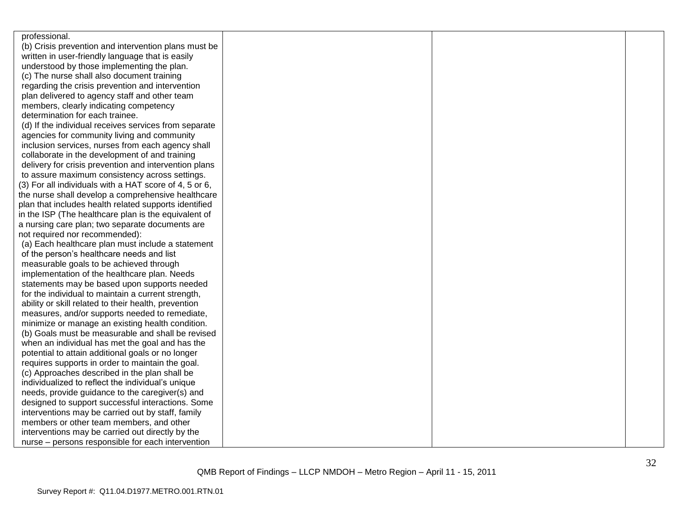| professional.                                          |  |  |
|--------------------------------------------------------|--|--|
| (b) Crisis prevention and intervention plans must be   |  |  |
| written in user-friendly language that is easily       |  |  |
| understood by those implementing the plan.             |  |  |
| (c) The nurse shall also document training             |  |  |
| regarding the crisis prevention and intervention       |  |  |
| plan delivered to agency staff and other team          |  |  |
| members, clearly indicating competency                 |  |  |
| determination for each trainee.                        |  |  |
| (d) If the individual receives services from separate  |  |  |
| agencies for community living and community            |  |  |
| inclusion services, nurses from each agency shall      |  |  |
| collaborate in the development of and training         |  |  |
| delivery for crisis prevention and intervention plans  |  |  |
| to assure maximum consistency across settings.         |  |  |
| (3) For all individuals with a HAT score of 4, 5 or 6, |  |  |
| the nurse shall develop a comprehensive healthcare     |  |  |
| plan that includes health related supports identified  |  |  |
| in the ISP (The healthcare plan is the equivalent of   |  |  |
| a nursing care plan; two separate documents are        |  |  |
| not required nor recommended):                         |  |  |
| (a) Each healthcare plan must include a statement      |  |  |
| of the person's healthcare needs and list              |  |  |
| measurable goals to be achieved through                |  |  |
| implementation of the healthcare plan. Needs           |  |  |
| statements may be based upon supports needed           |  |  |
| for the individual to maintain a current strength,     |  |  |
| ability or skill related to their health, prevention   |  |  |
| measures, and/or supports needed to remediate,         |  |  |
| minimize or manage an existing health condition.       |  |  |
| (b) Goals must be measurable and shall be revised      |  |  |
| when an individual has met the goal and has the        |  |  |
| potential to attain additional goals or no longer      |  |  |
| requires supports in order to maintain the goal.       |  |  |
| (c) Approaches described in the plan shall be          |  |  |
| individualized to reflect the individual's unique      |  |  |
| needs, provide guidance to the caregiver(s) and        |  |  |
| designed to support successful interactions. Some      |  |  |
| interventions may be carried out by staff, family      |  |  |
| members or other team members, and other               |  |  |
| interventions may be carried out directly by the       |  |  |
| nurse - persons responsible for each intervention      |  |  |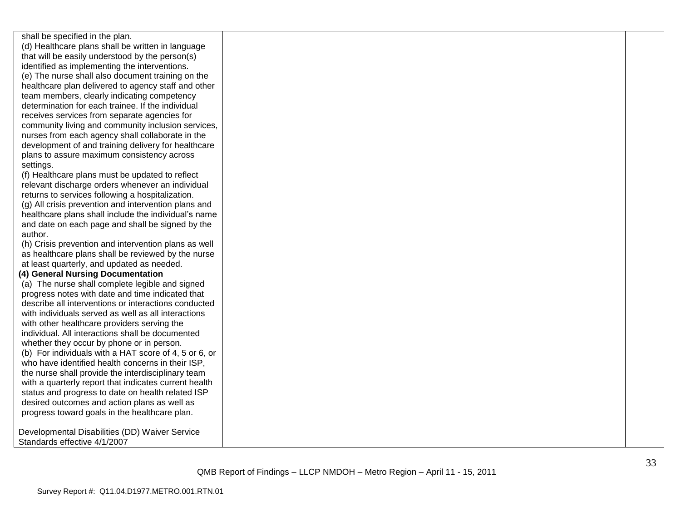shall be specified in the plan. (d) Healthcare plans shall be written in language that will be easily understood by the person(s) identified as implementing the interventions. (e) The nurse shall also document training on the healthcare plan delivered to agency staff and other team members, clearly indicating competency determination for each trainee. If the individual receives services from separate agencies for community living and community inclusion services, nurses from each agency shall collaborate in the development of and training delivery for healthcare plans to assure maximum consistency across settings. (f) Healthcare plans must be updated to reflect relevant discharge orders whenever an individual returns to services following a hospitalization. (g) All crisis prevention and intervention plans and healthcare plans shall include the individual's name and date on each page and shall be signed by the author. (h) Crisis prevention and intervention plans as well as healthcare plans shall be reviewed by the nurse at least quarterly, and updated as needed. **(4) General Nursing Documentation** (a) The nurse shall complete legible and signed progress notes with date and time indicated that describe all interventions or interactions conducted with individuals served as well as all interactions with other healthcare providers serving the individual. All interactions shall be documented whether they occur by phone or in person. (b) For individuals with a HAT score of 4, 5 or 6, or who have identified health concerns in their ISP, the nurse shall provide the interdisciplinary team with a quarterly report that indicates current health status and progress to date on health related ISP desired outcomes and action plans as well as progress toward goals in the healthcare plan. Developmental Disabilities (DD) Waiver Service Standards effective 4/1/2007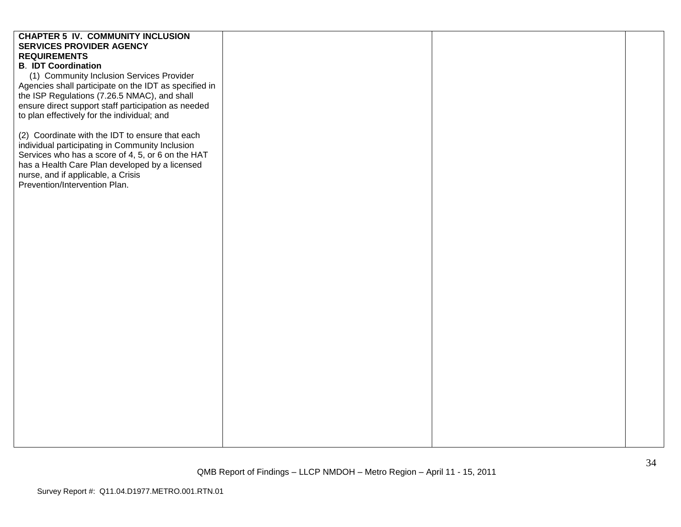| <b>CHAPTER 5 IV. COMMUNITY INCLUSION</b>              |  |  |
|-------------------------------------------------------|--|--|
| <b>SERVICES PROVIDER AGENCY</b>                       |  |  |
| <b>REQUIREMENTS</b>                                   |  |  |
| <b>B. IDT Coordination</b>                            |  |  |
| (1) Community Inclusion Services Provider             |  |  |
| Agencies shall participate on the IDT as specified in |  |  |
| the ISP Regulations (7.26.5 NMAC), and shall          |  |  |
| ensure direct support staff participation as needed   |  |  |
| to plan effectively for the individual; and           |  |  |
|                                                       |  |  |
| (2) Coordinate with the IDT to ensure that each       |  |  |
| individual participating in Community Inclusion       |  |  |
| Services who has a score of 4, 5, or 6 on the HAT     |  |  |
| has a Health Care Plan developed by a licensed        |  |  |
| nurse, and if applicable, a Crisis                    |  |  |
| Prevention/Intervention Plan.                         |  |  |
|                                                       |  |  |
|                                                       |  |  |
|                                                       |  |  |
|                                                       |  |  |
|                                                       |  |  |
|                                                       |  |  |
|                                                       |  |  |
|                                                       |  |  |
|                                                       |  |  |
|                                                       |  |  |
|                                                       |  |  |
|                                                       |  |  |
|                                                       |  |  |
|                                                       |  |  |
|                                                       |  |  |
|                                                       |  |  |
|                                                       |  |  |
|                                                       |  |  |
|                                                       |  |  |
|                                                       |  |  |
|                                                       |  |  |
|                                                       |  |  |
|                                                       |  |  |
|                                                       |  |  |
|                                                       |  |  |
|                                                       |  |  |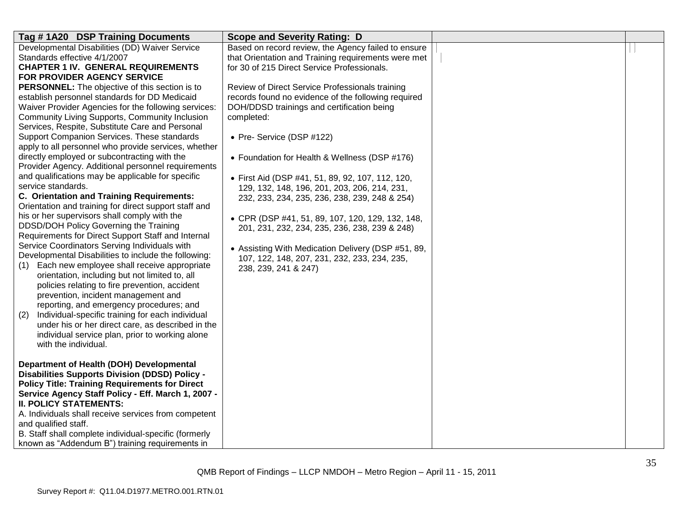| Tag #1A20 DSP Training Documents                                                                                                                                                                                                                                                                                                                                                                                                              | <b>Scope and Severity Rating: D</b>                                                                                                                                                                                                                    |  |
|-----------------------------------------------------------------------------------------------------------------------------------------------------------------------------------------------------------------------------------------------------------------------------------------------------------------------------------------------------------------------------------------------------------------------------------------------|--------------------------------------------------------------------------------------------------------------------------------------------------------------------------------------------------------------------------------------------------------|--|
| Developmental Disabilities (DD) Waiver Service<br>Standards effective 4/1/2007<br><b>CHAPTER 1 IV. GENERAL REQUIREMENTS</b><br>FOR PROVIDER AGENCY SERVICE<br><b>PERSONNEL:</b> The objective of this section is to                                                                                                                                                                                                                           | Based on record review, the Agency failed to ensure<br>that Orientation and Training requirements were met<br>for 30 of 215 Direct Service Professionals.<br>Review of Direct Service Professionals training                                           |  |
| establish personnel standards for DD Medicaid<br>Waiver Provider Agencies for the following services:<br>Community Living Supports, Community Inclusion<br>Services, Respite, Substitute Care and Personal<br>Support Companion Services. These standards<br>apply to all personnel who provide services, whether                                                                                                                             | records found no evidence of the following required<br>DOH/DDSD trainings and certification being<br>completed:<br>• Pre- Service (DSP #122)                                                                                                           |  |
| directly employed or subcontracting with the<br>Provider Agency. Additional personnel requirements<br>and qualifications may be applicable for specific<br>service standards.<br>C. Orientation and Training Requirements:<br>Orientation and training for direct support staff and<br>his or her supervisors shall comply with the<br>DDSD/DOH Policy Governing the Training                                                                 | • Foundation for Health & Wellness (DSP #176)<br>• First Aid (DSP #41, 51, 89, 92, 107, 112, 120,<br>129, 132, 148, 196, 201, 203, 206, 214, 231,<br>232, 233, 234, 235, 236, 238, 239, 248 & 254)<br>• CPR (DSP #41, 51, 89, 107, 120, 129, 132, 148, |  |
| Requirements for Direct Support Staff and Internal<br>Service Coordinators Serving Individuals with<br>Developmental Disabilities to include the following:<br>Each new employee shall receive appropriate<br>(1)<br>orientation, including but not limited to, all<br>policies relating to fire prevention, accident<br>prevention, incident management and<br>reporting, and emergency procedures; and                                      | 201, 231, 232, 234, 235, 236, 238, 239 & 248)<br>• Assisting With Medication Delivery (DSP #51, 89,<br>107, 122, 148, 207, 231, 232, 233, 234, 235,<br>238, 239, 241 & 247)                                                                            |  |
| Individual-specific training for each individual<br>(2)<br>under his or her direct care, as described in the<br>individual service plan, prior to working alone<br>with the individual.                                                                                                                                                                                                                                                       |                                                                                                                                                                                                                                                        |  |
| Department of Health (DOH) Developmental<br><b>Disabilities Supports Division (DDSD) Policy -</b><br><b>Policy Title: Training Requirements for Direct</b><br>Service Agency Staff Policy - Eff. March 1, 2007 -<br><b>II. POLICY STATEMENTS:</b><br>A. Individuals shall receive services from competent<br>and qualified staff.<br>B. Staff shall complete individual-specific (formerly<br>known as "Addendum B") training requirements in |                                                                                                                                                                                                                                                        |  |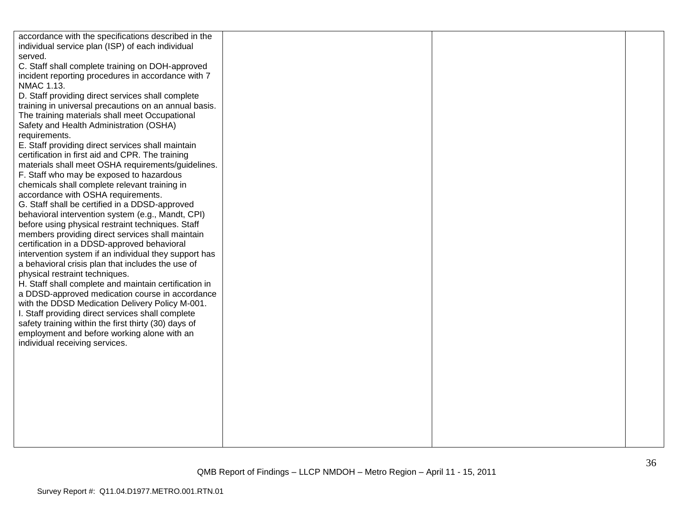| accordance with the specifications described in the   |  |  |
|-------------------------------------------------------|--|--|
| individual service plan (ISP) of each individual      |  |  |
| served.                                               |  |  |
| C. Staff shall complete training on DOH-approved      |  |  |
| incident reporting procedures in accordance with 7    |  |  |
| NMAC 1.13.                                            |  |  |
| D. Staff providing direct services shall complete     |  |  |
| training in universal precautions on an annual basis. |  |  |
| The training materials shall meet Occupational        |  |  |
| Safety and Health Administration (OSHA)               |  |  |
| requirements.                                         |  |  |
| E. Staff providing direct services shall maintain     |  |  |
| certification in first aid and CPR. The training      |  |  |
| materials shall meet OSHA requirements/guidelines.    |  |  |
| F. Staff who may be exposed to hazardous              |  |  |
| chemicals shall complete relevant training in         |  |  |
| accordance with OSHA requirements.                    |  |  |
| G. Staff shall be certified in a DDSD-approved        |  |  |
| behavioral intervention system (e.g., Mandt, CPI)     |  |  |
| before using physical restraint techniques. Staff     |  |  |
| members providing direct services shall maintain      |  |  |
| certification in a DDSD-approved behavioral           |  |  |
| intervention system if an individual they support has |  |  |
| a behavioral crisis plan that includes the use of     |  |  |
| physical restraint techniques.                        |  |  |
| H. Staff shall complete and maintain certification in |  |  |
| a DDSD-approved medication course in accordance       |  |  |
| with the DDSD Medication Delivery Policy M-001.       |  |  |
| I. Staff providing direct services shall complete     |  |  |
| safety training within the first thirty (30) days of  |  |  |
| employment and before working alone with an           |  |  |
| individual receiving services.                        |  |  |
|                                                       |  |  |
|                                                       |  |  |
|                                                       |  |  |
|                                                       |  |  |
|                                                       |  |  |
|                                                       |  |  |
|                                                       |  |  |
|                                                       |  |  |
|                                                       |  |  |
|                                                       |  |  |
|                                                       |  |  |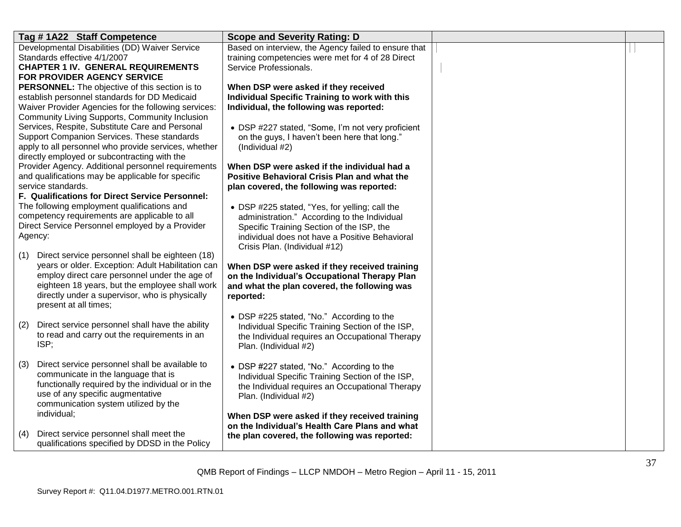| Tag #1A22 Staff Competence                                                                             | <b>Scope and Severity Rating: D</b>                  |  |
|--------------------------------------------------------------------------------------------------------|------------------------------------------------------|--|
| Developmental Disabilities (DD) Waiver Service                                                         | Based on interview, the Agency failed to ensure that |  |
| Standards effective 4/1/2007                                                                           | training competencies were met for 4 of 28 Direct    |  |
| <b>CHAPTER 1 IV. GENERAL REQUIREMENTS</b>                                                              | Service Professionals.                               |  |
| <b>FOR PROVIDER AGENCY SERVICE</b>                                                                     |                                                      |  |
| PERSONNEL: The objective of this section is to                                                         | When DSP were asked if they received                 |  |
| establish personnel standards for DD Medicaid                                                          | Individual Specific Training to work with this       |  |
| Waiver Provider Agencies for the following services:                                                   | Individual, the following was reported:              |  |
| <b>Community Living Supports, Community Inclusion</b>                                                  |                                                      |  |
| Services, Respite, Substitute Care and Personal<br>Support Companion Services. These standards         | • DSP #227 stated, "Some, I'm not very proficient    |  |
| apply to all personnel who provide services, whether                                                   | on the guys, I haven't been here that long."         |  |
| directly employed or subcontracting with the                                                           | (Individual #2)                                      |  |
| Provider Agency. Additional personnel requirements                                                     | When DSP were asked if the individual had a          |  |
| and qualifications may be applicable for specific                                                      | Positive Behavioral Crisis Plan and what the         |  |
| service standards.                                                                                     | plan covered, the following was reported:            |  |
| F. Qualifications for Direct Service Personnel:                                                        |                                                      |  |
| The following employment qualifications and                                                            | • DSP #225 stated, "Yes, for yelling; call the       |  |
| competency requirements are applicable to all                                                          | administration." According to the Individual         |  |
| Direct Service Personnel employed by a Provider                                                        | Specific Training Section of the ISP, the            |  |
| Agency:                                                                                                | individual does not have a Positive Behavioral       |  |
|                                                                                                        | Crisis Plan. (Individual #12)                        |  |
| Direct service personnel shall be eighteen (18)<br>(1)                                                 |                                                      |  |
| years or older. Exception: Adult Habilitation can                                                      | When DSP were asked if they received training        |  |
| employ direct care personnel under the age of                                                          | on the Individual's Occupational Therapy Plan        |  |
| eighteen 18 years, but the employee shall work                                                         | and what the plan covered, the following was         |  |
| directly under a supervisor, who is physically                                                         | reported:                                            |  |
| present at all times;                                                                                  |                                                      |  |
|                                                                                                        | • DSP #225 stated, "No." According to the            |  |
| Direct service personnel shall have the ability<br>(2)<br>to read and carry out the requirements in an | Individual Specific Training Section of the ISP,     |  |
| ISP;                                                                                                   | the Individual requires an Occupational Therapy      |  |
|                                                                                                        | Plan. (Individual #2)                                |  |
| Direct service personnel shall be available to<br>(3)                                                  | • DSP #227 stated, "No." According to the            |  |
| communicate in the language that is                                                                    | Individual Specific Training Section of the ISP,     |  |
| functionally required by the individual or in the                                                      | the Individual requires an Occupational Therapy      |  |
| use of any specific augmentative                                                                       | Plan. (Individual #2)                                |  |
| communication system utilized by the                                                                   |                                                      |  |
| individual;                                                                                            | When DSP were asked if they received training        |  |
|                                                                                                        | on the Individual's Health Care Plans and what       |  |
| Direct service personnel shall meet the<br>(4)                                                         | the plan covered, the following was reported:        |  |
| qualifications specified by DDSD in the Policy                                                         |                                                      |  |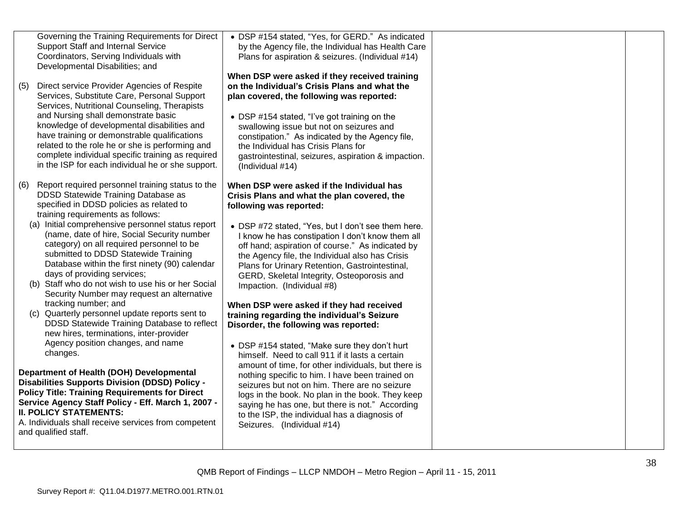|     | Governing the Training Requirements for Direct<br>Support Staff and Internal Service<br>Coordinators, Serving Individuals with<br>Developmental Disabilities; and                                                                                                                                                                                                                                                                                                                                                                                                                                                                                                                                                          | • DSP #154 stated, "Yes, for GERD." As indicated<br>by the Agency file, the Individual has Health Care<br>Plans for aspiration & seizures. (Individual #14)<br>When DSP were asked if they received training                                                                                                                                                                                                                                                                                                                                                                                           |  |
|-----|----------------------------------------------------------------------------------------------------------------------------------------------------------------------------------------------------------------------------------------------------------------------------------------------------------------------------------------------------------------------------------------------------------------------------------------------------------------------------------------------------------------------------------------------------------------------------------------------------------------------------------------------------------------------------------------------------------------------------|--------------------------------------------------------------------------------------------------------------------------------------------------------------------------------------------------------------------------------------------------------------------------------------------------------------------------------------------------------------------------------------------------------------------------------------------------------------------------------------------------------------------------------------------------------------------------------------------------------|--|
| (5) | Direct service Provider Agencies of Respite<br>Services, Substitute Care, Personal Support<br>Services, Nutritional Counseling, Therapists<br>and Nursing shall demonstrate basic<br>knowledge of developmental disabilities and<br>have training or demonstrable qualifications<br>related to the role he or she is performing and<br>complete individual specific training as required<br>in the ISP for each individual he or she support.                                                                                                                                                                                                                                                                              | on the Individual's Crisis Plans and what the<br>plan covered, the following was reported:<br>• DSP #154 stated, "I've got training on the<br>swallowing issue but not on seizures and<br>constipation." As indicated by the Agency file,<br>the Individual has Crisis Plans for<br>gastrointestinal, seizures, aspiration & impaction.<br>(Individual #14)                                                                                                                                                                                                                                            |  |
| (6) | Report required personnel training status to the<br>DDSD Statewide Training Database as<br>specified in DDSD policies as related to<br>training requirements as follows:<br>(a) Initial comprehensive personnel status report<br>(name, date of hire, Social Security number<br>category) on all required personnel to be<br>submitted to DDSD Statewide Training<br>Database within the first ninety (90) calendar<br>days of providing services;<br>(b) Staff who do not wish to use his or her Social<br>Security Number may request an alternative<br>tracking number; and<br>(c) Quarterly personnel update reports sent to<br>DDSD Statewide Training Database to reflect<br>new hires, terminations, inter-provider | When DSP were asked if the Individual has<br>Crisis Plans and what the plan covered, the<br>following was reported:<br>• DSP #72 stated, "Yes, but I don't see them here.<br>I know he has constipation I don't know them all<br>off hand; aspiration of course." As indicated by<br>the Agency file, the Individual also has Crisis<br>Plans for Urinary Retention, Gastrointestinal,<br>GERD, Skeletal Integrity, Osteoporosis and<br>Impaction. (Individual #8)<br>When DSP were asked if they had received<br>training regarding the individual's Seizure<br>Disorder, the following was reported: |  |
|     | Agency position changes, and name<br>changes.<br>Department of Health (DOH) Developmental<br><b>Disabilities Supports Division (DDSD) Policy -</b><br><b>Policy Title: Training Requirements for Direct</b><br>Service Agency Staff Policy - Eff. March 1, 2007 -<br><b>II. POLICY STATEMENTS:</b><br>A. Individuals shall receive services from competent<br>and qualified staff.                                                                                                                                                                                                                                                                                                                                         | • DSP #154 stated, "Make sure they don't hurt<br>himself. Need to call 911 if it lasts a certain<br>amount of time, for other individuals, but there is<br>nothing specific to him. I have been trained on<br>seizures but not on him. There are no seizure<br>logs in the book. No plan in the book. They keep<br>saying he has one, but there is not." According<br>to the ISP, the individual has a diagnosis of<br>Seizures. (Individual #14)                                                                                                                                                      |  |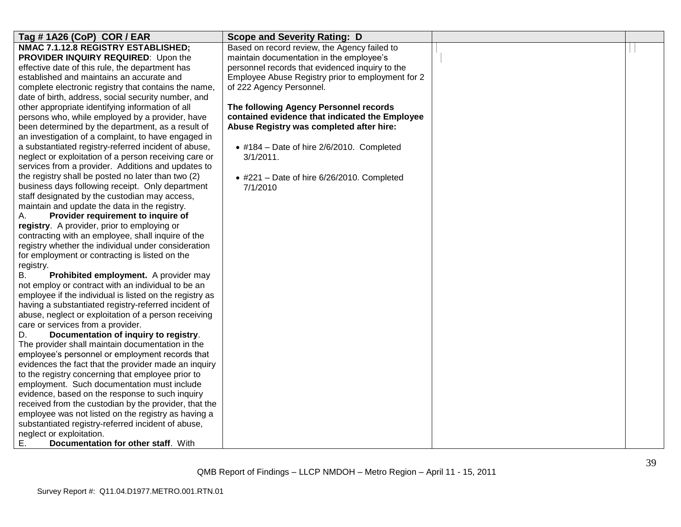| Tag #1A26 (CoP) COR / EAR                               | <b>Scope and Severity Rating: D</b>               |  |
|---------------------------------------------------------|---------------------------------------------------|--|
|                                                         |                                                   |  |
| NMAC 7.1.12.8 REGISTRY ESTABLISHED;                     | Based on record review, the Agency failed to      |  |
| PROVIDER INQUIRY REQUIRED: Upon the                     | maintain documentation in the employee's          |  |
| effective date of this rule, the department has         | personnel records that evidenced inquiry to the   |  |
| established and maintains an accurate and               | Employee Abuse Registry prior to employment for 2 |  |
| complete electronic registry that contains the name,    | of 222 Agency Personnel.                          |  |
| date of birth, address, social security number, and     |                                                   |  |
| other appropriate identifying information of all        | The following Agency Personnel records            |  |
| persons who, while employed by a provider, have         | contained evidence that indicated the Employee    |  |
| been determined by the department, as a result of       | Abuse Registry was completed after hire:          |  |
| an investigation of a complaint, to have engaged in     |                                                   |  |
| a substantiated registry-referred incident of abuse,    | $\bullet$ #184 - Date of hire 2/6/2010. Completed |  |
| neglect or exploitation of a person receiving care or   | $3/1/2011$ .                                      |  |
| services from a provider. Additions and updates to      |                                                   |  |
| the registry shall be posted no later than two (2)      | $*$ #221 - Date of hire 6/26/2010. Completed      |  |
| business days following receipt. Only department        | 7/1/2010                                          |  |
| staff designated by the custodian may access,           |                                                   |  |
| maintain and update the data in the registry.           |                                                   |  |
| Provider requirement to inquire of<br>А.                |                                                   |  |
| registry. A provider, prior to employing or             |                                                   |  |
| contracting with an employee, shall inquire of the      |                                                   |  |
| registry whether the individual under consideration     |                                                   |  |
| for employment or contracting is listed on the          |                                                   |  |
| registry.                                               |                                                   |  |
| <b>B.</b><br>Prohibited employment. A provider may      |                                                   |  |
| not employ or contract with an individual to be an      |                                                   |  |
| employee if the individual is listed on the registry as |                                                   |  |
| having a substantiated registry-referred incident of    |                                                   |  |
| abuse, neglect or exploitation of a person receiving    |                                                   |  |
| care or services from a provider.                       |                                                   |  |
| D.<br>Documentation of inquiry to registry.             |                                                   |  |
| The provider shall maintain documentation in the        |                                                   |  |
| employee's personnel or employment records that         |                                                   |  |
| evidences the fact that the provider made an inquiry    |                                                   |  |
| to the registry concerning that employee prior to       |                                                   |  |
| employment. Such documentation must include             |                                                   |  |
| evidence, based on the response to such inquiry         |                                                   |  |
| received from the custodian by the provider, that the   |                                                   |  |
| employee was not listed on the registry as having a     |                                                   |  |
| substantiated registry-referred incident of abuse,      |                                                   |  |
| neglect or exploitation.                                |                                                   |  |
| Ε.<br>Documentation for other staff. With               |                                                   |  |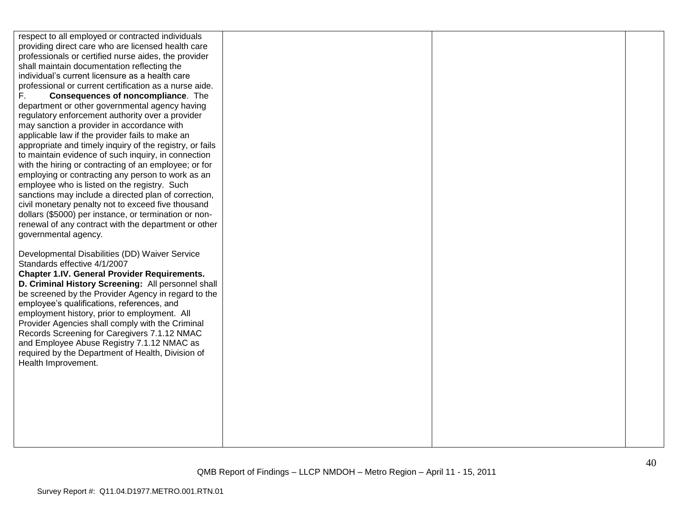respect to all employed or contracted individuals providing direct care who are licensed health care professionals or certified nurse aides, the provider shall maintain documentation reflecting the individual"s current licensure as a health care professional or current certification as a nurse aide. F. **Consequences of noncompliance**. The department or other governmental agency having regulatory enforcement authority over a provider may sanction a provider in accordance with applicable law if the provider fails to make an appropriate and timely inquiry of the registry, or fails to maintain evidence of such inquiry, in connection with the hiring or contracting of an employee; or for employing or contracting any person to work as an employee who is listed on the registry. Such sanctions may include a directed plan of correction, civil monetary penalty not to exceed five thousand dollars (\$5000) per instance, or termination or nonrenewal of any contract with the department or other governmental agency. Developmental Disabilities (DD) Waiver Service Standards effective 4/1/2007 **Chapter 1.IV. General Provider Requirements. D. Criminal History Screening:** All personnel shall be screened by the Provider Agency in regard to the employee"s qualifications, references, and employment history, prior to employment. All Provider Agencies shall comply with the Criminal Records Screening for Caregivers 7.1.12 NMAC and Employee Abuse Registry 7.1.12 NMAC as required by the Department of Health, Division of Health Improvement.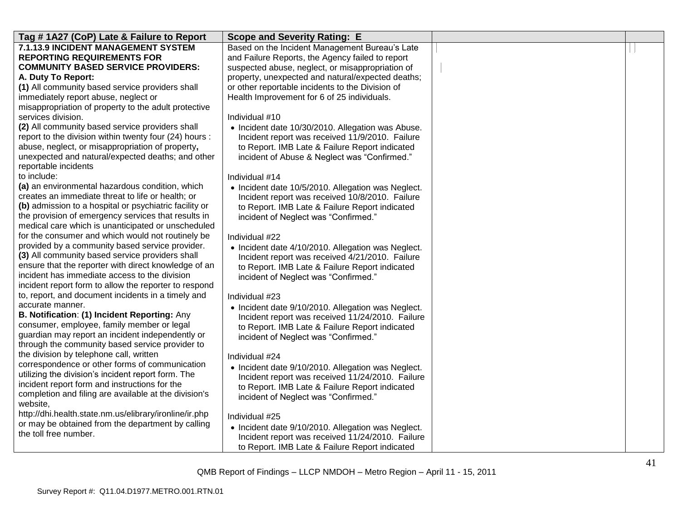| Tag #1A27 (CoP) Late & Failure to Report                           | <b>Scope and Severity Rating: E</b>                |  |
|--------------------------------------------------------------------|----------------------------------------------------|--|
| 7.1.13.9 INCIDENT MANAGEMENT SYSTEM                                | Based on the Incident Management Bureau's Late     |  |
| <b>REPORTING REQUIREMENTS FOR</b>                                  | and Failure Reports, the Agency failed to report   |  |
| <b>COMMUNITY BASED SERVICE PROVIDERS:</b>                          | suspected abuse, neglect, or misappropriation of   |  |
| A. Duty To Report:                                                 | property, unexpected and natural/expected deaths;  |  |
| (1) All community based service providers shall                    | or other reportable incidents to the Division of   |  |
| immediately report abuse, neglect or                               | Health Improvement for 6 of 25 individuals.        |  |
| misappropriation of property to the adult protective               |                                                    |  |
| services division.                                                 | Individual #10                                     |  |
| (2) All community based service providers shall                    | • Incident date 10/30/2010. Allegation was Abuse.  |  |
| report to the division within twenty four (24) hours :             | Incident report was received 11/9/2010. Failure    |  |
| abuse, neglect, or misappropriation of property,                   | to Report. IMB Late & Failure Report indicated     |  |
| unexpected and natural/expected deaths; and other                  | incident of Abuse & Neglect was "Confirmed."       |  |
| reportable incidents                                               |                                                    |  |
| to include:                                                        | Individual #14                                     |  |
| (a) an environmental hazardous condition, which                    | • Incident date 10/5/2010. Allegation was Neglect. |  |
| creates an immediate threat to life or health; or                  | Incident report was received 10/8/2010. Failure    |  |
| (b) admission to a hospital or psychiatric facility or             | to Report. IMB Late & Failure Report indicated     |  |
| the provision of emergency services that results in                | incident of Neglect was "Confirmed."               |  |
| medical care which is unanticipated or unscheduled                 |                                                    |  |
| for the consumer and which would not routinely be                  | Individual #22                                     |  |
| provided by a community based service provider.                    | • Incident date 4/10/2010. Allegation was Neglect. |  |
| (3) All community based service providers shall                    | Incident report was received 4/21/2010. Failure    |  |
| ensure that the reporter with direct knowledge of an               | to Report. IMB Late & Failure Report indicated     |  |
| incident has immediate access to the division                      | incident of Neglect was "Confirmed."               |  |
| incident report form to allow the reporter to respond              |                                                    |  |
| to, report, and document incidents in a timely and                 | Individual #23                                     |  |
| accurate manner.                                                   | • Incident date 9/10/2010. Allegation was Neglect. |  |
| B. Notification: (1) Incident Reporting: Any                       | Incident report was received 11/24/2010. Failure   |  |
| consumer, employee, family member or legal                         | to Report. IMB Late & Failure Report indicated     |  |
| guardian may report an incident independently or                   | incident of Neglect was "Confirmed."               |  |
| through the community based service provider to                    |                                                    |  |
| the division by telephone call, written                            | Individual #24                                     |  |
| correspondence or other forms of communication                     | • Incident date 9/10/2010. Allegation was Neglect. |  |
| utilizing the division's incident report form. The                 | Incident report was received 11/24/2010. Failure   |  |
| incident report form and instructions for the                      | to Report. IMB Late & Failure Report indicated     |  |
| completion and filing are available at the division's              | incident of Neglect was "Confirmed."               |  |
| website,<br>http://dhi.health.state.nm.us/elibrary/ironline/ir.php |                                                    |  |
| or may be obtained from the department by calling                  | Individual #25                                     |  |
| the toll free number.                                              | • Incident date 9/10/2010. Allegation was Neglect. |  |
|                                                                    | Incident report was received 11/24/2010. Failure   |  |
|                                                                    | to Report. IMB Late & Failure Report indicated     |  |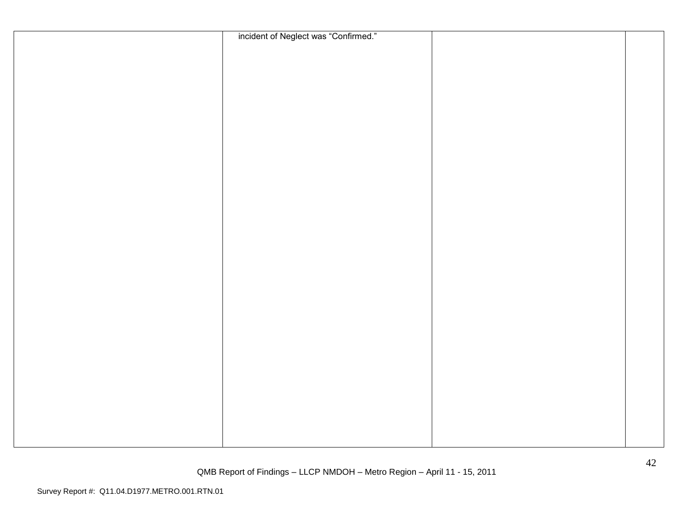| incident of Neglect was "Confirmed." |  |
|--------------------------------------|--|
|                                      |  |
|                                      |  |
|                                      |  |
|                                      |  |
|                                      |  |
|                                      |  |
|                                      |  |
|                                      |  |
|                                      |  |
|                                      |  |
|                                      |  |
|                                      |  |
|                                      |  |
|                                      |  |
|                                      |  |
|                                      |  |
|                                      |  |
|                                      |  |
|                                      |  |
|                                      |  |
|                                      |  |
|                                      |  |
|                                      |  |
|                                      |  |
|                                      |  |
|                                      |  |
|                                      |  |
|                                      |  |
|                                      |  |
|                                      |  |
|                                      |  |
|                                      |  |
|                                      |  |
|                                      |  |
|                                      |  |
|                                      |  |
|                                      |  |
|                                      |  |
|                                      |  |
|                                      |  |
|                                      |  |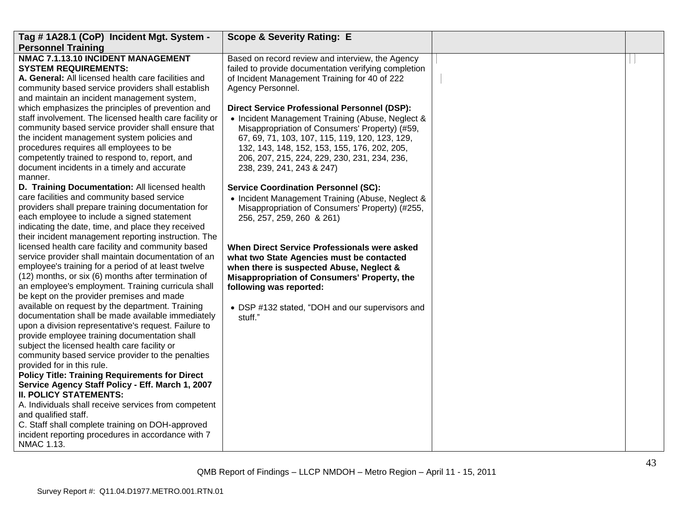| Tag # 1A28.1 (CoP) Incident Mgt. System -                                                                                                                                                                                                                                                                                                                                | <b>Scope &amp; Severity Rating: E</b>                                                                                                                                                                                                                                                                                                    |  |
|--------------------------------------------------------------------------------------------------------------------------------------------------------------------------------------------------------------------------------------------------------------------------------------------------------------------------------------------------------------------------|------------------------------------------------------------------------------------------------------------------------------------------------------------------------------------------------------------------------------------------------------------------------------------------------------------------------------------------|--|
| <b>Personnel Training</b>                                                                                                                                                                                                                                                                                                                                                |                                                                                                                                                                                                                                                                                                                                          |  |
| NMAC 7.1.13.10 INCIDENT MANAGEMENT<br><b>SYSTEM REQUIREMENTS:</b><br>A. General: All licensed health care facilities and<br>community based service providers shall establish<br>and maintain an incident management system,                                                                                                                                             | Based on record review and interview, the Agency<br>failed to provide documentation verifying completion<br>of Incident Management Training for 40 of 222<br>Agency Personnel.                                                                                                                                                           |  |
| which emphasizes the principles of prevention and<br>staff involvement. The licensed health care facility or<br>community based service provider shall ensure that<br>the incident management system policies and<br>procedures requires all employees to be<br>competently trained to respond to, report, and<br>document incidents in a timely and accurate<br>manner. | <b>Direct Service Professional Personnel (DSP):</b><br>• Incident Management Training (Abuse, Neglect &<br>Misappropriation of Consumers' Property) (#59,<br>67, 69, 71, 103, 107, 115, 119, 120, 123, 129,<br>132, 143, 148, 152, 153, 155, 176, 202, 205,<br>206, 207, 215, 224, 229, 230, 231, 234, 236,<br>238, 239, 241, 243 & 247) |  |
| D. Training Documentation: All licensed health<br>care facilities and community based service<br>providers shall prepare training documentation for<br>each employee to include a signed statement<br>indicating the date, time, and place they received<br>their incident management reporting instruction. The                                                         | <b>Service Coordination Personnel (SC):</b><br>• Incident Management Training (Abuse, Neglect &<br>Misappropriation of Consumers' Property) (#255,<br>256, 257, 259, 260 & 261)                                                                                                                                                          |  |
| licensed health care facility and community based<br>service provider shall maintain documentation of an<br>employee's training for a period of at least twelve<br>(12) months, or six (6) months after termination of<br>an employee's employment. Training curricula shall<br>be kept on the provider premises and made                                                | When Direct Service Professionals were asked<br>what two State Agencies must be contacted<br>when there is suspected Abuse, Neglect &<br>Misappropriation of Consumers' Property, the<br>following was reported:                                                                                                                         |  |
| available on request by the department. Training<br>documentation shall be made available immediately<br>upon a division representative's request. Failure to<br>provide employee training documentation shall<br>subject the licensed health care facility or<br>community based service provider to the penalties<br>provided for in this rule.                        | • DSP #132 stated, "DOH and our supervisors and<br>stuff."                                                                                                                                                                                                                                                                               |  |
| <b>Policy Title: Training Requirements for Direct</b><br>Service Agency Staff Policy - Eff. March 1, 2007<br><b>II. POLICY STATEMENTS:</b><br>A. Individuals shall receive services from competent<br>and qualified staff.<br>C. Staff shall complete training on DOH-approved                                                                                           |                                                                                                                                                                                                                                                                                                                                          |  |
| incident reporting procedures in accordance with 7<br>NMAC 1.13.                                                                                                                                                                                                                                                                                                         |                                                                                                                                                                                                                                                                                                                                          |  |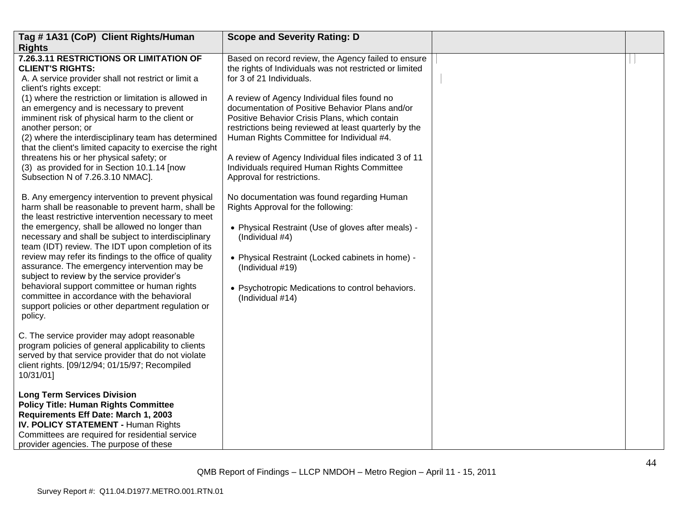| Tag #1A31 (CoP) Client Rights/Human                                                                                                                                                                                                                                                                                                                                                                                                                                                                                                                                                                                                                    | <b>Scope and Severity Rating: D</b>                                                                                                                                                                                                                                                                                                                                                          |  |
|--------------------------------------------------------------------------------------------------------------------------------------------------------------------------------------------------------------------------------------------------------------------------------------------------------------------------------------------------------------------------------------------------------------------------------------------------------------------------------------------------------------------------------------------------------------------------------------------------------------------------------------------------------|----------------------------------------------------------------------------------------------------------------------------------------------------------------------------------------------------------------------------------------------------------------------------------------------------------------------------------------------------------------------------------------------|--|
| <b>Rights</b><br>7.26.3.11 RESTRICTIONS OR LIMITATION OF<br><b>CLIENT'S RIGHTS:</b><br>A. A service provider shall not restrict or limit a<br>client's rights except:                                                                                                                                                                                                                                                                                                                                                                                                                                                                                  | Based on record review, the Agency failed to ensure<br>the rights of Individuals was not restricted or limited<br>for 3 of 21 Individuals.                                                                                                                                                                                                                                                   |  |
| (1) where the restriction or limitation is allowed in<br>an emergency and is necessary to prevent<br>imminent risk of physical harm to the client or<br>another person; or<br>(2) where the interdisciplinary team has determined<br>that the client's limited capacity to exercise the right<br>threatens his or her physical safety; or<br>(3) as provided for in Section 10.1.14 [now<br>Subsection N of 7.26.3.10 NMAC].                                                                                                                                                                                                                           | A review of Agency Individual files found no<br>documentation of Positive Behavior Plans and/or<br>Positive Behavior Crisis Plans, which contain<br>restrictions being reviewed at least quarterly by the<br>Human Rights Committee for Individual #4.<br>A review of Agency Individual files indicated 3 of 11<br>Individuals required Human Rights Committee<br>Approval for restrictions. |  |
| B. Any emergency intervention to prevent physical<br>harm shall be reasonable to prevent harm, shall be<br>the least restrictive intervention necessary to meet<br>the emergency, shall be allowed no longer than<br>necessary and shall be subject to interdisciplinary<br>team (IDT) review. The IDT upon completion of its<br>review may refer its findings to the office of quality<br>assurance. The emergency intervention may be<br>subject to review by the service provider's<br>behavioral support committee or human rights<br>committee in accordance with the behavioral<br>support policies or other department regulation or<br>policy. | No documentation was found regarding Human<br>Rights Approval for the following:<br>• Physical Restraint (Use of gloves after meals) -<br>(Individual #4)<br>• Physical Restraint (Locked cabinets in home) -<br>(Individual #19)<br>• Psychotropic Medications to control behaviors.<br>(Individual #14)                                                                                    |  |
| C. The service provider may adopt reasonable<br>program policies of general applicability to clients<br>served by that service provider that do not violate<br>client rights. [09/12/94; 01/15/97; Recompiled<br>10/31/01]                                                                                                                                                                                                                                                                                                                                                                                                                             |                                                                                                                                                                                                                                                                                                                                                                                              |  |
| <b>Long Term Services Division</b><br><b>Policy Title: Human Rights Committee</b><br>Requirements Eff Date: March 1, 2003<br>IV. POLICY STATEMENT - Human Rights<br>Committees are required for residential service<br>provider agencies. The purpose of these                                                                                                                                                                                                                                                                                                                                                                                         |                                                                                                                                                                                                                                                                                                                                                                                              |  |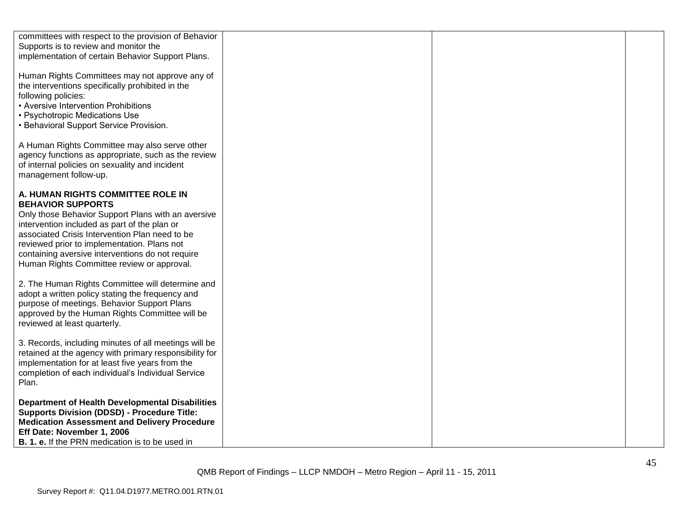| committees with respect to the provision of Behavior<br>Supports is to review and monitor the<br>implementation of certain Behavior Support Plans.                                                                                                                                                                                                                     |  |  |
|------------------------------------------------------------------------------------------------------------------------------------------------------------------------------------------------------------------------------------------------------------------------------------------------------------------------------------------------------------------------|--|--|
| Human Rights Committees may not approve any of<br>the interventions specifically prohibited in the<br>following policies:<br>• Aversive Intervention Prohibitions<br>• Psychotropic Medications Use<br>• Behavioral Support Service Provision.                                                                                                                         |  |  |
| A Human Rights Committee may also serve other<br>agency functions as appropriate, such as the review<br>of internal policies on sexuality and incident<br>management follow-up.                                                                                                                                                                                        |  |  |
| A. HUMAN RIGHTS COMMITTEE ROLE IN<br><b>BEHAVIOR SUPPORTS</b><br>Only those Behavior Support Plans with an aversive<br>intervention included as part of the plan or<br>associated Crisis Intervention Plan need to be<br>reviewed prior to implementation. Plans not<br>containing aversive interventions do not require<br>Human Rights Committee review or approval. |  |  |
| 2. The Human Rights Committee will determine and<br>adopt a written policy stating the frequency and<br>purpose of meetings. Behavior Support Plans<br>approved by the Human Rights Committee will be<br>reviewed at least quarterly.                                                                                                                                  |  |  |
| 3. Records, including minutes of all meetings will be<br>retained at the agency with primary responsibility for<br>implementation for at least five years from the<br>completion of each individual's Individual Service<br>Plan.                                                                                                                                      |  |  |
| <b>Department of Health Developmental Disabilities</b><br><b>Supports Division (DDSD) - Procedure Title:</b><br><b>Medication Assessment and Delivery Procedure</b><br>Eff Date: November 1, 2006<br><b>B. 1. e.</b> If the PRN medication is to be used in                                                                                                            |  |  |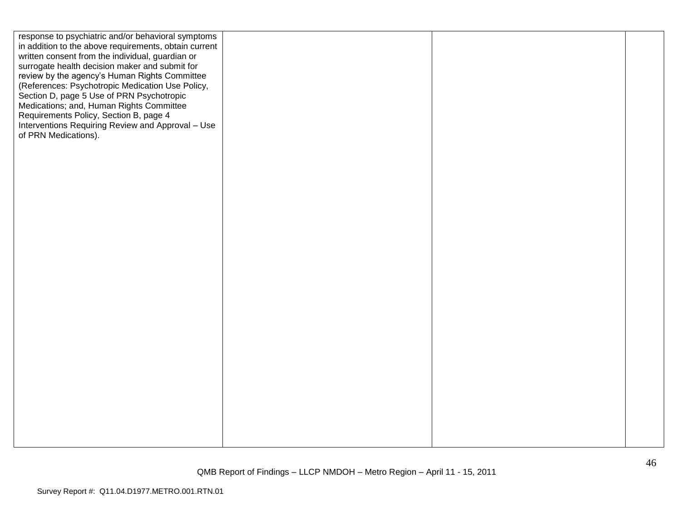| response to psychiatric and/or behavioral symptoms<br>in addition to the above requirements, obtain current<br>written consent from the individual, guardian or<br>surrogate health decision maker and submit for<br>review by the agency's Human Rights Committee<br>(References: Psychotropic Medication Use Policy,<br>Section D, page 5 Use of PRN Psychotropic<br>Medications; and, Human Rights Committee<br>Requirements Policy, Section B, page 4<br>Interventions Requiring Review and Approval - Use<br>of PRN Medications). |  |  |
|----------------------------------------------------------------------------------------------------------------------------------------------------------------------------------------------------------------------------------------------------------------------------------------------------------------------------------------------------------------------------------------------------------------------------------------------------------------------------------------------------------------------------------------|--|--|
|                                                                                                                                                                                                                                                                                                                                                                                                                                                                                                                                        |  |  |
|                                                                                                                                                                                                                                                                                                                                                                                                                                                                                                                                        |  |  |
|                                                                                                                                                                                                                                                                                                                                                                                                                                                                                                                                        |  |  |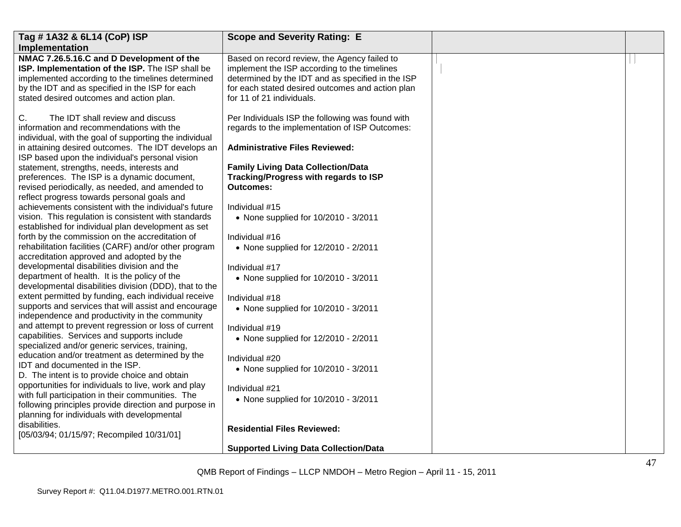| Tag #1A32 & 6L14 (CoP) ISP                                                                                                                                                                                                                        | <b>Scope and Severity Rating: E</b>                                                                                                                                                                                                |  |
|---------------------------------------------------------------------------------------------------------------------------------------------------------------------------------------------------------------------------------------------------|------------------------------------------------------------------------------------------------------------------------------------------------------------------------------------------------------------------------------------|--|
| Implementation                                                                                                                                                                                                                                    |                                                                                                                                                                                                                                    |  |
| NMAC 7.26.5.16.C and D Development of the<br>ISP. Implementation of the ISP. The ISP shall be<br>implemented according to the timelines determined<br>by the IDT and as specified in the ISP for each<br>stated desired outcomes and action plan. | Based on record review, the Agency failed to<br>implement the ISP according to the timelines<br>determined by the IDT and as specified in the ISP<br>for each stated desired outcomes and action plan<br>for 11 of 21 individuals. |  |
| C.<br>The IDT shall review and discuss<br>information and recommendations with the<br>individual, with the goal of supporting the individual<br>in attaining desired outcomes. The IDT develops an                                                | Per Individuals ISP the following was found with<br>regards to the implementation of ISP Outcomes:<br><b>Administrative Files Reviewed:</b>                                                                                        |  |
| ISP based upon the individual's personal vision<br>statement, strengths, needs, interests and                                                                                                                                                     | <b>Family Living Data Collection/Data</b>                                                                                                                                                                                          |  |
| preferences. The ISP is a dynamic document,<br>revised periodically, as needed, and amended to<br>reflect progress towards personal goals and                                                                                                     | Tracking/Progress with regards to ISP<br><b>Outcomes:</b>                                                                                                                                                                          |  |
| achievements consistent with the individual's future                                                                                                                                                                                              | Individual #15                                                                                                                                                                                                                     |  |
| vision. This regulation is consistent with standards<br>established for individual plan development as set                                                                                                                                        | • None supplied for 10/2010 - 3/2011                                                                                                                                                                                               |  |
| forth by the commission on the accreditation of                                                                                                                                                                                                   | Individual #16                                                                                                                                                                                                                     |  |
| rehabilitation facilities (CARF) and/or other program<br>accreditation approved and adopted by the                                                                                                                                                | • None supplied for 12/2010 - 2/2011                                                                                                                                                                                               |  |
| developmental disabilities division and the                                                                                                                                                                                                       | Individual #17                                                                                                                                                                                                                     |  |
| department of health. It is the policy of the<br>developmental disabilities division (DDD), that to the                                                                                                                                           | • None supplied for 10/2010 - 3/2011                                                                                                                                                                                               |  |
| extent permitted by funding, each individual receive                                                                                                                                                                                              | Individual #18                                                                                                                                                                                                                     |  |
| supports and services that will assist and encourage<br>independence and productivity in the community                                                                                                                                            | • None supplied for 10/2010 - 3/2011                                                                                                                                                                                               |  |
| and attempt to prevent regression or loss of current                                                                                                                                                                                              | Individual #19                                                                                                                                                                                                                     |  |
| capabilities. Services and supports include<br>specialized and/or generic services, training,                                                                                                                                                     | • None supplied for 12/2010 - 2/2011                                                                                                                                                                                               |  |
| education and/or treatment as determined by the                                                                                                                                                                                                   | Individual #20                                                                                                                                                                                                                     |  |
| IDT and documented in the ISP.<br>D. The intent is to provide choice and obtain                                                                                                                                                                   | • None supplied for 10/2010 - 3/2011                                                                                                                                                                                               |  |
| opportunities for individuals to live, work and play<br>with full participation in their communities. The<br>following principles provide direction and purpose in<br>planning for individuals with developmental                                 | Individual #21<br>• None supplied for 10/2010 - 3/2011                                                                                                                                                                             |  |
| disabilities.<br>[05/03/94; 01/15/97; Recompiled 10/31/01]                                                                                                                                                                                        | <b>Residential Files Reviewed:</b>                                                                                                                                                                                                 |  |
|                                                                                                                                                                                                                                                   | <b>Supported Living Data Collection/Data</b>                                                                                                                                                                                       |  |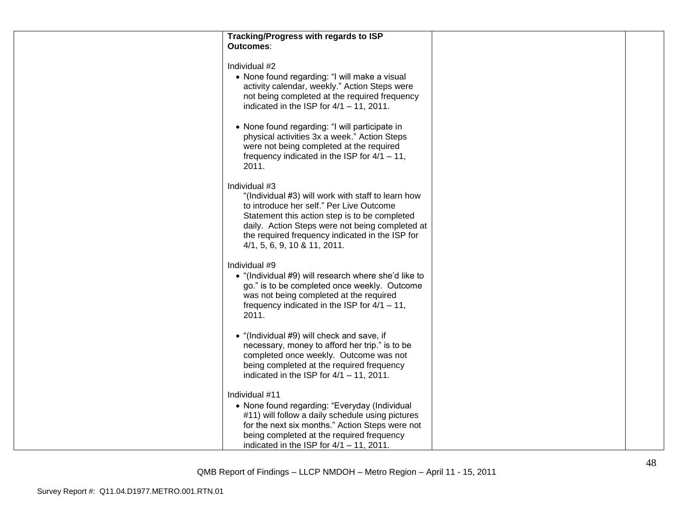| Tracking/Progress with regards to ISP<br><b>Outcomes:</b>                                                                                                                                                                                                                                              |  |
|--------------------------------------------------------------------------------------------------------------------------------------------------------------------------------------------------------------------------------------------------------------------------------------------------------|--|
| Individual #2<br>• None found regarding: "I will make a visual<br>activity calendar, weekly." Action Steps were<br>not being completed at the required frequency<br>indicated in the ISP for $4/1 - 11$ , 2011.                                                                                        |  |
| • None found regarding: "I will participate in<br>physical activities 3x a week." Action Steps<br>were not being completed at the required<br>frequency indicated in the ISP for $4/1 - 11$ ,<br>2011.                                                                                                 |  |
| Individual #3<br>"(Individual #3) will work with staff to learn how<br>to introduce her self." Per Live Outcome<br>Statement this action step is to be completed<br>daily. Action Steps were not being completed at<br>the required frequency indicated in the ISP for<br>4/1, 5, 6, 9, 10 & 11, 2011. |  |
| Individual #9<br>• "(Individual #9) will research where she'd like to<br>go." is to be completed once weekly. Outcome<br>was not being completed at the required<br>frequency indicated in the ISP for $4/1 - 11$ ,<br>2011.                                                                           |  |
| • "(Individual #9) will check and save, if<br>necessary, money to afford her trip." is to be<br>completed once weekly. Outcome was not<br>being completed at the required frequency<br>indicated in the ISP for $4/1 - 11$ , 2011.                                                                     |  |
| Individual #11<br>• None found regarding: "Everyday (Individual<br>#11) will follow a daily schedule using pictures<br>for the next six months." Action Steps were not<br>being completed at the required frequency<br>indicated in the ISP for $4/1 - 11$ , 2011.                                     |  |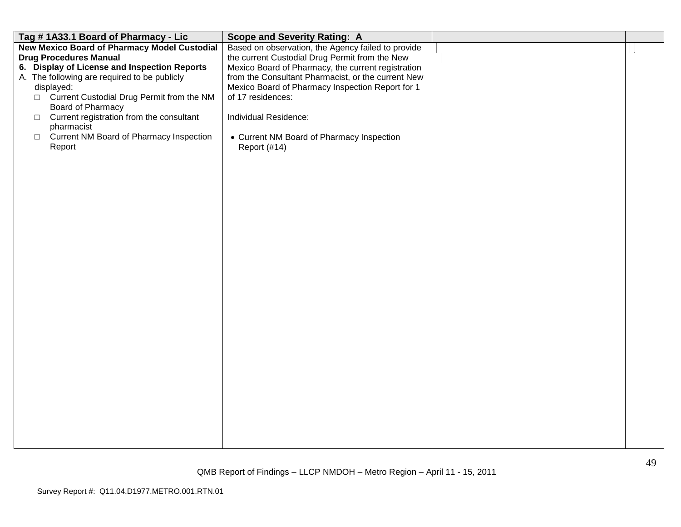| Tag #1A33.1 Board of Pharmacy - Lic                 | <b>Scope and Severity Rating: A</b>                |  |
|-----------------------------------------------------|----------------------------------------------------|--|
| <b>New Mexico Board of Pharmacy Model Custodial</b> | Based on observation, the Agency failed to provide |  |
| <b>Drug Procedures Manual</b>                       | the current Custodial Drug Permit from the New     |  |
| 6. Display of License and Inspection Reports        | Mexico Board of Pharmacy, the current registration |  |
| A. The following are required to be publicly        | from the Consultant Pharmacist, or the current New |  |
| displayed:                                          | Mexico Board of Pharmacy Inspection Report for 1   |  |
| □ Current Custodial Drug Permit from the NM         | of 17 residences:                                  |  |
| Board of Pharmacy                                   |                                                    |  |
| Current registration from the consultant<br>$\Box$  | Individual Residence:                              |  |
| pharmacist                                          |                                                    |  |
| Current NM Board of Pharmacy Inspection<br>$\Box$   | • Current NM Board of Pharmacy Inspection          |  |
| Report                                              | Report (#14)                                       |  |
|                                                     |                                                    |  |
|                                                     |                                                    |  |
|                                                     |                                                    |  |
|                                                     |                                                    |  |
|                                                     |                                                    |  |
|                                                     |                                                    |  |
|                                                     |                                                    |  |
|                                                     |                                                    |  |
|                                                     |                                                    |  |
|                                                     |                                                    |  |
|                                                     |                                                    |  |
|                                                     |                                                    |  |
|                                                     |                                                    |  |
|                                                     |                                                    |  |
|                                                     |                                                    |  |
|                                                     |                                                    |  |
|                                                     |                                                    |  |
|                                                     |                                                    |  |
|                                                     |                                                    |  |
|                                                     |                                                    |  |
|                                                     |                                                    |  |
|                                                     |                                                    |  |
|                                                     |                                                    |  |
|                                                     |                                                    |  |
|                                                     |                                                    |  |
|                                                     |                                                    |  |
|                                                     |                                                    |  |
|                                                     |                                                    |  |
|                                                     |                                                    |  |
|                                                     |                                                    |  |
|                                                     |                                                    |  |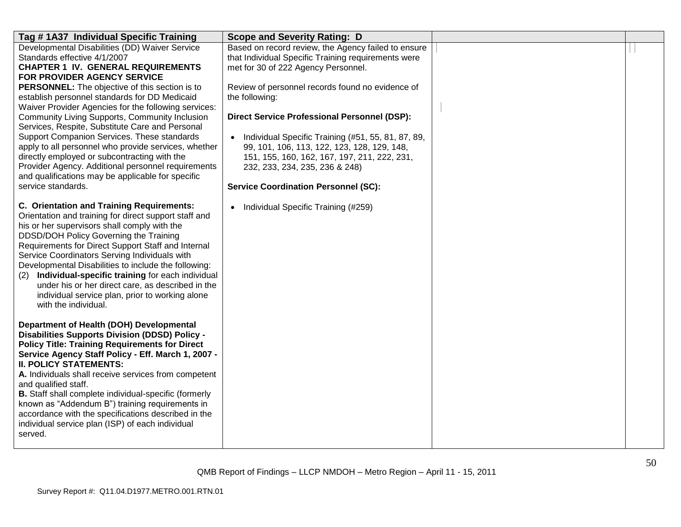| Tag #1A37 Individual Specific Training                                                                                                                                                                                                                                                                                                                                                                                                                                                                                                                        | <b>Scope and Severity Rating: D</b>                                                                                                                                                                      |  |
|---------------------------------------------------------------------------------------------------------------------------------------------------------------------------------------------------------------------------------------------------------------------------------------------------------------------------------------------------------------------------------------------------------------------------------------------------------------------------------------------------------------------------------------------------------------|----------------------------------------------------------------------------------------------------------------------------------------------------------------------------------------------------------|--|
| Developmental Disabilities (DD) Waiver Service<br>Standards effective 4/1/2007<br><b>CHAPTER 1 IV. GENERAL REQUIREMENTS</b><br>FOR PROVIDER AGENCY SERVICE                                                                                                                                                                                                                                                                                                                                                                                                    | Based on record review, the Agency failed to ensure<br>that Individual Specific Training requirements were<br>met for 30 of 222 Agency Personnel.                                                        |  |
| <b>PERSONNEL:</b> The objective of this section is to<br>establish personnel standards for DD Medicaid<br>Waiver Provider Agencies for the following services:                                                                                                                                                                                                                                                                                                                                                                                                | Review of personnel records found no evidence of<br>the following:                                                                                                                                       |  |
| <b>Community Living Supports, Community Inclusion</b><br>Services, Respite, Substitute Care and Personal<br>Support Companion Services. These standards<br>apply to all personnel who provide services, whether<br>directly employed or subcontracting with the                                                                                                                                                                                                                                                                                               | <b>Direct Service Professional Personnel (DSP):</b><br>Individual Specific Training (#51, 55, 81, 87, 89,<br>99, 101, 106, 113, 122, 123, 128, 129, 148,<br>151, 155, 160, 162, 167, 197, 211, 222, 231, |  |
| Provider Agency. Additional personnel requirements<br>and qualifications may be applicable for specific<br>service standards.                                                                                                                                                                                                                                                                                                                                                                                                                                 | 232, 233, 234, 235, 236 & 248)<br><b>Service Coordination Personnel (SC):</b>                                                                                                                            |  |
| <b>C. Orientation and Training Requirements:</b><br>Orientation and training for direct support staff and<br>his or her supervisors shall comply with the<br>DDSD/DOH Policy Governing the Training<br>Requirements for Direct Support Staff and Internal<br>Service Coordinators Serving Individuals with<br>Developmental Disabilities to include the following:<br>Individual-specific training for each individual<br>(2)<br>under his or her direct care, as described in the<br>individual service plan, prior to working alone<br>with the individual. | Individual Specific Training (#259)<br>$\bullet$                                                                                                                                                         |  |
| Department of Health (DOH) Developmental<br><b>Disabilities Supports Division (DDSD) Policy -</b><br><b>Policy Title: Training Requirements for Direct</b><br>Service Agency Staff Policy - Eff. March 1, 2007 -<br><b>II. POLICY STATEMENTS:</b><br>A. Individuals shall receive services from competent<br>and qualified staff.<br><b>B.</b> Staff shall complete individual-specific (formerly<br>known as "Addendum B") training requirements in<br>accordance with the specifications described in the                                                   |                                                                                                                                                                                                          |  |
| individual service plan (ISP) of each individual<br>served.                                                                                                                                                                                                                                                                                                                                                                                                                                                                                                   |                                                                                                                                                                                                          |  |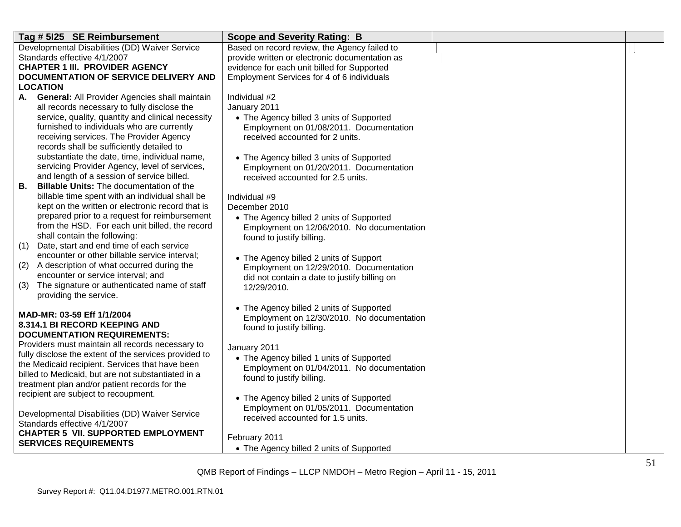| Tag # 5125 SE Reimbursement                                                                               | <b>Scope and Severity Rating: B</b>            |  |
|-----------------------------------------------------------------------------------------------------------|------------------------------------------------|--|
| Developmental Disabilities (DD) Waiver Service                                                            | Based on record review, the Agency failed to   |  |
| Standards effective 4/1/2007                                                                              | provide written or electronic documentation as |  |
| <b>CHAPTER 1 III. PROVIDER AGENCY</b>                                                                     | evidence for each unit billed for Supported    |  |
| DOCUMENTATION OF SERVICE DELIVERY AND                                                                     | Employment Services for 4 of 6 individuals     |  |
| <b>LOCATION</b>                                                                                           |                                                |  |
| A. General: All Provider Agencies shall maintain                                                          | Individual #2                                  |  |
| all records necessary to fully disclose the                                                               | January 2011                                   |  |
| service, quality, quantity and clinical necessity                                                         | • The Agency billed 3 units of Supported       |  |
| furnished to individuals who are currently                                                                | Employment on 01/08/2011. Documentation        |  |
| receiving services. The Provider Agency                                                                   | received accounted for 2 units.                |  |
| records shall be sufficiently detailed to                                                                 |                                                |  |
| substantiate the date, time, individual name,                                                             | • The Agency billed 3 units of Supported       |  |
| servicing Provider Agency, level of services,                                                             | Employment on 01/20/2011. Documentation        |  |
| and length of a session of service billed.<br><b>Billable Units:</b> The documentation of the<br>В.       | received accounted for 2.5 units.              |  |
| billable time spent with an individual shall be                                                           | Individual #9                                  |  |
| kept on the written or electronic record that is                                                          | December 2010                                  |  |
| prepared prior to a request for reimbursement                                                             | • The Agency billed 2 units of Supported       |  |
| from the HSD. For each unit billed, the record                                                            | Employment on 12/06/2010. No documentation     |  |
| shall contain the following:                                                                              | found to justify billing.                      |  |
| (1)<br>Date, start and end time of each service                                                           |                                                |  |
| encounter or other billable service interval;                                                             | • The Agency billed 2 units of Support         |  |
| (2)<br>A description of what occurred during the                                                          | Employment on 12/29/2010. Documentation        |  |
| encounter or service interval; and                                                                        | did not contain a date to justify billing on   |  |
| The signature or authenticated name of staff<br>(3)                                                       | 12/29/2010.                                    |  |
| providing the service.                                                                                    |                                                |  |
|                                                                                                           | • The Agency billed 2 units of Supported       |  |
| MAD-MR: 03-59 Eff 1/1/2004                                                                                | Employment on 12/30/2010. No documentation     |  |
| 8.314.1 BI RECORD KEEPING AND                                                                             | found to justify billing.                      |  |
| <b>DOCUMENTATION REQUIREMENTS:</b>                                                                        |                                                |  |
| Providers must maintain all records necessary to<br>fully disclose the extent of the services provided to | January 2011                                   |  |
| the Medicaid recipient. Services that have been                                                           | • The Agency billed 1 units of Supported       |  |
| billed to Medicaid, but are not substantiated in a                                                        | Employment on 01/04/2011. No documentation     |  |
| treatment plan and/or patient records for the                                                             | found to justify billing.                      |  |
| recipient are subject to recoupment.                                                                      |                                                |  |
|                                                                                                           | • The Agency billed 2 units of Supported       |  |
| Developmental Disabilities (DD) Waiver Service                                                            | Employment on 01/05/2011. Documentation        |  |
| Standards effective 4/1/2007                                                                              | received accounted for 1.5 units.              |  |
| <b>CHAPTER 5 VII. SUPPORTED EMPLOYMENT</b>                                                                | February 2011                                  |  |
| <b>SERVICES REQUIREMENTS</b>                                                                              |                                                |  |
|                                                                                                           | • The Agency billed 2 units of Supported       |  |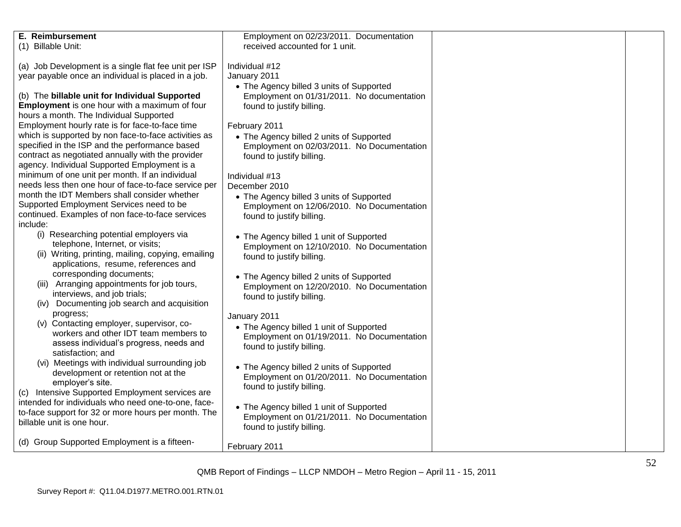| <b>E.</b> Reimbursement                               | Employment on 02/23/2011. Documentation    |  |
|-------------------------------------------------------|--------------------------------------------|--|
| (1) Billable Unit:                                    | received accounted for 1 unit.             |  |
| (a) Job Development is a single flat fee unit per ISP | Individual #12                             |  |
| year payable once an individual is placed in a job.   | January 2011                               |  |
|                                                       | • The Agency billed 3 units of Supported   |  |
|                                                       |                                            |  |
| (b) The billable unit for Individual Supported        | Employment on 01/31/2011. No documentation |  |
| <b>Employment</b> is one hour with a maximum of four  | found to justify billing.                  |  |
| hours a month. The Individual Supported               |                                            |  |
| Employment hourly rate is for face-to-face time       | February 2011                              |  |
| which is supported by non face-to-face activities as  | • The Agency billed 2 units of Supported   |  |
| specified in the ISP and the performance based        | Employment on 02/03/2011. No Documentation |  |
| contract as negotiated annually with the provider     | found to justify billing.                  |  |
| agency. Individual Supported Employment is a          |                                            |  |
| minimum of one unit per month. If an individual       | Individual #13                             |  |
| needs less then one hour of face-to-face service per  | December 2010                              |  |
| month the IDT Members shall consider whether          | • The Agency billed 3 units of Supported   |  |
| Supported Employment Services need to be              | Employment on 12/06/2010. No Documentation |  |
| continued. Examples of non face-to-face services      | found to justify billing.                  |  |
| include:                                              |                                            |  |
| (i) Researching potential employers via               |                                            |  |
| telephone, Internet, or visits;                       | • The Agency billed 1 unit of Supported    |  |
| (ii) Writing, printing, mailing, copying, emailing    | Employment on 12/10/2010. No Documentation |  |
| applications, resume, references and                  | found to justify billing.                  |  |
| corresponding documents;                              |                                            |  |
| (iii) Arranging appointments for job tours,           | • The Agency billed 2 units of Supported   |  |
|                                                       | Employment on 12/20/2010. No Documentation |  |
| interviews, and job trials;                           | found to justify billing.                  |  |
| (iv) Documenting job search and acquisition           |                                            |  |
| progress;                                             | January 2011                               |  |
| (v) Contacting employer, supervisor, co-              | • The Agency billed 1 unit of Supported    |  |
| workers and other IDT team members to                 | Employment on 01/19/2011. No Documentation |  |
| assess individual's progress, needs and               | found to justify billing.                  |  |
| satisfaction; and                                     |                                            |  |
| (vi) Meetings with individual surrounding job         | • The Agency billed 2 units of Supported   |  |
| development or retention not at the                   | Employment on 01/20/2011. No Documentation |  |
| employer's site.                                      | found to justify billing.                  |  |
| (c) Intensive Supported Employment services are       |                                            |  |
| intended for individuals who need one-to-one, face-   | • The Agency billed 1 unit of Supported    |  |
| to-face support for 32 or more hours per month. The   | Employment on 01/21/2011. No Documentation |  |
| billable unit is one hour.                            | found to justify billing.                  |  |
|                                                       |                                            |  |
| (d) Group Supported Employment is a fifteen-          |                                            |  |
|                                                       | February 2011                              |  |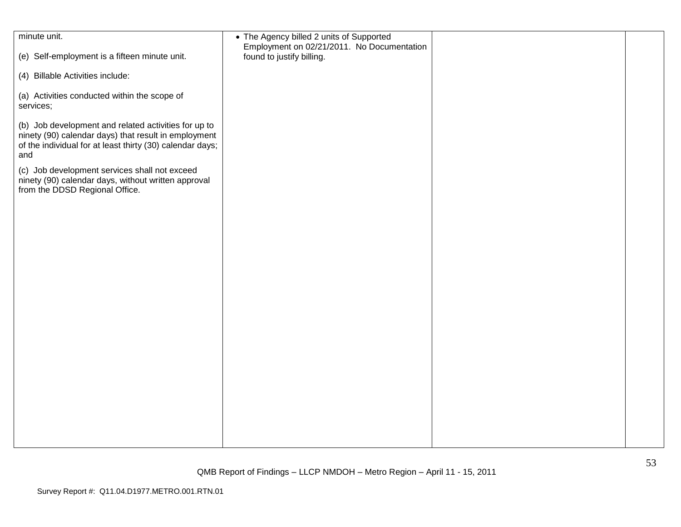| minute unit.                                                                                                                                                                     | • The Agency billed 2 units of Supported<br>Employment on 02/21/2011. No Documentation |  |
|----------------------------------------------------------------------------------------------------------------------------------------------------------------------------------|----------------------------------------------------------------------------------------|--|
| (e) Self-employment is a fifteen minute unit.                                                                                                                                    | found to justify billing.                                                              |  |
| (4) Billable Activities include:                                                                                                                                                 |                                                                                        |  |
| (a) Activities conducted within the scope of<br>services;                                                                                                                        |                                                                                        |  |
| (b) Job development and related activities for up to<br>ninety (90) calendar days) that result in employment<br>of the individual for at least thirty (30) calendar days;<br>and |                                                                                        |  |
| (c) Job development services shall not exceed<br>ninety (90) calendar days, without written approval<br>from the DDSD Regional Office.                                           |                                                                                        |  |
|                                                                                                                                                                                  |                                                                                        |  |
|                                                                                                                                                                                  |                                                                                        |  |
|                                                                                                                                                                                  |                                                                                        |  |
|                                                                                                                                                                                  |                                                                                        |  |
|                                                                                                                                                                                  |                                                                                        |  |
|                                                                                                                                                                                  |                                                                                        |  |
|                                                                                                                                                                                  |                                                                                        |  |
|                                                                                                                                                                                  |                                                                                        |  |
|                                                                                                                                                                                  |                                                                                        |  |
|                                                                                                                                                                                  |                                                                                        |  |
|                                                                                                                                                                                  |                                                                                        |  |
|                                                                                                                                                                                  |                                                                                        |  |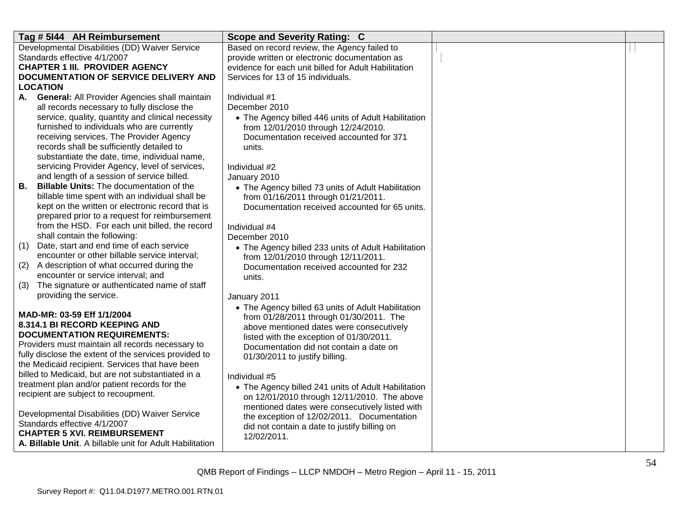|           | Tag # 5144 AH Reimbursement                                                        | Scope and Severity Rating: C                                                        |  |
|-----------|------------------------------------------------------------------------------------|-------------------------------------------------------------------------------------|--|
|           | Developmental Disabilities (DD) Waiver Service                                     | Based on record review, the Agency failed to                                        |  |
|           | Standards effective 4/1/2007                                                       | provide written or electronic documentation as                                      |  |
|           | <b>CHAPTER 1 III. PROVIDER AGENCY</b>                                              | evidence for each unit billed for Adult Habilitation                                |  |
|           | DOCUMENTATION OF SERVICE DELIVERY AND                                              | Services for 13 of 15 individuals.                                                  |  |
|           | <b>LOCATION</b>                                                                    |                                                                                     |  |
|           | A. General: All Provider Agencies shall maintain                                   | Individual #1                                                                       |  |
|           | all records necessary to fully disclose the                                        | December 2010                                                                       |  |
|           | service, quality, quantity and clinical necessity                                  | • The Agency billed 446 units of Adult Habilitation                                 |  |
|           | furnished to individuals who are currently                                         | from 12/01/2010 through 12/24/2010.                                                 |  |
|           | receiving services. The Provider Agency                                            | Documentation received accounted for 371                                            |  |
|           | records shall be sufficiently detailed to                                          | units.                                                                              |  |
|           | substantiate the date, time, individual name,                                      |                                                                                     |  |
|           | servicing Provider Agency, level of services,                                      | Individual #2                                                                       |  |
|           | and length of a session of service billed.                                         | January 2010                                                                        |  |
| <b>B.</b> | <b>Billable Units: The documentation of the</b>                                    | • The Agency billed 73 units of Adult Habilitation                                  |  |
|           | billable time spent with an individual shall be                                    | from 01/16/2011 through 01/21/2011.                                                 |  |
|           | kept on the written or electronic record that is                                   | Documentation received accounted for 65 units.                                      |  |
|           | prepared prior to a request for reimbursement                                      |                                                                                     |  |
|           | from the HSD. For each unit billed, the record                                     | Individual #4                                                                       |  |
|           | shall contain the following:                                                       | December 2010                                                                       |  |
| (1)       | Date, start and end time of each service                                           | • The Agency billed 233 units of Adult Habilitation                                 |  |
|           | encounter or other billable service interval;                                      | from 12/01/2010 through 12/11/2011.                                                 |  |
| (2)       | A description of what occurred during the                                          | Documentation received accounted for 232                                            |  |
| (3)       | encounter or service interval; and<br>The signature or authenticated name of staff | units.                                                                              |  |
|           | providing the service.                                                             |                                                                                     |  |
|           |                                                                                    | January 2011                                                                        |  |
|           | MAD-MR: 03-59 Eff 1/1/2004                                                         | • The Agency billed 63 units of Adult Habilitation                                  |  |
|           | 8.314.1 BI RECORD KEEPING AND                                                      | from 01/28/2011 through 01/30/2011. The                                             |  |
|           | <b>DOCUMENTATION REQUIREMENTS:</b>                                                 | above mentioned dates were consecutively                                            |  |
|           | Providers must maintain all records necessary to                                   | listed with the exception of 01/30/2011.<br>Documentation did not contain a date on |  |
|           | fully disclose the extent of the services provided to                              | 01/30/2011 to justify billing.                                                      |  |
|           | the Medicaid recipient. Services that have been                                    |                                                                                     |  |
|           | billed to Medicaid, but are not substantiated in a                                 | Individual #5                                                                       |  |
|           | treatment plan and/or patient records for the                                      | • The Agency billed 241 units of Adult Habilitation                                 |  |
|           | recipient are subject to recoupment.                                               | on 12/01/2010 through 12/11/2010. The above                                         |  |
|           |                                                                                    | mentioned dates were consecutively listed with                                      |  |
|           | Developmental Disabilities (DD) Waiver Service                                     | the exception of 12/02/2011. Documentation                                          |  |
|           | Standards effective 4/1/2007                                                       | did not contain a date to justify billing on                                        |  |
|           | <b>CHAPTER 5 XVI. REIMBURSEMENT</b>                                                | 12/02/2011.                                                                         |  |
|           | A. Billable Unit. A billable unit for Adult Habilitation                           |                                                                                     |  |
|           |                                                                                    |                                                                                     |  |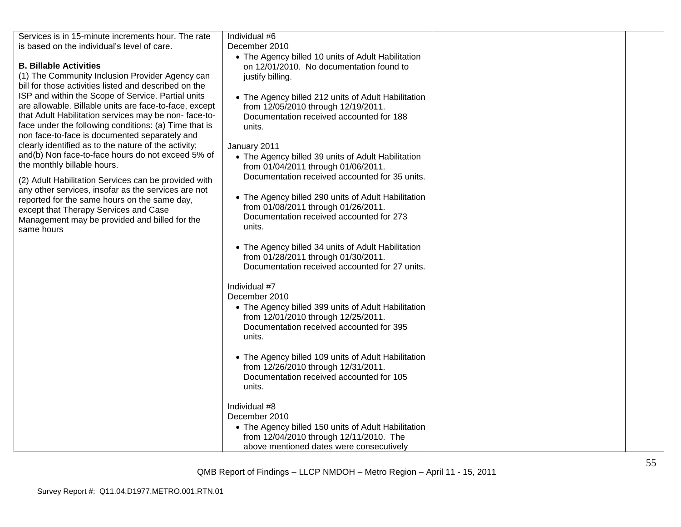| Services is in 15-minute increments hour. The rate     | Individual #6                                                                                  |  |
|--------------------------------------------------------|------------------------------------------------------------------------------------------------|--|
| is based on the individual's level of care.            | December 2010                                                                                  |  |
|                                                        |                                                                                                |  |
| <b>B. Billable Activities</b>                          | • The Agency billed 10 units of Adult Habilitation<br>on 12/01/2010. No documentation found to |  |
| (1) The Community Inclusion Provider Agency can        |                                                                                                |  |
| bill for those activities listed and described on the  | justify billing.                                                                               |  |
|                                                        |                                                                                                |  |
| ISP and within the Scope of Service. Partial units     | • The Agency billed 212 units of Adult Habilitation                                            |  |
| are allowable. Billable units are face-to-face, except | from 12/05/2010 through 12/19/2011.                                                            |  |
| that Adult Habilitation services may be non-face-to-   | Documentation received accounted for 188                                                       |  |
| face under the following conditions: (a) Time that is  | units.                                                                                         |  |
| non face-to-face is documented separately and          |                                                                                                |  |
| clearly identified as to the nature of the activity;   | January 2011                                                                                   |  |
| and(b) Non face-to-face hours do not exceed 5% of      | • The Agency billed 39 units of Adult Habilitation                                             |  |
| the monthly billable hours.                            | from 01/04/2011 through 01/06/2011.                                                            |  |
| (2) Adult Habilitation Services can be provided with   | Documentation received accounted for 35 units.                                                 |  |
| any other services, insofar as the services are not    |                                                                                                |  |
| reported for the same hours on the same day,           | • The Agency billed 290 units of Adult Habilitation                                            |  |
| except that Therapy Services and Case                  | from 01/08/2011 through 01/26/2011.                                                            |  |
| Management may be provided and billed for the          | Documentation received accounted for 273                                                       |  |
| same hours                                             | units.                                                                                         |  |
|                                                        |                                                                                                |  |
|                                                        | • The Agency billed 34 units of Adult Habilitation                                             |  |
|                                                        | from 01/28/2011 through 01/30/2011.                                                            |  |
|                                                        | Documentation received accounted for 27 units.                                                 |  |
|                                                        |                                                                                                |  |
|                                                        | Individual #7                                                                                  |  |
|                                                        | December 2010                                                                                  |  |
|                                                        | • The Agency billed 399 units of Adult Habilitation                                            |  |
|                                                        | from 12/01/2010 through 12/25/2011.                                                            |  |
|                                                        | Documentation received accounted for 395                                                       |  |
|                                                        | units.                                                                                         |  |
|                                                        |                                                                                                |  |
|                                                        | • The Agency billed 109 units of Adult Habilitation                                            |  |
|                                                        | from 12/26/2010 through 12/31/2011.                                                            |  |
|                                                        | Documentation received accounted for 105                                                       |  |
|                                                        | units.                                                                                         |  |
|                                                        |                                                                                                |  |
|                                                        | Individual #8                                                                                  |  |
|                                                        | December 2010                                                                                  |  |
|                                                        | • The Agency billed 150 units of Adult Habilitation                                            |  |
|                                                        | from 12/04/2010 through 12/11/2010. The                                                        |  |
|                                                        | above mentioned dates were consecutively                                                       |  |
|                                                        |                                                                                                |  |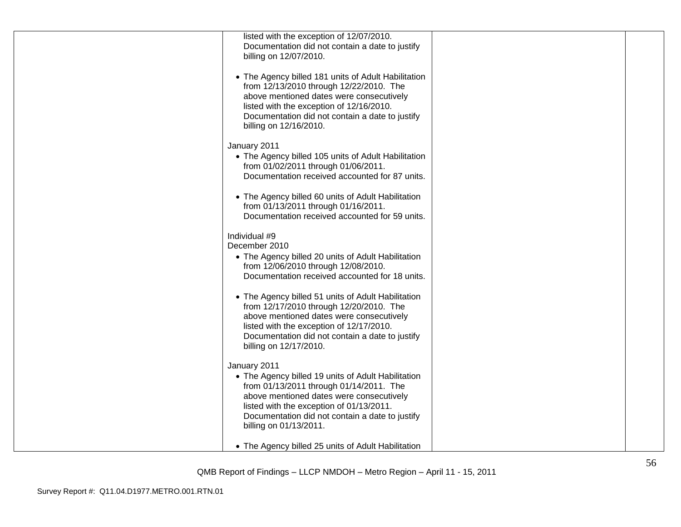| listed with the exception of 12/07/2010.<br>Documentation did not contain a date to justify<br>billing on 12/07/2010.                                                                                                                                                              |  |
|------------------------------------------------------------------------------------------------------------------------------------------------------------------------------------------------------------------------------------------------------------------------------------|--|
| • The Agency billed 181 units of Adult Habilitation<br>from 12/13/2010 through 12/22/2010. The<br>above mentioned dates were consecutively<br>listed with the exception of 12/16/2010.<br>Documentation did not contain a date to justify<br>billing on 12/16/2010.                |  |
| January 2011<br>• The Agency billed 105 units of Adult Habilitation<br>from 01/02/2011 through 01/06/2011.<br>Documentation received accounted for 87 units.                                                                                                                       |  |
| • The Agency billed 60 units of Adult Habilitation<br>from 01/13/2011 through 01/16/2011.<br>Documentation received accounted for 59 units.                                                                                                                                        |  |
| Individual #9<br>December 2010<br>• The Agency billed 20 units of Adult Habilitation<br>from 12/06/2010 through 12/08/2010.<br>Documentation received accounted for 18 units.                                                                                                      |  |
| • The Agency billed 51 units of Adult Habilitation<br>from 12/17/2010 through 12/20/2010. The<br>above mentioned dates were consecutively<br>listed with the exception of 12/17/2010.<br>Documentation did not contain a date to justify<br>billing on 12/17/2010.                 |  |
| January 2011<br>• The Agency billed 19 units of Adult Habilitation<br>from 01/13/2011 through 01/14/2011. The<br>above mentioned dates were consecutively<br>listed with the exception of 01/13/2011.<br>Documentation did not contain a date to justify<br>billing on 01/13/2011. |  |
| • The Agency billed 25 units of Adult Habilitation                                                                                                                                                                                                                                 |  |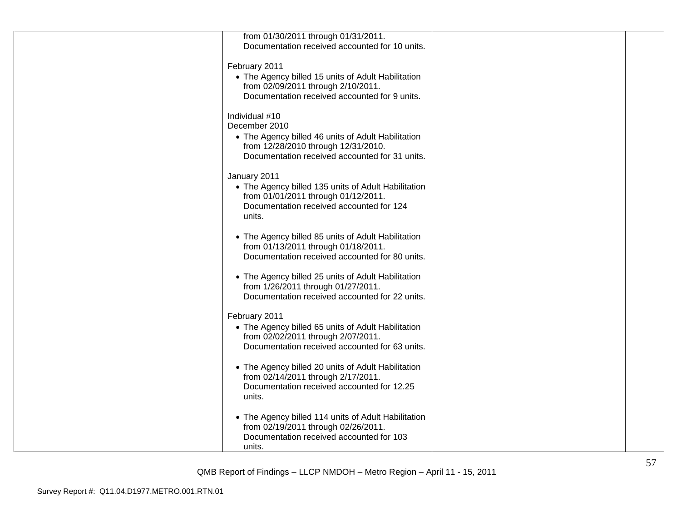| from 01/30/2011 through 01/31/2011.                 |  |
|-----------------------------------------------------|--|
| Documentation received accounted for 10 units.      |  |
|                                                     |  |
| February 2011                                       |  |
|                                                     |  |
| • The Agency billed 15 units of Adult Habilitation  |  |
| from 02/09/2011 through 2/10/2011.                  |  |
| Documentation received accounted for 9 units.       |  |
|                                                     |  |
| Individual #10                                      |  |
|                                                     |  |
| December 2010                                       |  |
| • The Agency billed 46 units of Adult Habilitation  |  |
| from 12/28/2010 through 12/31/2010.                 |  |
| Documentation received accounted for 31 units.      |  |
|                                                     |  |
|                                                     |  |
| January 2011                                        |  |
| • The Agency billed 135 units of Adult Habilitation |  |
| from 01/01/2011 through 01/12/2011.                 |  |
| Documentation received accounted for 124            |  |
| units.                                              |  |
|                                                     |  |
|                                                     |  |
| • The Agency billed 85 units of Adult Habilitation  |  |
| from 01/13/2011 through 01/18/2011.                 |  |
| Documentation received accounted for 80 units.      |  |
|                                                     |  |
|                                                     |  |
| • The Agency billed 25 units of Adult Habilitation  |  |
| from 1/26/2011 through 01/27/2011.                  |  |
| Documentation received accounted for 22 units.      |  |
|                                                     |  |
| February 2011                                       |  |
| • The Agency billed 65 units of Adult Habilitation  |  |
|                                                     |  |
| from 02/02/2011 through 2/07/2011.                  |  |
| Documentation received accounted for 63 units.      |  |
|                                                     |  |
| • The Agency billed 20 units of Adult Habilitation  |  |
| from 02/14/2011 through 2/17/2011.                  |  |
| Documentation received accounted for 12.25          |  |
|                                                     |  |
| units.                                              |  |
|                                                     |  |
| • The Agency billed 114 units of Adult Habilitation |  |
| from 02/19/2011 through 02/26/2011.                 |  |
| Documentation received accounted for 103            |  |
|                                                     |  |
| units.                                              |  |
|                                                     |  |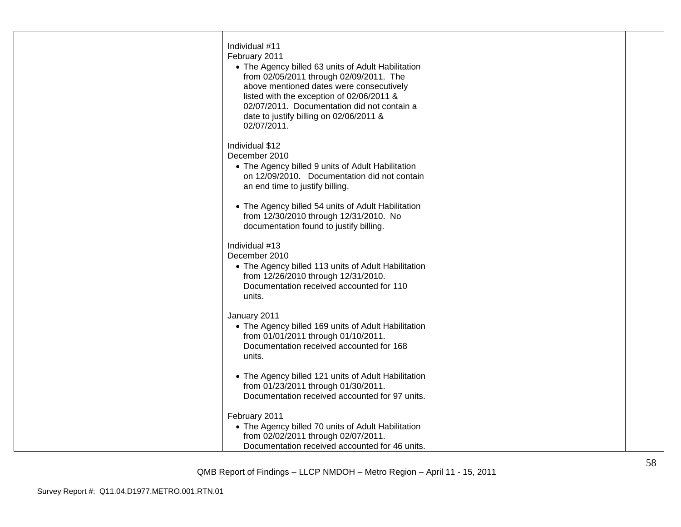| Individual #11<br>February 2011<br>• The Agency billed 63 units of Adult Habilitation<br>from 02/05/2011 through 02/09/2011. The<br>above mentioned dates were consecutively<br>listed with the exception of 02/06/2011 &<br>02/07/2011. Documentation did not contain a<br>date to justify billing on 02/06/2011 &<br>02/07/2011. |  |
|------------------------------------------------------------------------------------------------------------------------------------------------------------------------------------------------------------------------------------------------------------------------------------------------------------------------------------|--|
| Individual \$12<br>December 2010<br>• The Agency billed 9 units of Adult Habilitation<br>on 12/09/2010. Documentation did not contain<br>an end time to justify billing.                                                                                                                                                           |  |
| • The Agency billed 54 units of Adult Habilitation<br>from 12/30/2010 through 12/31/2010. No<br>documentation found to justify billing.                                                                                                                                                                                            |  |
| Individual #13<br>December 2010<br>• The Agency billed 113 units of Adult Habilitation<br>from 12/26/2010 through 12/31/2010.<br>Documentation received accounted for 110<br>units.                                                                                                                                                |  |
| January 2011<br>• The Agency billed 169 units of Adult Habilitation<br>from 01/01/2011 through 01/10/2011.<br>Documentation received accounted for 168<br>units.                                                                                                                                                                   |  |
| • The Agency billed 121 units of Adult Habilitation<br>from 01/23/2011 through 01/30/2011.<br>Documentation received accounted for 97 units.                                                                                                                                                                                       |  |
| February 2011<br>• The Agency billed 70 units of Adult Habilitation<br>from 02/02/2011 through 02/07/2011.<br>Documentation received accounted for 46 units.                                                                                                                                                                       |  |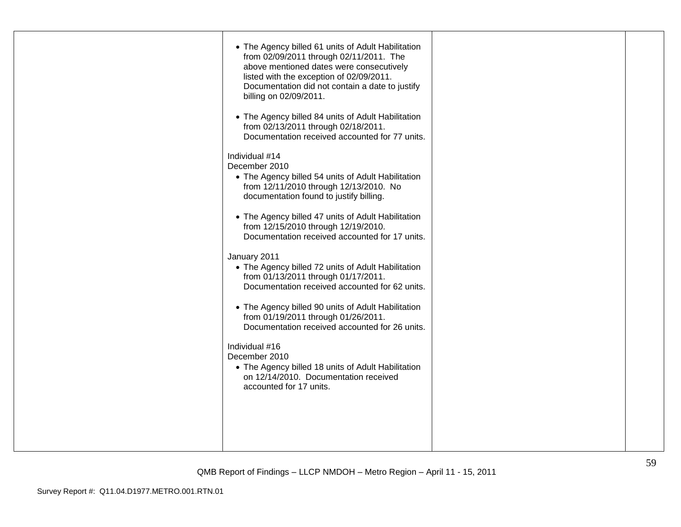| • The Agency billed 61 units of Adult Habilitation<br>from 02/09/2011 through 02/11/2011. The<br>above mentioned dates were consecutively<br>listed with the exception of 02/09/2011.<br>Documentation did not contain a date to justify<br>billing on 02/09/2011.<br>• The Agency billed 84 units of Adult Habilitation<br>from 02/13/2011 through 02/18/2011.<br>Documentation received accounted for 77 units.<br>Individual #14<br>December 2010<br>• The Agency billed 54 units of Adult Habilitation<br>from 12/11/2010 through 12/13/2010. No<br>documentation found to justify billing.<br>• The Agency billed 47 units of Adult Habilitation<br>from 12/15/2010 through 12/19/2010.<br>Documentation received accounted for 17 units.<br>January 2011<br>• The Agency billed 72 units of Adult Habilitation<br>from 01/13/2011 through 01/17/2011.<br>Documentation received accounted for 62 units.<br>• The Agency billed 90 units of Adult Habilitation<br>from 01/19/2011 through 01/26/2011.<br>Documentation received accounted for 26 units.<br>Individual #16<br>December 2010 |  |
|-------------------------------------------------------------------------------------------------------------------------------------------------------------------------------------------------------------------------------------------------------------------------------------------------------------------------------------------------------------------------------------------------------------------------------------------------------------------------------------------------------------------------------------------------------------------------------------------------------------------------------------------------------------------------------------------------------------------------------------------------------------------------------------------------------------------------------------------------------------------------------------------------------------------------------------------------------------------------------------------------------------------------------------------------------------------------------------------------|--|
| • The Agency billed 18 units of Adult Habilitation<br>on 12/14/2010. Documentation received<br>accounted for 17 units.                                                                                                                                                                                                                                                                                                                                                                                                                                                                                                                                                                                                                                                                                                                                                                                                                                                                                                                                                                          |  |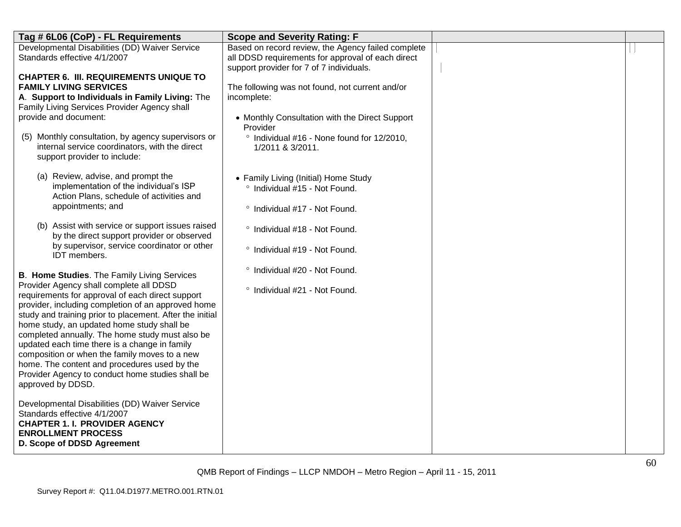| Tag # 6L06 (CoP) - FL Requirements                                                            | <b>Scope and Severity Rating: F</b>                        |  |
|-----------------------------------------------------------------------------------------------|------------------------------------------------------------|--|
| Developmental Disabilities (DD) Waiver Service                                                | Based on record review, the Agency failed complete         |  |
| Standards effective 4/1/2007                                                                  | all DDSD requirements for approval of each direct          |  |
|                                                                                               | support provider for 7 of 7 individuals.                   |  |
| <b>CHAPTER 6. III. REQUIREMENTS UNIQUE TO</b>                                                 |                                                            |  |
| <b>FAMILY LIVING SERVICES</b>                                                                 | The following was not found, not current and/or            |  |
| A. Support to Individuals in Family Living: The                                               | incomplete:                                                |  |
| Family Living Services Provider Agency shall<br>provide and document:                         |                                                            |  |
|                                                                                               | • Monthly Consultation with the Direct Support<br>Provider |  |
| Monthly consultation, by agency supervisors or<br>(5)                                         | ° Individual #16 - None found for 12/2010,                 |  |
| internal service coordinators, with the direct                                                | 1/2011 & 3/2011.                                           |  |
| support provider to include:                                                                  |                                                            |  |
|                                                                                               |                                                            |  |
| (a) Review, advise, and prompt the                                                            | • Family Living (Initial) Home Study                       |  |
| implementation of the individual's ISP                                                        | ° Individual #15 - Not Found.                              |  |
| Action Plans, schedule of activities and                                                      |                                                            |  |
| appointments; and                                                                             | <sup>o</sup> Individual #17 - Not Found.                   |  |
|                                                                                               |                                                            |  |
| (b) Assist with service or support issues raised                                              | ° Individual #18 - Not Found.                              |  |
| by the direct support provider or observed<br>by supervisor, service coordinator or other     |                                                            |  |
| <b>IDT</b> members.                                                                           | ° Individual #19 - Not Found.                              |  |
|                                                                                               |                                                            |  |
| <b>B. Home Studies.</b> The Family Living Services                                            | ° Individual #20 - Not Found.                              |  |
| Provider Agency shall complete all DDSD                                                       |                                                            |  |
| requirements for approval of each direct support                                              | ° Individual #21 - Not Found.                              |  |
| provider, including completion of an approved home                                            |                                                            |  |
| study and training prior to placement. After the initial                                      |                                                            |  |
| home study, an updated home study shall be                                                    |                                                            |  |
| completed annually. The home study must also be                                               |                                                            |  |
| updated each time there is a change in family                                                 |                                                            |  |
| composition or when the family moves to a new<br>home. The content and procedures used by the |                                                            |  |
| Provider Agency to conduct home studies shall be                                              |                                                            |  |
| approved by DDSD.                                                                             |                                                            |  |
|                                                                                               |                                                            |  |
| Developmental Disabilities (DD) Waiver Service                                                |                                                            |  |
| Standards effective 4/1/2007                                                                  |                                                            |  |
| <b>CHAPTER 1. I. PROVIDER AGENCY</b>                                                          |                                                            |  |
| <b>ENROLLMENT PROCESS</b>                                                                     |                                                            |  |
| D. Scope of DDSD Agreement                                                                    |                                                            |  |
|                                                                                               |                                                            |  |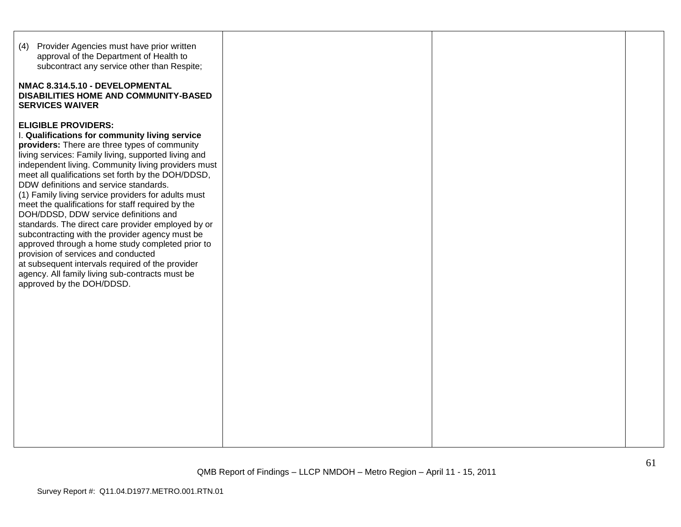| (4) Provider Agencies must have prior written<br>approval of the Department of Health to<br>subcontract any service other than Respite;<br>NMAC 8.314.5.10 - DEVELOPMENTAL<br><b>DISABILITIES HOME AND COMMUNITY-BASED</b><br><b>SERVICES WAIVER</b>                                                                                                                                                                                                                                                                                                                                                                                                                                                                                                                                                                                      |  |  |
|-------------------------------------------------------------------------------------------------------------------------------------------------------------------------------------------------------------------------------------------------------------------------------------------------------------------------------------------------------------------------------------------------------------------------------------------------------------------------------------------------------------------------------------------------------------------------------------------------------------------------------------------------------------------------------------------------------------------------------------------------------------------------------------------------------------------------------------------|--|--|
| <b>ELIGIBLE PROVIDERS:</b><br>I. Qualifications for community living service<br>providers: There are three types of community<br>living services: Family living, supported living and<br>independent living. Community living providers must<br>meet all qualifications set forth by the DOH/DDSD,<br>DDW definitions and service standards.<br>(1) Family living service providers for adults must<br>meet the qualifications for staff required by the<br>DOH/DDSD, DDW service definitions and<br>standards. The direct care provider employed by or<br>subcontracting with the provider agency must be<br>approved through a home study completed prior to<br>provision of services and conducted<br>at subsequent intervals required of the provider<br>agency. All family living sub-contracts must be<br>approved by the DOH/DDSD. |  |  |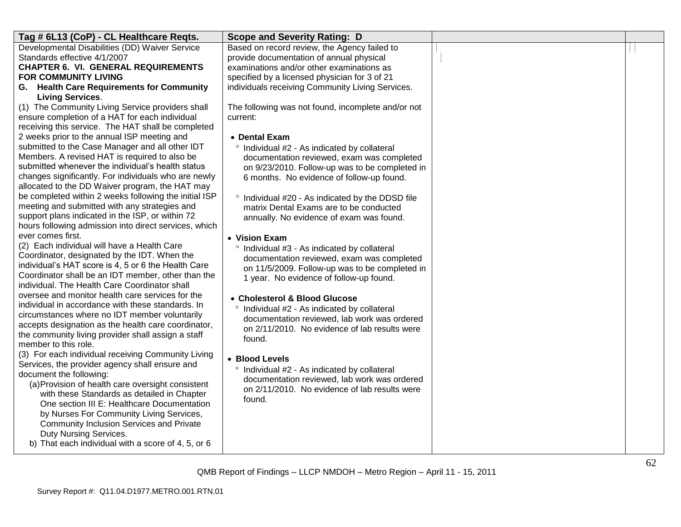| Tag # 6L13 (CoP) - CL Healthcare Reqts.                                                                  | <b>Scope and Severity Rating: D</b>                |  |
|----------------------------------------------------------------------------------------------------------|----------------------------------------------------|--|
| Developmental Disabilities (DD) Waiver Service                                                           | Based on record review, the Agency failed to       |  |
| Standards effective 4/1/2007                                                                             | provide documentation of annual physical           |  |
| <b>CHAPTER 6. VI. GENERAL REQUIREMENTS</b>                                                               | examinations and/or other examinations as          |  |
| <b>FOR COMMUNITY LIVING</b>                                                                              | specified by a licensed physician for 3 of 21      |  |
| G. Health Care Requirements for Community                                                                | individuals receiving Community Living Services.   |  |
| <b>Living Services.</b>                                                                                  |                                                    |  |
| (1) The Community Living Service providers shall                                                         | The following was not found, incomplete and/or not |  |
| ensure completion of a HAT for each individual                                                           | current:                                           |  |
| receiving this service. The HAT shall be completed                                                       |                                                    |  |
| 2 weeks prior to the annual ISP meeting and                                                              | • Dental Exam                                      |  |
| submitted to the Case Manager and all other IDT                                                          | ° Individual #2 - As indicated by collateral       |  |
| Members. A revised HAT is required to also be                                                            | documentation reviewed, exam was completed         |  |
| submitted whenever the individual's health status                                                        | on 9/23/2010. Follow-up was to be completed in     |  |
| changes significantly. For individuals who are newly                                                     | 6 months. No evidence of follow-up found.          |  |
| allocated to the DD Waiver program, the HAT may<br>be completed within 2 weeks following the initial ISP |                                                    |  |
| meeting and submitted with any strategies and                                                            | ° Individual #20 - As indicated by the DDSD file   |  |
| support plans indicated in the ISP, or within 72                                                         | matrix Dental Exams are to be conducted            |  |
| hours following admission into direct services, which                                                    | annually. No evidence of exam was found.           |  |
| ever comes first.                                                                                        | • Vision Exam                                      |  |
| (2) Each individual will have a Health Care                                                              | ° Individual #3 - As indicated by collateral       |  |
| Coordinator, designated by the IDT. When the                                                             | documentation reviewed, exam was completed         |  |
| individual's HAT score is 4, 5 or 6 the Health Care                                                      | on 11/5/2009. Follow-up was to be completed in     |  |
| Coordinator shall be an IDT member, other than the                                                       | 1 year. No evidence of follow-up found.            |  |
| individual. The Health Care Coordinator shall                                                            |                                                    |  |
| oversee and monitor health care services for the                                                         | • Cholesterol & Blood Glucose                      |  |
| individual in accordance with these standards. In                                                        | ° Individual #2 - As indicated by collateral       |  |
| circumstances where no IDT member voluntarily                                                            | documentation reviewed, lab work was ordered       |  |
| accepts designation as the health care coordinator,                                                      | on 2/11/2010. No evidence of lab results were      |  |
| the community living provider shall assign a staff                                                       | found.                                             |  |
| member to this role.                                                                                     |                                                    |  |
| (3) For each individual receiving Community Living                                                       | • Blood Levels                                     |  |
| Services, the provider agency shall ensure and                                                           | ° Individual #2 - As indicated by collateral       |  |
| document the following:<br>(a) Provision of health care oversight consistent                             | documentation reviewed, lab work was ordered       |  |
| with these Standards as detailed in Chapter                                                              | on 2/11/2010. No evidence of lab results were      |  |
| One section III E: Healthcare Documentation                                                              | found.                                             |  |
| by Nurses For Community Living Services,                                                                 |                                                    |  |
| Community Inclusion Services and Private                                                                 |                                                    |  |
| Duty Nursing Services.                                                                                   |                                                    |  |
| b) That each individual with a score of 4, 5, or 6                                                       |                                                    |  |
|                                                                                                          |                                                    |  |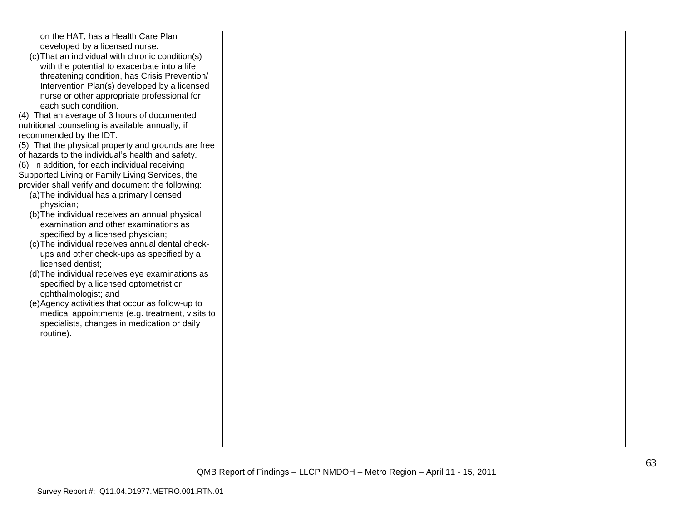| on the HAT, has a Health Care Plan<br>developed by a licensed nurse.<br>(c) That an individual with chronic condition(s)<br>with the potential to exacerbate into a life<br>threatening condition, has Crisis Prevention/<br>Intervention Plan(s) developed by a licensed<br>nurse or other appropriate professional for<br>each such condition.<br>(4) That an average of 3 hours of documented<br>nutritional counseling is available annually, if<br>recommended by the IDT.<br>(5) That the physical property and grounds are free<br>of hazards to the individual's health and safety.<br>(6) In addition, for each individual receiving<br>Supported Living or Family Living Services, the<br>provider shall verify and document the following:<br>(a) The individual has a primary licensed<br>physician;<br>(b) The individual receives an annual physical<br>examination and other examinations as<br>specified by a licensed physician;<br>(c) The individual receives annual dental check-<br>ups and other check-ups as specified by a<br>licensed dentist;<br>(d) The individual receives eye examinations as<br>specified by a licensed optometrist or<br>ophthalmologist; and<br>(e) Agency activities that occur as follow-up to<br>medical appointments (e.g. treatment, visits to |  |  |
|-----------------------------------------------------------------------------------------------------------------------------------------------------------------------------------------------------------------------------------------------------------------------------------------------------------------------------------------------------------------------------------------------------------------------------------------------------------------------------------------------------------------------------------------------------------------------------------------------------------------------------------------------------------------------------------------------------------------------------------------------------------------------------------------------------------------------------------------------------------------------------------------------------------------------------------------------------------------------------------------------------------------------------------------------------------------------------------------------------------------------------------------------------------------------------------------------------------------------------------------------------------------------------------------------------|--|--|
|                                                                                                                                                                                                                                                                                                                                                                                                                                                                                                                                                                                                                                                                                                                                                                                                                                                                                                                                                                                                                                                                                                                                                                                                                                                                                                     |  |  |
|                                                                                                                                                                                                                                                                                                                                                                                                                                                                                                                                                                                                                                                                                                                                                                                                                                                                                                                                                                                                                                                                                                                                                                                                                                                                                                     |  |  |
|                                                                                                                                                                                                                                                                                                                                                                                                                                                                                                                                                                                                                                                                                                                                                                                                                                                                                                                                                                                                                                                                                                                                                                                                                                                                                                     |  |  |
|                                                                                                                                                                                                                                                                                                                                                                                                                                                                                                                                                                                                                                                                                                                                                                                                                                                                                                                                                                                                                                                                                                                                                                                                                                                                                                     |  |  |
|                                                                                                                                                                                                                                                                                                                                                                                                                                                                                                                                                                                                                                                                                                                                                                                                                                                                                                                                                                                                                                                                                                                                                                                                                                                                                                     |  |  |
|                                                                                                                                                                                                                                                                                                                                                                                                                                                                                                                                                                                                                                                                                                                                                                                                                                                                                                                                                                                                                                                                                                                                                                                                                                                                                                     |  |  |
|                                                                                                                                                                                                                                                                                                                                                                                                                                                                                                                                                                                                                                                                                                                                                                                                                                                                                                                                                                                                                                                                                                                                                                                                                                                                                                     |  |  |
|                                                                                                                                                                                                                                                                                                                                                                                                                                                                                                                                                                                                                                                                                                                                                                                                                                                                                                                                                                                                                                                                                                                                                                                                                                                                                                     |  |  |
|                                                                                                                                                                                                                                                                                                                                                                                                                                                                                                                                                                                                                                                                                                                                                                                                                                                                                                                                                                                                                                                                                                                                                                                                                                                                                                     |  |  |
|                                                                                                                                                                                                                                                                                                                                                                                                                                                                                                                                                                                                                                                                                                                                                                                                                                                                                                                                                                                                                                                                                                                                                                                                                                                                                                     |  |  |
|                                                                                                                                                                                                                                                                                                                                                                                                                                                                                                                                                                                                                                                                                                                                                                                                                                                                                                                                                                                                                                                                                                                                                                                                                                                                                                     |  |  |
|                                                                                                                                                                                                                                                                                                                                                                                                                                                                                                                                                                                                                                                                                                                                                                                                                                                                                                                                                                                                                                                                                                                                                                                                                                                                                                     |  |  |
|                                                                                                                                                                                                                                                                                                                                                                                                                                                                                                                                                                                                                                                                                                                                                                                                                                                                                                                                                                                                                                                                                                                                                                                                                                                                                                     |  |  |
|                                                                                                                                                                                                                                                                                                                                                                                                                                                                                                                                                                                                                                                                                                                                                                                                                                                                                                                                                                                                                                                                                                                                                                                                                                                                                                     |  |  |
|                                                                                                                                                                                                                                                                                                                                                                                                                                                                                                                                                                                                                                                                                                                                                                                                                                                                                                                                                                                                                                                                                                                                                                                                                                                                                                     |  |  |
| specialists, changes in medication or daily                                                                                                                                                                                                                                                                                                                                                                                                                                                                                                                                                                                                                                                                                                                                                                                                                                                                                                                                                                                                                                                                                                                                                                                                                                                         |  |  |
| routine).                                                                                                                                                                                                                                                                                                                                                                                                                                                                                                                                                                                                                                                                                                                                                                                                                                                                                                                                                                                                                                                                                                                                                                                                                                                                                           |  |  |
|                                                                                                                                                                                                                                                                                                                                                                                                                                                                                                                                                                                                                                                                                                                                                                                                                                                                                                                                                                                                                                                                                                                                                                                                                                                                                                     |  |  |
|                                                                                                                                                                                                                                                                                                                                                                                                                                                                                                                                                                                                                                                                                                                                                                                                                                                                                                                                                                                                                                                                                                                                                                                                                                                                                                     |  |  |
|                                                                                                                                                                                                                                                                                                                                                                                                                                                                                                                                                                                                                                                                                                                                                                                                                                                                                                                                                                                                                                                                                                                                                                                                                                                                                                     |  |  |
|                                                                                                                                                                                                                                                                                                                                                                                                                                                                                                                                                                                                                                                                                                                                                                                                                                                                                                                                                                                                                                                                                                                                                                                                                                                                                                     |  |  |
|                                                                                                                                                                                                                                                                                                                                                                                                                                                                                                                                                                                                                                                                                                                                                                                                                                                                                                                                                                                                                                                                                                                                                                                                                                                                                                     |  |  |
|                                                                                                                                                                                                                                                                                                                                                                                                                                                                                                                                                                                                                                                                                                                                                                                                                                                                                                                                                                                                                                                                                                                                                                                                                                                                                                     |  |  |
|                                                                                                                                                                                                                                                                                                                                                                                                                                                                                                                                                                                                                                                                                                                                                                                                                                                                                                                                                                                                                                                                                                                                                                                                                                                                                                     |  |  |
|                                                                                                                                                                                                                                                                                                                                                                                                                                                                                                                                                                                                                                                                                                                                                                                                                                                                                                                                                                                                                                                                                                                                                                                                                                                                                                     |  |  |
|                                                                                                                                                                                                                                                                                                                                                                                                                                                                                                                                                                                                                                                                                                                                                                                                                                                                                                                                                                                                                                                                                                                                                                                                                                                                                                     |  |  |
|                                                                                                                                                                                                                                                                                                                                                                                                                                                                                                                                                                                                                                                                                                                                                                                                                                                                                                                                                                                                                                                                                                                                                                                                                                                                                                     |  |  |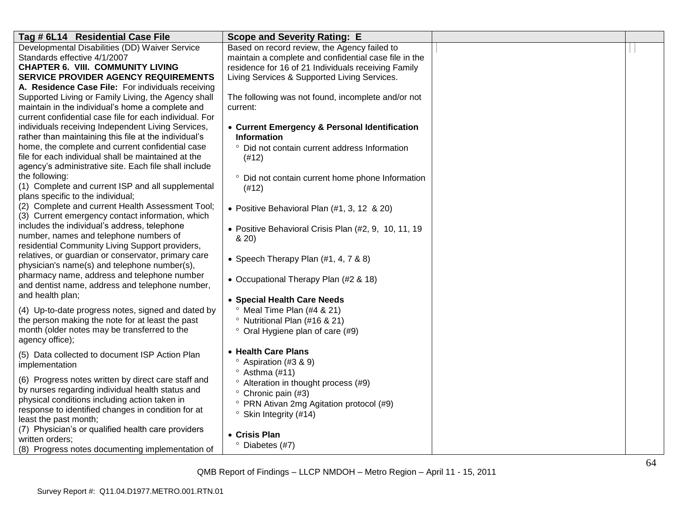| Developmental Disabilities (DD) Waiver Service<br>maintain a complete and confidential case file in the<br>Standards effective 4/1/2007<br>residence for 16 of 21 Individuals receiving Family<br><b>CHAPTER 6. VIII. COMMUNITY LIVING</b><br>Living Services & Supported Living Services.<br><b>SERVICE PROVIDER AGENCY REQUIREMENTS</b><br>A. Residence Case File: For individuals receiving<br>Supported Living or Family Living, the Agency shall<br>The following was not found, incomplete and/or not<br>maintain in the individual's home a complete and<br>current:<br>current confidential case file for each individual. For<br>individuals receiving Independent Living Services,<br>• Current Emergency & Personal Identification<br>rather than maintaining this file at the individual's<br><b>Information</b><br>home, the complete and current confidential case<br>Did not contain current address Information<br>$\circ$<br>file for each individual shall be maintained at the<br>(#12)<br>agency's administrative site. Each file shall include<br>the following:<br>° Did not contain current home phone Information<br>(1) Complete and current ISP and all supplemental<br>(#12)<br>plans specific to the individual;<br>(2) Complete and current Health Assessment Tool;<br>• Positive Behavioral Plan (#1, 3, 12 & 20)<br>(3) Current emergency contact information, which<br>includes the individual's address, telephone<br>• Positive Behavioral Crisis Plan (#2, 9, 10, 11, 19<br>number, names and telephone numbers of<br>& 20)<br>residential Community Living Support providers,<br>relatives, or guardian or conservator, primary care<br>• Speech Therapy Plan $(\#1, 4, 7 \& 8)$<br>physician's name(s) and telephone number(s),<br>pharmacy name, address and telephone number<br>• Occupational Therapy Plan (#2 & 18)<br>and dentist name, address and telephone number,<br>and health plan;<br>• Special Health Care Needs<br>(4) Up-to-date progress notes, signed and dated by<br>Meal Time Plan (#4 & 21)<br>the person making the note for at least the past<br><sup>o</sup> Nutritional Plan (#16 & 21)<br>month (older notes may be transferred to the<br>° Oral Hygiene plan of care (#9)<br>agency office);<br>• Health Care Plans<br>(5) Data collected to document ISP Action Plan<br>Aspiration (#3 & 9)<br>implementation<br>$\degree$ Asthma (#11)<br>(6) Progress notes written by direct care staff and<br><sup>o</sup> Alteration in thought process (#9)<br>by nurses regarding individual health status and<br>° Chronic pain (#3)<br>physical conditions including action taken in<br>° PRN Ativan 2mg Agitation protocol (#9)<br>response to identified changes in condition for at<br>$\degree$ Skin Integrity (#14)<br>least the past month;<br>(7) Physician's or qualified health care providers<br>• Crisis Plan<br>written orders; | Tag # 6L14 Residential Case File | <b>Scope and Severity Rating: E</b>          |  |
|------------------------------------------------------------------------------------------------------------------------------------------------------------------------------------------------------------------------------------------------------------------------------------------------------------------------------------------------------------------------------------------------------------------------------------------------------------------------------------------------------------------------------------------------------------------------------------------------------------------------------------------------------------------------------------------------------------------------------------------------------------------------------------------------------------------------------------------------------------------------------------------------------------------------------------------------------------------------------------------------------------------------------------------------------------------------------------------------------------------------------------------------------------------------------------------------------------------------------------------------------------------------------------------------------------------------------------------------------------------------------------------------------------------------------------------------------------------------------------------------------------------------------------------------------------------------------------------------------------------------------------------------------------------------------------------------------------------------------------------------------------------------------------------------------------------------------------------------------------------------------------------------------------------------------------------------------------------------------------------------------------------------------------------------------------------------------------------------------------------------------------------------------------------------------------------------------------------------------------------------------------------------------------------------------------------------------------------------------------------------------------------------------------------------------------------------------------------------------------------------------------------------------------------------------------------------------------------------------------------------------------------------------------------------------------------------------------------------------------------------------------------------------------------------------------------------------------------------------------------------------------------------------|----------------------------------|----------------------------------------------|--|
|                                                                                                                                                                                                                                                                                                                                                                                                                                                                                                                                                                                                                                                                                                                                                                                                                                                                                                                                                                                                                                                                                                                                                                                                                                                                                                                                                                                                                                                                                                                                                                                                                                                                                                                                                                                                                                                                                                                                                                                                                                                                                                                                                                                                                                                                                                                                                                                                                                                                                                                                                                                                                                                                                                                                                                                                                                                                                                      |                                  | Based on record review, the Agency failed to |  |
|                                                                                                                                                                                                                                                                                                                                                                                                                                                                                                                                                                                                                                                                                                                                                                                                                                                                                                                                                                                                                                                                                                                                                                                                                                                                                                                                                                                                                                                                                                                                                                                                                                                                                                                                                                                                                                                                                                                                                                                                                                                                                                                                                                                                                                                                                                                                                                                                                                                                                                                                                                                                                                                                                                                                                                                                                                                                                                      |                                  |                                              |  |
|                                                                                                                                                                                                                                                                                                                                                                                                                                                                                                                                                                                                                                                                                                                                                                                                                                                                                                                                                                                                                                                                                                                                                                                                                                                                                                                                                                                                                                                                                                                                                                                                                                                                                                                                                                                                                                                                                                                                                                                                                                                                                                                                                                                                                                                                                                                                                                                                                                                                                                                                                                                                                                                                                                                                                                                                                                                                                                      |                                  |                                              |  |
|                                                                                                                                                                                                                                                                                                                                                                                                                                                                                                                                                                                                                                                                                                                                                                                                                                                                                                                                                                                                                                                                                                                                                                                                                                                                                                                                                                                                                                                                                                                                                                                                                                                                                                                                                                                                                                                                                                                                                                                                                                                                                                                                                                                                                                                                                                                                                                                                                                                                                                                                                                                                                                                                                                                                                                                                                                                                                                      |                                  |                                              |  |
|                                                                                                                                                                                                                                                                                                                                                                                                                                                                                                                                                                                                                                                                                                                                                                                                                                                                                                                                                                                                                                                                                                                                                                                                                                                                                                                                                                                                                                                                                                                                                                                                                                                                                                                                                                                                                                                                                                                                                                                                                                                                                                                                                                                                                                                                                                                                                                                                                                                                                                                                                                                                                                                                                                                                                                                                                                                                                                      |                                  |                                              |  |
|                                                                                                                                                                                                                                                                                                                                                                                                                                                                                                                                                                                                                                                                                                                                                                                                                                                                                                                                                                                                                                                                                                                                                                                                                                                                                                                                                                                                                                                                                                                                                                                                                                                                                                                                                                                                                                                                                                                                                                                                                                                                                                                                                                                                                                                                                                                                                                                                                                                                                                                                                                                                                                                                                                                                                                                                                                                                                                      |                                  |                                              |  |
|                                                                                                                                                                                                                                                                                                                                                                                                                                                                                                                                                                                                                                                                                                                                                                                                                                                                                                                                                                                                                                                                                                                                                                                                                                                                                                                                                                                                                                                                                                                                                                                                                                                                                                                                                                                                                                                                                                                                                                                                                                                                                                                                                                                                                                                                                                                                                                                                                                                                                                                                                                                                                                                                                                                                                                                                                                                                                                      |                                  |                                              |  |
|                                                                                                                                                                                                                                                                                                                                                                                                                                                                                                                                                                                                                                                                                                                                                                                                                                                                                                                                                                                                                                                                                                                                                                                                                                                                                                                                                                                                                                                                                                                                                                                                                                                                                                                                                                                                                                                                                                                                                                                                                                                                                                                                                                                                                                                                                                                                                                                                                                                                                                                                                                                                                                                                                                                                                                                                                                                                                                      |                                  |                                              |  |
|                                                                                                                                                                                                                                                                                                                                                                                                                                                                                                                                                                                                                                                                                                                                                                                                                                                                                                                                                                                                                                                                                                                                                                                                                                                                                                                                                                                                                                                                                                                                                                                                                                                                                                                                                                                                                                                                                                                                                                                                                                                                                                                                                                                                                                                                                                                                                                                                                                                                                                                                                                                                                                                                                                                                                                                                                                                                                                      |                                  |                                              |  |
|                                                                                                                                                                                                                                                                                                                                                                                                                                                                                                                                                                                                                                                                                                                                                                                                                                                                                                                                                                                                                                                                                                                                                                                                                                                                                                                                                                                                                                                                                                                                                                                                                                                                                                                                                                                                                                                                                                                                                                                                                                                                                                                                                                                                                                                                                                                                                                                                                                                                                                                                                                                                                                                                                                                                                                                                                                                                                                      |                                  |                                              |  |
|                                                                                                                                                                                                                                                                                                                                                                                                                                                                                                                                                                                                                                                                                                                                                                                                                                                                                                                                                                                                                                                                                                                                                                                                                                                                                                                                                                                                                                                                                                                                                                                                                                                                                                                                                                                                                                                                                                                                                                                                                                                                                                                                                                                                                                                                                                                                                                                                                                                                                                                                                                                                                                                                                                                                                                                                                                                                                                      |                                  |                                              |  |
|                                                                                                                                                                                                                                                                                                                                                                                                                                                                                                                                                                                                                                                                                                                                                                                                                                                                                                                                                                                                                                                                                                                                                                                                                                                                                                                                                                                                                                                                                                                                                                                                                                                                                                                                                                                                                                                                                                                                                                                                                                                                                                                                                                                                                                                                                                                                                                                                                                                                                                                                                                                                                                                                                                                                                                                                                                                                                                      |                                  |                                              |  |
|                                                                                                                                                                                                                                                                                                                                                                                                                                                                                                                                                                                                                                                                                                                                                                                                                                                                                                                                                                                                                                                                                                                                                                                                                                                                                                                                                                                                                                                                                                                                                                                                                                                                                                                                                                                                                                                                                                                                                                                                                                                                                                                                                                                                                                                                                                                                                                                                                                                                                                                                                                                                                                                                                                                                                                                                                                                                                                      |                                  |                                              |  |
|                                                                                                                                                                                                                                                                                                                                                                                                                                                                                                                                                                                                                                                                                                                                                                                                                                                                                                                                                                                                                                                                                                                                                                                                                                                                                                                                                                                                                                                                                                                                                                                                                                                                                                                                                                                                                                                                                                                                                                                                                                                                                                                                                                                                                                                                                                                                                                                                                                                                                                                                                                                                                                                                                                                                                                                                                                                                                                      |                                  |                                              |  |
|                                                                                                                                                                                                                                                                                                                                                                                                                                                                                                                                                                                                                                                                                                                                                                                                                                                                                                                                                                                                                                                                                                                                                                                                                                                                                                                                                                                                                                                                                                                                                                                                                                                                                                                                                                                                                                                                                                                                                                                                                                                                                                                                                                                                                                                                                                                                                                                                                                                                                                                                                                                                                                                                                                                                                                                                                                                                                                      |                                  |                                              |  |
|                                                                                                                                                                                                                                                                                                                                                                                                                                                                                                                                                                                                                                                                                                                                                                                                                                                                                                                                                                                                                                                                                                                                                                                                                                                                                                                                                                                                                                                                                                                                                                                                                                                                                                                                                                                                                                                                                                                                                                                                                                                                                                                                                                                                                                                                                                                                                                                                                                                                                                                                                                                                                                                                                                                                                                                                                                                                                                      |                                  |                                              |  |
|                                                                                                                                                                                                                                                                                                                                                                                                                                                                                                                                                                                                                                                                                                                                                                                                                                                                                                                                                                                                                                                                                                                                                                                                                                                                                                                                                                                                                                                                                                                                                                                                                                                                                                                                                                                                                                                                                                                                                                                                                                                                                                                                                                                                                                                                                                                                                                                                                                                                                                                                                                                                                                                                                                                                                                                                                                                                                                      |                                  |                                              |  |
|                                                                                                                                                                                                                                                                                                                                                                                                                                                                                                                                                                                                                                                                                                                                                                                                                                                                                                                                                                                                                                                                                                                                                                                                                                                                                                                                                                                                                                                                                                                                                                                                                                                                                                                                                                                                                                                                                                                                                                                                                                                                                                                                                                                                                                                                                                                                                                                                                                                                                                                                                                                                                                                                                                                                                                                                                                                                                                      |                                  |                                              |  |
|                                                                                                                                                                                                                                                                                                                                                                                                                                                                                                                                                                                                                                                                                                                                                                                                                                                                                                                                                                                                                                                                                                                                                                                                                                                                                                                                                                                                                                                                                                                                                                                                                                                                                                                                                                                                                                                                                                                                                                                                                                                                                                                                                                                                                                                                                                                                                                                                                                                                                                                                                                                                                                                                                                                                                                                                                                                                                                      |                                  |                                              |  |
|                                                                                                                                                                                                                                                                                                                                                                                                                                                                                                                                                                                                                                                                                                                                                                                                                                                                                                                                                                                                                                                                                                                                                                                                                                                                                                                                                                                                                                                                                                                                                                                                                                                                                                                                                                                                                                                                                                                                                                                                                                                                                                                                                                                                                                                                                                                                                                                                                                                                                                                                                                                                                                                                                                                                                                                                                                                                                                      |                                  |                                              |  |
|                                                                                                                                                                                                                                                                                                                                                                                                                                                                                                                                                                                                                                                                                                                                                                                                                                                                                                                                                                                                                                                                                                                                                                                                                                                                                                                                                                                                                                                                                                                                                                                                                                                                                                                                                                                                                                                                                                                                                                                                                                                                                                                                                                                                                                                                                                                                                                                                                                                                                                                                                                                                                                                                                                                                                                                                                                                                                                      |                                  |                                              |  |
|                                                                                                                                                                                                                                                                                                                                                                                                                                                                                                                                                                                                                                                                                                                                                                                                                                                                                                                                                                                                                                                                                                                                                                                                                                                                                                                                                                                                                                                                                                                                                                                                                                                                                                                                                                                                                                                                                                                                                                                                                                                                                                                                                                                                                                                                                                                                                                                                                                                                                                                                                                                                                                                                                                                                                                                                                                                                                                      |                                  |                                              |  |
|                                                                                                                                                                                                                                                                                                                                                                                                                                                                                                                                                                                                                                                                                                                                                                                                                                                                                                                                                                                                                                                                                                                                                                                                                                                                                                                                                                                                                                                                                                                                                                                                                                                                                                                                                                                                                                                                                                                                                                                                                                                                                                                                                                                                                                                                                                                                                                                                                                                                                                                                                                                                                                                                                                                                                                                                                                                                                                      |                                  |                                              |  |
|                                                                                                                                                                                                                                                                                                                                                                                                                                                                                                                                                                                                                                                                                                                                                                                                                                                                                                                                                                                                                                                                                                                                                                                                                                                                                                                                                                                                                                                                                                                                                                                                                                                                                                                                                                                                                                                                                                                                                                                                                                                                                                                                                                                                                                                                                                                                                                                                                                                                                                                                                                                                                                                                                                                                                                                                                                                                                                      |                                  |                                              |  |
|                                                                                                                                                                                                                                                                                                                                                                                                                                                                                                                                                                                                                                                                                                                                                                                                                                                                                                                                                                                                                                                                                                                                                                                                                                                                                                                                                                                                                                                                                                                                                                                                                                                                                                                                                                                                                                                                                                                                                                                                                                                                                                                                                                                                                                                                                                                                                                                                                                                                                                                                                                                                                                                                                                                                                                                                                                                                                                      |                                  |                                              |  |
|                                                                                                                                                                                                                                                                                                                                                                                                                                                                                                                                                                                                                                                                                                                                                                                                                                                                                                                                                                                                                                                                                                                                                                                                                                                                                                                                                                                                                                                                                                                                                                                                                                                                                                                                                                                                                                                                                                                                                                                                                                                                                                                                                                                                                                                                                                                                                                                                                                                                                                                                                                                                                                                                                                                                                                                                                                                                                                      |                                  |                                              |  |
|                                                                                                                                                                                                                                                                                                                                                                                                                                                                                                                                                                                                                                                                                                                                                                                                                                                                                                                                                                                                                                                                                                                                                                                                                                                                                                                                                                                                                                                                                                                                                                                                                                                                                                                                                                                                                                                                                                                                                                                                                                                                                                                                                                                                                                                                                                                                                                                                                                                                                                                                                                                                                                                                                                                                                                                                                                                                                                      |                                  |                                              |  |
|                                                                                                                                                                                                                                                                                                                                                                                                                                                                                                                                                                                                                                                                                                                                                                                                                                                                                                                                                                                                                                                                                                                                                                                                                                                                                                                                                                                                                                                                                                                                                                                                                                                                                                                                                                                                                                                                                                                                                                                                                                                                                                                                                                                                                                                                                                                                                                                                                                                                                                                                                                                                                                                                                                                                                                                                                                                                                                      |                                  |                                              |  |
|                                                                                                                                                                                                                                                                                                                                                                                                                                                                                                                                                                                                                                                                                                                                                                                                                                                                                                                                                                                                                                                                                                                                                                                                                                                                                                                                                                                                                                                                                                                                                                                                                                                                                                                                                                                                                                                                                                                                                                                                                                                                                                                                                                                                                                                                                                                                                                                                                                                                                                                                                                                                                                                                                                                                                                                                                                                                                                      |                                  |                                              |  |
|                                                                                                                                                                                                                                                                                                                                                                                                                                                                                                                                                                                                                                                                                                                                                                                                                                                                                                                                                                                                                                                                                                                                                                                                                                                                                                                                                                                                                                                                                                                                                                                                                                                                                                                                                                                                                                                                                                                                                                                                                                                                                                                                                                                                                                                                                                                                                                                                                                                                                                                                                                                                                                                                                                                                                                                                                                                                                                      |                                  |                                              |  |
|                                                                                                                                                                                                                                                                                                                                                                                                                                                                                                                                                                                                                                                                                                                                                                                                                                                                                                                                                                                                                                                                                                                                                                                                                                                                                                                                                                                                                                                                                                                                                                                                                                                                                                                                                                                                                                                                                                                                                                                                                                                                                                                                                                                                                                                                                                                                                                                                                                                                                                                                                                                                                                                                                                                                                                                                                                                                                                      |                                  |                                              |  |
|                                                                                                                                                                                                                                                                                                                                                                                                                                                                                                                                                                                                                                                                                                                                                                                                                                                                                                                                                                                                                                                                                                                                                                                                                                                                                                                                                                                                                                                                                                                                                                                                                                                                                                                                                                                                                                                                                                                                                                                                                                                                                                                                                                                                                                                                                                                                                                                                                                                                                                                                                                                                                                                                                                                                                                                                                                                                                                      |                                  |                                              |  |
|                                                                                                                                                                                                                                                                                                                                                                                                                                                                                                                                                                                                                                                                                                                                                                                                                                                                                                                                                                                                                                                                                                                                                                                                                                                                                                                                                                                                                                                                                                                                                                                                                                                                                                                                                                                                                                                                                                                                                                                                                                                                                                                                                                                                                                                                                                                                                                                                                                                                                                                                                                                                                                                                                                                                                                                                                                                                                                      |                                  |                                              |  |
|                                                                                                                                                                                                                                                                                                                                                                                                                                                                                                                                                                                                                                                                                                                                                                                                                                                                                                                                                                                                                                                                                                                                                                                                                                                                                                                                                                                                                                                                                                                                                                                                                                                                                                                                                                                                                                                                                                                                                                                                                                                                                                                                                                                                                                                                                                                                                                                                                                                                                                                                                                                                                                                                                                                                                                                                                                                                                                      |                                  |                                              |  |
|                                                                                                                                                                                                                                                                                                                                                                                                                                                                                                                                                                                                                                                                                                                                                                                                                                                                                                                                                                                                                                                                                                                                                                                                                                                                                                                                                                                                                                                                                                                                                                                                                                                                                                                                                                                                                                                                                                                                                                                                                                                                                                                                                                                                                                                                                                                                                                                                                                                                                                                                                                                                                                                                                                                                                                                                                                                                                                      |                                  |                                              |  |
|                                                                                                                                                                                                                                                                                                                                                                                                                                                                                                                                                                                                                                                                                                                                                                                                                                                                                                                                                                                                                                                                                                                                                                                                                                                                                                                                                                                                                                                                                                                                                                                                                                                                                                                                                                                                                                                                                                                                                                                                                                                                                                                                                                                                                                                                                                                                                                                                                                                                                                                                                                                                                                                                                                                                                                                                                                                                                                      |                                  |                                              |  |
|                                                                                                                                                                                                                                                                                                                                                                                                                                                                                                                                                                                                                                                                                                                                                                                                                                                                                                                                                                                                                                                                                                                                                                                                                                                                                                                                                                                                                                                                                                                                                                                                                                                                                                                                                                                                                                                                                                                                                                                                                                                                                                                                                                                                                                                                                                                                                                                                                                                                                                                                                                                                                                                                                                                                                                                                                                                                                                      |                                  |                                              |  |
|                                                                                                                                                                                                                                                                                                                                                                                                                                                                                                                                                                                                                                                                                                                                                                                                                                                                                                                                                                                                                                                                                                                                                                                                                                                                                                                                                                                                                                                                                                                                                                                                                                                                                                                                                                                                                                                                                                                                                                                                                                                                                                                                                                                                                                                                                                                                                                                                                                                                                                                                                                                                                                                                                                                                                                                                                                                                                                      |                                  |                                              |  |
|                                                                                                                                                                                                                                                                                                                                                                                                                                                                                                                                                                                                                                                                                                                                                                                                                                                                                                                                                                                                                                                                                                                                                                                                                                                                                                                                                                                                                                                                                                                                                                                                                                                                                                                                                                                                                                                                                                                                                                                                                                                                                                                                                                                                                                                                                                                                                                                                                                                                                                                                                                                                                                                                                                                                                                                                                                                                                                      |                                  |                                              |  |
| (8) Progress notes documenting implementation of                                                                                                                                                                                                                                                                                                                                                                                                                                                                                                                                                                                                                                                                                                                                                                                                                                                                                                                                                                                                                                                                                                                                                                                                                                                                                                                                                                                                                                                                                                                                                                                                                                                                                                                                                                                                                                                                                                                                                                                                                                                                                                                                                                                                                                                                                                                                                                                                                                                                                                                                                                                                                                                                                                                                                                                                                                                     |                                  | $°$ Diabetes (#7)                            |  |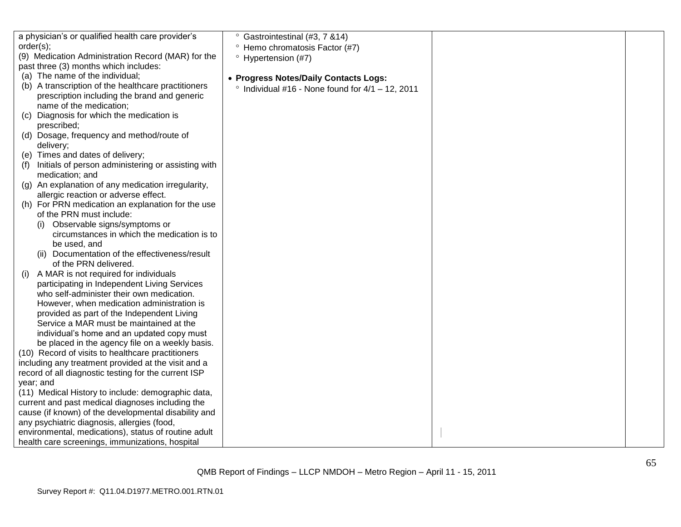| a physician's or qualified health care provider's    | Gastrointestinal (#3, 7 & 14)                            |  |
|------------------------------------------------------|----------------------------------------------------------|--|
| order(s);                                            | <sup>o</sup> Hemo chromatosis Factor (#7)                |  |
| (9) Medication Administration Record (MAR) for the   | $^{\circ}$ Hypertension (#7)                             |  |
| past three (3) months which includes:                |                                                          |  |
| (a) The name of the individual;                      | • Progress Notes/Daily Contacts Logs:                    |  |
| (b) A transcription of the healthcare practitioners  | $\degree$ Individual #16 - None found for 4/1 - 12, 2011 |  |
| prescription including the brand and generic         |                                                          |  |
| name of the medication;                              |                                                          |  |
| Diagnosis for which the medication is<br>(C)         |                                                          |  |
| prescribed;                                          |                                                          |  |
| (d) Dosage, frequency and method/route of            |                                                          |  |
| delivery;                                            |                                                          |  |
| (e) Times and dates of delivery;                     |                                                          |  |
| Initials of person administering or assisting with   |                                                          |  |
| medication; and                                      |                                                          |  |
| (g) An explanation of any medication irregularity,   |                                                          |  |
| allergic reaction or adverse effect.                 |                                                          |  |
| (h) For PRN medication an explanation for the use    |                                                          |  |
| of the PRN must include:                             |                                                          |  |
| Observable signs/symptoms or<br>(1)                  |                                                          |  |
| circumstances in which the medication is to          |                                                          |  |
| be used, and                                         |                                                          |  |
| (ii) Documentation of the effectiveness/result       |                                                          |  |
| of the PRN delivered.                                |                                                          |  |
| A MAR is not required for individuals<br>(1)         |                                                          |  |
| participating in Independent Living Services         |                                                          |  |
| who self-administer their own medication.            |                                                          |  |
| However, when medication administration is           |                                                          |  |
| provided as part of the Independent Living           |                                                          |  |
| Service a MAR must be maintained at the              |                                                          |  |
| individual's home and an updated copy must           |                                                          |  |
| be placed in the agency file on a weekly basis.      |                                                          |  |
| (10) Record of visits to healthcare practitioners    |                                                          |  |
| including any treatment provided at the visit and a  |                                                          |  |
| record of all diagnostic testing for the current ISP |                                                          |  |
| year; and                                            |                                                          |  |
| (11) Medical History to include: demographic data,   |                                                          |  |
| current and past medical diagnoses including the     |                                                          |  |
| cause (if known) of the developmental disability and |                                                          |  |
| any psychiatric diagnosis, allergies (food,          |                                                          |  |
| environmental, medications), status of routine adult |                                                          |  |
| health care screenings, immunizations, hospital      |                                                          |  |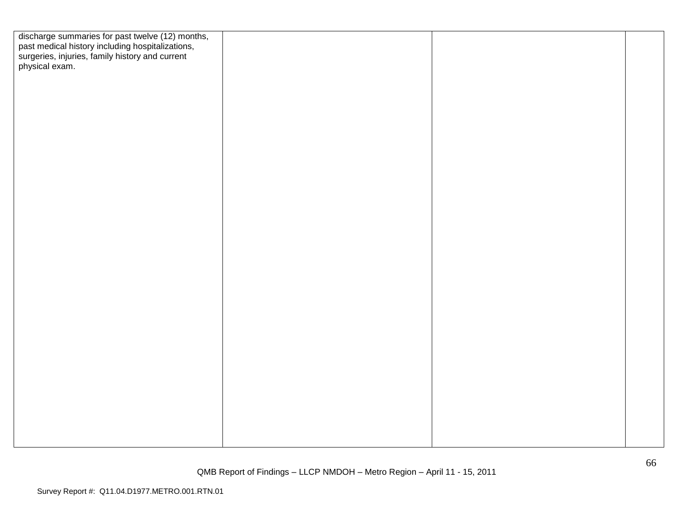| discharge summaries for past twelve (12) months,<br>past medical history including hospitalizations,<br>surgeries, injuries, family history and current<br>physical exam. |  |  |
|---------------------------------------------------------------------------------------------------------------------------------------------------------------------------|--|--|
|                                                                                                                                                                           |  |  |
|                                                                                                                                                                           |  |  |
|                                                                                                                                                                           |  |  |
|                                                                                                                                                                           |  |  |
|                                                                                                                                                                           |  |  |
|                                                                                                                                                                           |  |  |
|                                                                                                                                                                           |  |  |
|                                                                                                                                                                           |  |  |
|                                                                                                                                                                           |  |  |
|                                                                                                                                                                           |  |  |
|                                                                                                                                                                           |  |  |
|                                                                                                                                                                           |  |  |
|                                                                                                                                                                           |  |  |
|                                                                                                                                                                           |  |  |
|                                                                                                                                                                           |  |  |
|                                                                                                                                                                           |  |  |
|                                                                                                                                                                           |  |  |
|                                                                                                                                                                           |  |  |
|                                                                                                                                                                           |  |  |
|                                                                                                                                                                           |  |  |
|                                                                                                                                                                           |  |  |
|                                                                                                                                                                           |  |  |
|                                                                                                                                                                           |  |  |
|                                                                                                                                                                           |  |  |
|                                                                                                                                                                           |  |  |
|                                                                                                                                                                           |  |  |
|                                                                                                                                                                           |  |  |
|                                                                                                                                                                           |  |  |
|                                                                                                                                                                           |  |  |
|                                                                                                                                                                           |  |  |
|                                                                                                                                                                           |  |  |
|                                                                                                                                                                           |  |  |
|                                                                                                                                                                           |  |  |
|                                                                                                                                                                           |  |  |
|                                                                                                                                                                           |  |  |
|                                                                                                                                                                           |  |  |
|                                                                                                                                                                           |  |  |
|                                                                                                                                                                           |  |  |
|                                                                                                                                                                           |  |  |
|                                                                                                                                                                           |  |  |
|                                                                                                                                                                           |  |  |
|                                                                                                                                                                           |  |  |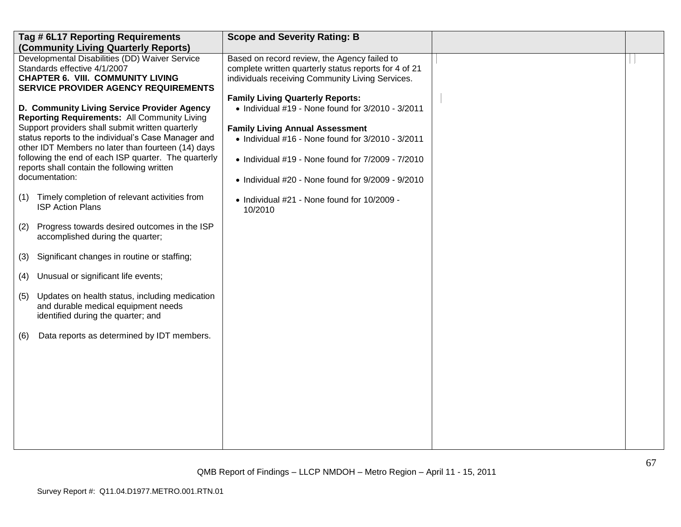|     | Tag # 6L17 Reporting Requirements<br>(Community Living Quarterly Reports)                                                                                                                                                                                                                                                                                                                    | <b>Scope and Severity Rating: B</b>                                                                                                                                                                                                                                                                                               |  |
|-----|----------------------------------------------------------------------------------------------------------------------------------------------------------------------------------------------------------------------------------------------------------------------------------------------------------------------------------------------------------------------------------------------|-----------------------------------------------------------------------------------------------------------------------------------------------------------------------------------------------------------------------------------------------------------------------------------------------------------------------------------|--|
|     | Developmental Disabilities (DD) Waiver Service<br>Standards effective 4/1/2007<br><b>CHAPTER 6. VIII. COMMUNITY LIVING</b><br><b>SERVICE PROVIDER AGENCY REQUIREMENTS</b>                                                                                                                                                                                                                    | Based on record review, the Agency failed to<br>complete written quarterly status reports for 4 of 21<br>individuals receiving Community Living Services.                                                                                                                                                                         |  |
|     | D. Community Living Service Provider Agency<br><b>Reporting Requirements: All Community Living</b><br>Support providers shall submit written quarterly<br>status reports to the individual's Case Manager and<br>other IDT Members no later than fourteen (14) days<br>following the end of each ISP quarter. The quarterly<br>reports shall contain the following written<br>documentation: | <b>Family Living Quarterly Reports:</b><br>$\bullet$ Individual #19 - None found for 3/2010 - 3/2011<br><b>Family Living Annual Assessment</b><br>• Individual #16 - None found for 3/2010 - 3/2011<br>$\bullet$ Individual #19 - None found for $7/2009$ - $7/2010$<br>$\bullet$ Individual #20 - None found for 9/2009 - 9/2010 |  |
| (1) | Timely completion of relevant activities from<br><b>ISP Action Plans</b>                                                                                                                                                                                                                                                                                                                     | • Individual #21 - None found for 10/2009 -<br>10/2010                                                                                                                                                                                                                                                                            |  |
| (2) | Progress towards desired outcomes in the ISP<br>accomplished during the quarter;                                                                                                                                                                                                                                                                                                             |                                                                                                                                                                                                                                                                                                                                   |  |
| (3) | Significant changes in routine or staffing;                                                                                                                                                                                                                                                                                                                                                  |                                                                                                                                                                                                                                                                                                                                   |  |
| (4) | Unusual or significant life events;                                                                                                                                                                                                                                                                                                                                                          |                                                                                                                                                                                                                                                                                                                                   |  |
| (5) | Updates on health status, including medication<br>and durable medical equipment needs<br>identified during the quarter; and                                                                                                                                                                                                                                                                  |                                                                                                                                                                                                                                                                                                                                   |  |
| (6) | Data reports as determined by IDT members.                                                                                                                                                                                                                                                                                                                                                   |                                                                                                                                                                                                                                                                                                                                   |  |
|     |                                                                                                                                                                                                                                                                                                                                                                                              |                                                                                                                                                                                                                                                                                                                                   |  |
|     |                                                                                                                                                                                                                                                                                                                                                                                              |                                                                                                                                                                                                                                                                                                                                   |  |
|     |                                                                                                                                                                                                                                                                                                                                                                                              |                                                                                                                                                                                                                                                                                                                                   |  |
|     |                                                                                                                                                                                                                                                                                                                                                                                              |                                                                                                                                                                                                                                                                                                                                   |  |
|     |                                                                                                                                                                                                                                                                                                                                                                                              |                                                                                                                                                                                                                                                                                                                                   |  |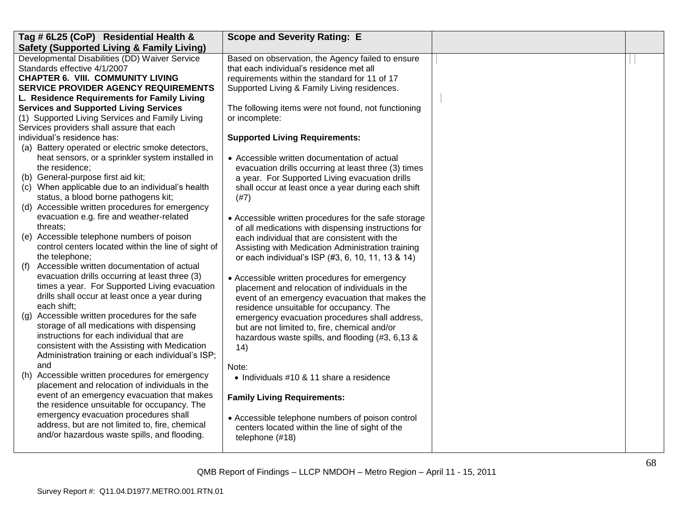| Tag # 6L25 (CoP) Residential Health &                                                       | <b>Scope and Severity Rating: E</b>                                                                    |  |
|---------------------------------------------------------------------------------------------|--------------------------------------------------------------------------------------------------------|--|
| <b>Safety (Supported Living &amp; Family Living)</b>                                        |                                                                                                        |  |
| Developmental Disabilities (DD) Waiver Service                                              | Based on observation, the Agency failed to ensure                                                      |  |
| Standards effective 4/1/2007                                                                | that each individual's residence met all                                                               |  |
| <b>CHAPTER 6. VIII. COMMUNITY LIVING</b>                                                    | requirements within the standard for 11 of 17                                                          |  |
| <b>SERVICE PROVIDER AGENCY REQUIREMENTS</b>                                                 | Supported Living & Family Living residences.                                                           |  |
| L. Residence Requirements for Family Living                                                 |                                                                                                        |  |
| <b>Services and Supported Living Services</b>                                               | The following items were not found, not functioning                                                    |  |
| (1) Supported Living Services and Family Living                                             | or incomplete:                                                                                         |  |
| Services providers shall assure that each                                                   |                                                                                                        |  |
| individual's residence has:                                                                 | <b>Supported Living Requirements:</b>                                                                  |  |
| (a) Battery operated or electric smoke detectors,                                           |                                                                                                        |  |
| heat sensors, or a sprinkler system installed in                                            | • Accessible written documentation of actual                                                           |  |
| the residence;                                                                              | evacuation drills occurring at least three (3) times                                                   |  |
| (b) General-purpose first aid kit;                                                          | a year. For Supported Living evacuation drills                                                         |  |
| (c) When applicable due to an individual's health                                           | shall occur at least once a year during each shift                                                     |  |
| status, a blood borne pathogens kit;                                                        | (#7)                                                                                                   |  |
| (d) Accessible written procedures for emergency<br>evacuation e.g. fire and weather-related |                                                                                                        |  |
| threats;                                                                                    | • Accessible written procedures for the safe storage                                                   |  |
| (e) Accessible telephone numbers of poison                                                  | of all medications with dispensing instructions for                                                    |  |
| control centers located within the line of sight of                                         | each individual that are consistent with the                                                           |  |
| the telephone;                                                                              | Assisting with Medication Administration training<br>or each individual's ISP (#3, 6, 10, 11, 13 & 14) |  |
| Accessible written documentation of actual<br>(f)                                           |                                                                                                        |  |
| evacuation drills occurring at least three (3)                                              | • Accessible written procedures for emergency                                                          |  |
| times a year. For Supported Living evacuation                                               | placement and relocation of individuals in the                                                         |  |
| drills shall occur at least once a year during                                              | event of an emergency evacuation that makes the                                                        |  |
| each shift;                                                                                 | residence unsuitable for occupancy. The                                                                |  |
| Accessible written procedures for the safe<br>(g)                                           | emergency evacuation procedures shall address,                                                         |  |
| storage of all medications with dispensing                                                  | but are not limited to, fire, chemical and/or                                                          |  |
| instructions for each individual that are                                                   | hazardous waste spills, and flooding (#3, 6,13 &                                                       |  |
| consistent with the Assisting with Medication                                               | (14)                                                                                                   |  |
| Administration training or each individual's ISP;                                           |                                                                                                        |  |
| and                                                                                         | Note:                                                                                                  |  |
| Accessible written procedures for emergency<br>(h)                                          | • Individuals #10 & 11 share a residence                                                               |  |
| placement and relocation of individuals in the                                              |                                                                                                        |  |
| event of an emergency evacuation that makes                                                 | <b>Family Living Requirements:</b>                                                                     |  |
| the residence unsuitable for occupancy. The                                                 |                                                                                                        |  |
| emergency evacuation procedures shall                                                       | • Accessible telephone numbers of poison control                                                       |  |
| address, but are not limited to, fire, chemical                                             | centers located within the line of sight of the                                                        |  |
| and/or hazardous waste spills, and flooding.                                                | telephone (#18)                                                                                        |  |
|                                                                                             |                                                                                                        |  |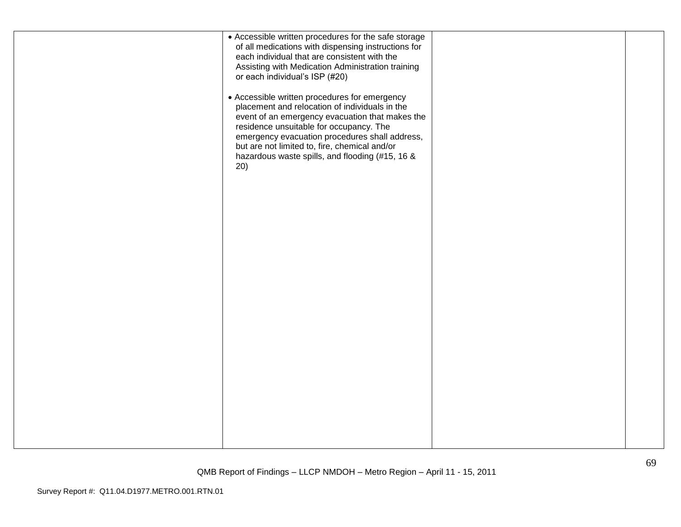| • Accessible written procedures for the safe storage<br>of all medications with dispensing instructions for<br>each individual that are consistent with the<br>Assisting with Medication Administration training<br>or each individual's ISP (#20)<br>• Accessible written procedures for emergency<br>placement and relocation of individuals in the<br>event of an emergency evacuation that makes the<br>residence unsuitable for occupancy. The<br>emergency evacuation procedures shall address,<br>but are not limited to, fire, chemical and/or<br>hazardous waste spills, and flooding (#15, 16 &<br>20) |  |
|------------------------------------------------------------------------------------------------------------------------------------------------------------------------------------------------------------------------------------------------------------------------------------------------------------------------------------------------------------------------------------------------------------------------------------------------------------------------------------------------------------------------------------------------------------------------------------------------------------------|--|
|                                                                                                                                                                                                                                                                                                                                                                                                                                                                                                                                                                                                                  |  |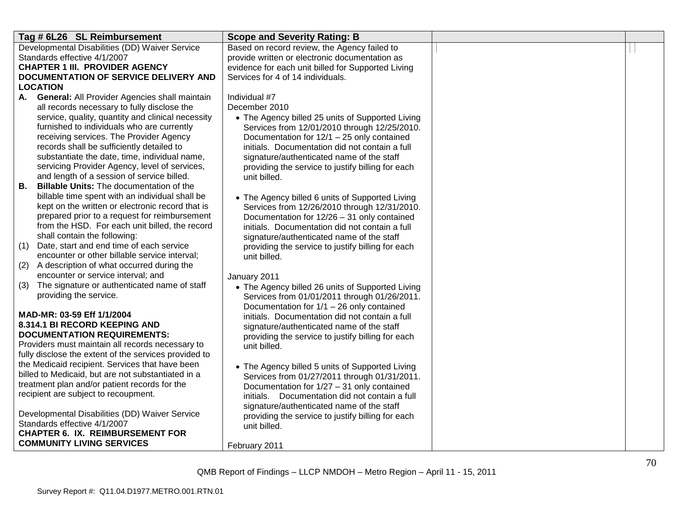| Tag # 6L26 SL Reimbursement                                                          | <b>Scope and Severity Rating: B</b>                                                            |  |
|--------------------------------------------------------------------------------------|------------------------------------------------------------------------------------------------|--|
| Developmental Disabilities (DD) Waiver Service                                       | Based on record review, the Agency failed to                                                   |  |
| Standards effective 4/1/2007                                                         | provide written or electronic documentation as                                                 |  |
| <b>CHAPTER 1 III. PROVIDER AGENCY</b>                                                | evidence for each unit billed for Supported Living                                             |  |
| DOCUMENTATION OF SERVICE DELIVERY AND                                                | Services for 4 of 14 individuals.                                                              |  |
| LOCATION                                                                             |                                                                                                |  |
| <b>General: All Provider Agencies shall maintain</b><br>Individual #7<br>А.          |                                                                                                |  |
| all records necessary to fully disclose the<br>December 2010                         |                                                                                                |  |
| service, quality, quantity and clinical necessity                                    | • The Agency billed 25 units of Supported Living                                               |  |
| furnished to individuals who are currently                                           | Services from 12/01/2010 through 12/25/2010.                                                   |  |
| receiving services. The Provider Agency<br>records shall be sufficiently detailed to | Documentation for 12/1 - 25 only contained                                                     |  |
| substantiate the date, time, individual name,                                        | initials. Documentation did not contain a full                                                 |  |
| servicing Provider Agency, level of services,                                        | signature/authenticated name of the staff<br>providing the service to justify billing for each |  |
| and length of a session of service billed.<br>unit billed.                           |                                                                                                |  |
| <b>Billable Units: The documentation of the</b><br>В.                                |                                                                                                |  |
| billable time spent with an individual shall be                                      | • The Agency billed 6 units of Supported Living                                                |  |
| kept on the written or electronic record that is                                     | Services from 12/26/2010 through 12/31/2010.                                                   |  |
| prepared prior to a request for reimbursement                                        | Documentation for 12/26 - 31 only contained                                                    |  |
| from the HSD. For each unit billed, the record                                       | initials. Documentation did not contain a full                                                 |  |
| shall contain the following:                                                         | signature/authenticated name of the staff                                                      |  |
| Date, start and end time of each service<br>(1)                                      | providing the service to justify billing for each                                              |  |
| encounter or other billable service interval;<br>unit billed.                        |                                                                                                |  |
| A description of what occurred during the<br>(2)                                     |                                                                                                |  |
| encounter or service interval; and<br>January 2011                                   |                                                                                                |  |
| The signature or authenticated name of staff<br>(3)                                  | • The Agency billed 26 units of Supported Living                                               |  |
| providing the service.                                                               | Services from 01/01/2011 through 01/26/2011.                                                   |  |
|                                                                                      | Documentation for $1/1 - 26$ only contained                                                    |  |
| MAD-MR: 03-59 Eff 1/1/2004<br><b>8.314.1 BI RECORD KEEPING AND</b>                   | initials. Documentation did not contain a full                                                 |  |
| <b>DOCUMENTATION REQUIREMENTS:</b>                                                   | signature/authenticated name of the staff                                                      |  |
| Providers must maintain all records necessary to<br>unit billed.                     | providing the service to justify billing for each                                              |  |
| fully disclose the extent of the services provided to                                |                                                                                                |  |
| the Medicaid recipient. Services that have been                                      | • The Agency billed 5 units of Supported Living                                                |  |
| billed to Medicaid, but are not substantiated in a                                   | Services from 01/27/2011 through 01/31/2011.                                                   |  |
| treatment plan and/or patient records for the                                        | Documentation for 1/27 - 31 only contained                                                     |  |
| recipient are subject to recoupment.                                                 | initials. Documentation did not contain a full                                                 |  |
|                                                                                      | signature/authenticated name of the staff                                                      |  |
| Developmental Disabilities (DD) Waiver Service                                       | providing the service to justify billing for each                                              |  |
| Standards effective 4/1/2007<br>unit billed.                                         |                                                                                                |  |
| <b>CHAPTER 6. IX. REIMBURSEMENT FOR</b>                                              |                                                                                                |  |
| <b>COMMUNITY LIVING SERVICES</b><br>February 2011                                    |                                                                                                |  |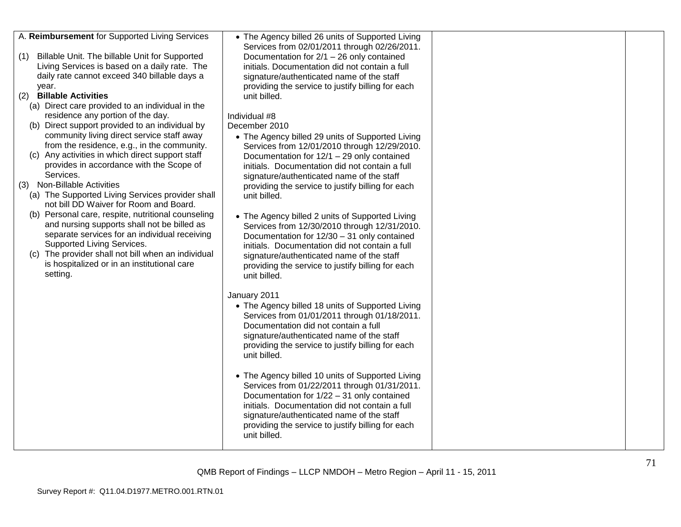| A. Reimbursement for Supported Living Services<br>Billable Unit. The billable Unit for Supported<br>(1)<br>Living Services is based on a daily rate. The<br>daily rate cannot exceed 340 billable days a<br>year.<br><b>Billable Activities</b><br>(2)<br>(a) Direct care provided to an individual in the<br>residence any portion of the day.<br>(b) Direct support provided to an individual by<br>community living direct service staff away<br>from the residence, e.g., in the community.<br>(c) Any activities in which direct support staff<br>provides in accordance with the Scope of<br>Services.<br>(3) Non-Billable Activities<br>(a) The Supported Living Services provider shall<br>not bill DD Waiver for Room and Board.<br>(b) Personal care, respite, nutritional counseling<br>and nursing supports shall not be billed as<br>separate services for an individual receiving<br>Supported Living Services.<br>(c) The provider shall not bill when an individual<br>is hospitalized or in an institutional care<br>setting. | • The Agency billed 26 units of Supported Living<br>Services from 02/01/2011 through 02/26/2011.<br>Documentation for $2/1 - 26$ only contained<br>initials. Documentation did not contain a full<br>signature/authenticated name of the staff<br>providing the service to justify billing for each<br>unit billed.<br>Individual #8<br>December 2010<br>• The Agency billed 29 units of Supported Living<br>Services from 12/01/2010 through 12/29/2010.<br>Documentation for 12/1 - 29 only contained<br>initials. Documentation did not contain a full<br>signature/authenticated name of the staff<br>providing the service to justify billing for each<br>unit billed.<br>• The Agency billed 2 units of Supported Living<br>Services from 12/30/2010 through 12/31/2010.<br>Documentation for 12/30 - 31 only contained<br>initials. Documentation did not contain a full<br>signature/authenticated name of the staff<br>providing the service to justify billing for each<br>unit billed.<br>January 2011<br>• The Agency billed 18 units of Supported Living |  |
|------------------------------------------------------------------------------------------------------------------------------------------------------------------------------------------------------------------------------------------------------------------------------------------------------------------------------------------------------------------------------------------------------------------------------------------------------------------------------------------------------------------------------------------------------------------------------------------------------------------------------------------------------------------------------------------------------------------------------------------------------------------------------------------------------------------------------------------------------------------------------------------------------------------------------------------------------------------------------------------------------------------------------------------------|-----------------------------------------------------------------------------------------------------------------------------------------------------------------------------------------------------------------------------------------------------------------------------------------------------------------------------------------------------------------------------------------------------------------------------------------------------------------------------------------------------------------------------------------------------------------------------------------------------------------------------------------------------------------------------------------------------------------------------------------------------------------------------------------------------------------------------------------------------------------------------------------------------------------------------------------------------------------------------------------------------------------------------------------------------------------------|--|
|                                                                                                                                                                                                                                                                                                                                                                                                                                                                                                                                                                                                                                                                                                                                                                                                                                                                                                                                                                                                                                                | Services from 01/01/2011 through 01/18/2011.<br>Documentation did not contain a full<br>signature/authenticated name of the staff<br>providing the service to justify billing for each<br>unit billed.<br>• The Agency billed 10 units of Supported Living<br>Services from 01/22/2011 through 01/31/2011.                                                                                                                                                                                                                                                                                                                                                                                                                                                                                                                                                                                                                                                                                                                                                            |  |
|                                                                                                                                                                                                                                                                                                                                                                                                                                                                                                                                                                                                                                                                                                                                                                                                                                                                                                                                                                                                                                                | Documentation for 1/22 - 31 only contained<br>initials. Documentation did not contain a full<br>signature/authenticated name of the staff<br>providing the service to justify billing for each<br>unit billed.                                                                                                                                                                                                                                                                                                                                                                                                                                                                                                                                                                                                                                                                                                                                                                                                                                                        |  |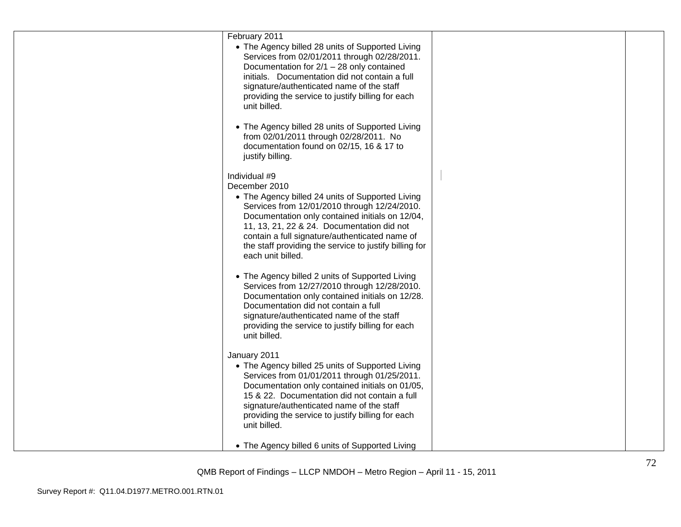| February 2011<br>• The Agency billed 28 units of Supported Living<br>Services from 02/01/2011 through 02/28/2011.<br>Documentation for 2/1 - 28 only contained<br>initials. Documentation did not contain a full<br>signature/authenticated name of the staff<br>providing the service to justify billing for each<br>unit billed. |  |
|------------------------------------------------------------------------------------------------------------------------------------------------------------------------------------------------------------------------------------------------------------------------------------------------------------------------------------|--|
| • The Agency billed 28 units of Supported Living<br>from 02/01/2011 through 02/28/2011. No<br>documentation found on 02/15, 16 & 17 to<br>justify billing.                                                                                                                                                                         |  |
| Individual #9                                                                                                                                                                                                                                                                                                                      |  |
| December 2010                                                                                                                                                                                                                                                                                                                      |  |
| • The Agency billed 24 units of Supported Living<br>Services from 12/01/2010 through 12/24/2010.<br>Documentation only contained initials on 12/04,<br>11, 13, 21, 22 & 24. Documentation did not<br>contain a full signature/authenticated name of<br>the staff providing the service to justify billing for<br>each unit billed. |  |
| • The Agency billed 2 units of Supported Living<br>Services from 12/27/2010 through 12/28/2010.<br>Documentation only contained initials on 12/28.<br>Documentation did not contain a full<br>signature/authenticated name of the staff<br>providing the service to justify billing for each<br>unit billed.                       |  |
| January 2011                                                                                                                                                                                                                                                                                                                       |  |
| • The Agency billed 25 units of Supported Living<br>Services from 01/01/2011 through 01/25/2011.<br>Documentation only contained initials on 01/05,<br>15 & 22. Documentation did not contain a full<br>signature/authenticated name of the staff<br>providing the service to justify billing for each<br>unit billed.             |  |
| • The Agency billed 6 units of Supported Living                                                                                                                                                                                                                                                                                    |  |
|                                                                                                                                                                                                                                                                                                                                    |  |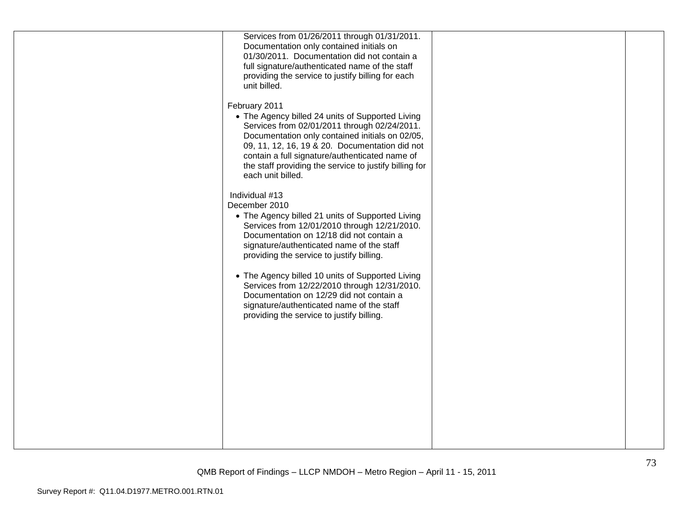| Services from 01/26/2011 through 01/31/2011.<br>Documentation only contained initials on<br>01/30/2011. Documentation did not contain a<br>full signature/authenticated name of the staff<br>providing the service to justify billing for each<br>unit billed.                                                                                                                                                                                                                                                      |  |
|---------------------------------------------------------------------------------------------------------------------------------------------------------------------------------------------------------------------------------------------------------------------------------------------------------------------------------------------------------------------------------------------------------------------------------------------------------------------------------------------------------------------|--|
| February 2011<br>• The Agency billed 24 units of Supported Living<br>Services from 02/01/2011 through 02/24/2011.<br>Documentation only contained initials on 02/05,<br>09, 11, 12, 16, 19 & 20. Documentation did not<br>contain a full signature/authenticated name of<br>the staff providing the service to justify billing for<br>each unit billed.                                                                                                                                                             |  |
| Individual #13<br>December 2010<br>• The Agency billed 21 units of Supported Living<br>Services from 12/01/2010 through 12/21/2010.<br>Documentation on 12/18 did not contain a<br>signature/authenticated name of the staff<br>providing the service to justify billing.<br>• The Agency billed 10 units of Supported Living<br>Services from 12/22/2010 through 12/31/2010.<br>Documentation on 12/29 did not contain a<br>signature/authenticated name of the staff<br>providing the service to justify billing. |  |
|                                                                                                                                                                                                                                                                                                                                                                                                                                                                                                                     |  |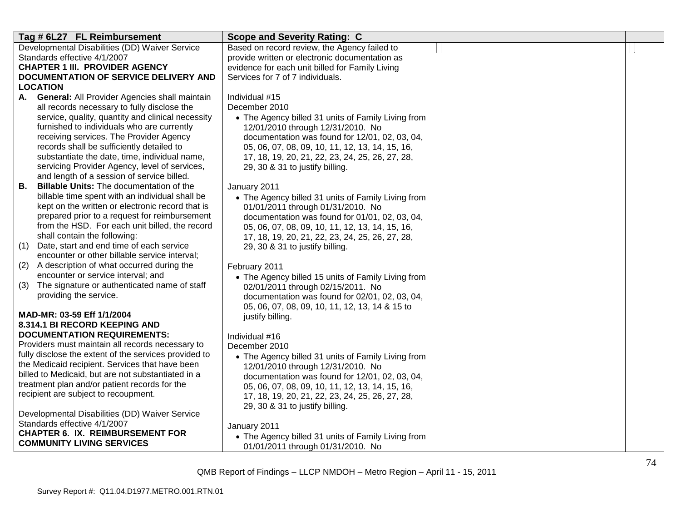| Tag # 6L27 FL Reimbursement                                                                     | <b>Scope and Severity Rating: C</b>                                                               |  |
|-------------------------------------------------------------------------------------------------|---------------------------------------------------------------------------------------------------|--|
| Developmental Disabilities (DD) Waiver Service                                                  | Based on record review, the Agency failed to                                                      |  |
| Standards effective 4/1/2007                                                                    | provide written or electronic documentation as                                                    |  |
| <b>CHAPTER 1 III. PROVIDER AGENCY</b>                                                           | evidence for each unit billed for Family Living                                                   |  |
| DOCUMENTATION OF SERVICE DELIVERY AND                                                           | Services for 7 of 7 individuals.                                                                  |  |
| <b>LOCATION</b>                                                                                 |                                                                                                   |  |
| A. General: All Provider Agencies shall maintain                                                | Individual #15                                                                                    |  |
| all records necessary to fully disclose the                                                     | December 2010                                                                                     |  |
| service, quality, quantity and clinical necessity<br>furnished to individuals who are currently | • The Agency billed 31 units of Family Living from                                                |  |
| receiving services. The Provider Agency                                                         | 12/01/2010 through 12/31/2010. No                                                                 |  |
| records shall be sufficiently detailed to                                                       | documentation was found for 12/01, 02, 03, 04,<br>05, 06, 07, 08, 09, 10, 11, 12, 13, 14, 15, 16, |  |
| substantiate the date, time, individual name,                                                   | 17, 18, 19, 20, 21, 22, 23, 24, 25, 26, 27, 28,                                                   |  |
| servicing Provider Agency, level of services,                                                   | 29, 30 & 31 to justify billing.                                                                   |  |
| and length of a session of service billed.                                                      |                                                                                                   |  |
| <b>Billable Units:</b> The documentation of the<br>В.                                           | January 2011                                                                                      |  |
| billable time spent with an individual shall be                                                 | • The Agency billed 31 units of Family Living from                                                |  |
| kept on the written or electronic record that is                                                | 01/01/2011 through 01/31/2010. No                                                                 |  |
| prepared prior to a request for reimbursement                                                   | documentation was found for 01/01, 02, 03, 04,                                                    |  |
| from the HSD. For each unit billed, the record                                                  | 05, 06, 07, 08, 09, 10, 11, 12, 13, 14, 15, 16,                                                   |  |
| shall contain the following:                                                                    | 17, 18, 19, 20, 21, 22, 23, 24, 25, 26, 27, 28,                                                   |  |
| Date, start and end time of each service<br>(1)                                                 | 29, 30 & 31 to justify billing.                                                                   |  |
| encounter or other billable service interval;                                                   |                                                                                                   |  |
| A description of what occurred during the<br>(2)                                                | February 2011                                                                                     |  |
| encounter or service interval; and                                                              | • The Agency billed 15 units of Family Living from                                                |  |
| The signature or authenticated name of staff<br>(3)                                             | 02/01/2011 through 02/15/2011. No                                                                 |  |
| providing the service.                                                                          | documentation was found for 02/01, 02, 03, 04,                                                    |  |
| MAD-MR: 03-59 Eff 1/1/2004                                                                      | 05, 06, 07, 08, 09, 10, 11, 12, 13, 14 & 15 to                                                    |  |
| 8.314.1 BI RECORD KEEPING AND                                                                   | justify billing.                                                                                  |  |
| <b>DOCUMENTATION REQUIREMENTS:</b>                                                              | Individual #16                                                                                    |  |
| Providers must maintain all records necessary to                                                | December 2010                                                                                     |  |
| fully disclose the extent of the services provided to                                           | • The Agency billed 31 units of Family Living from                                                |  |
| the Medicaid recipient. Services that have been                                                 | 12/01/2010 through 12/31/2010. No                                                                 |  |
| billed to Medicaid, but are not substantiated in a                                              | documentation was found for 12/01, 02, 03, 04,                                                    |  |
| treatment plan and/or patient records for the                                                   | 05, 06, 07, 08, 09, 10, 11, 12, 13, 14, 15, 16,                                                   |  |
| recipient are subject to recoupment.                                                            | 17, 18, 19, 20, 21, 22, 23, 24, 25, 26, 27, 28,                                                   |  |
|                                                                                                 | 29, 30 & 31 to justify billing.                                                                   |  |
| Developmental Disabilities (DD) Waiver Service                                                  |                                                                                                   |  |
| Standards effective 4/1/2007                                                                    | January 2011                                                                                      |  |
| <b>CHAPTER 6. IX. REIMBURSEMENT FOR</b>                                                         | • The Agency billed 31 units of Family Living from                                                |  |
| <b>COMMUNITY LIVING SERVICES</b>                                                                | 01/01/2011 through 01/31/2010. No                                                                 |  |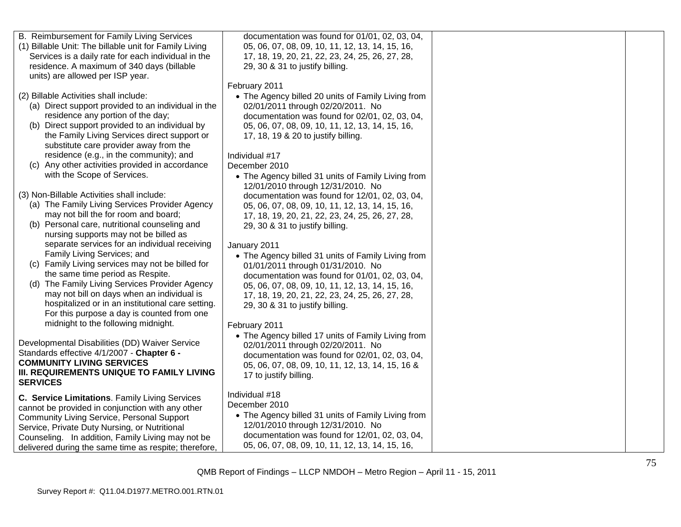| B. Reimbursement for Family Living Services            | documentation was found for 01/01, 02, 03, 04,     |  |
|--------------------------------------------------------|----------------------------------------------------|--|
| (1) Billable Unit: The billable unit for Family Living | 05, 06, 07, 08, 09, 10, 11, 12, 13, 14, 15, 16,    |  |
| Services is a daily rate for each individual in the    | 17, 18, 19, 20, 21, 22, 23, 24, 25, 26, 27, 28,    |  |
| residence. A maximum of 340 days (billable             | 29, 30 & 31 to justify billing.                    |  |
| units) are allowed per ISP year.                       |                                                    |  |
|                                                        | February 2011                                      |  |
| (2) Billable Activities shall include:                 | • The Agency billed 20 units of Family Living from |  |
| (a) Direct support provided to an individual in the    | 02/01/2011 through 02/20/2011. No                  |  |
| residence any portion of the day;                      | documentation was found for 02/01, 02, 03, 04,     |  |
| (b) Direct support provided to an individual by        | 05, 06, 07, 08, 09, 10, 11, 12, 13, 14, 15, 16,    |  |
| the Family Living Services direct support or           | 17, 18, 19 & 20 to justify billing.                |  |
| substitute care provider away from the                 |                                                    |  |
| residence (e.g., in the community); and                | Individual #17                                     |  |
| (c) Any other activities provided in accordance        | December 2010                                      |  |
| with the Scope of Services.                            | • The Agency billed 31 units of Family Living from |  |
|                                                        | 12/01/2010 through 12/31/2010. No                  |  |
| (3) Non-Billable Activities shall include:             | documentation was found for 12/01, 02, 03, 04,     |  |
| (a) The Family Living Services Provider Agency         | 05, 06, 07, 08, 09, 10, 11, 12, 13, 14, 15, 16,    |  |
| may not bill the for room and board;                   | 17, 18, 19, 20, 21, 22, 23, 24, 25, 26, 27, 28,    |  |
| (b) Personal care, nutritional counseling and          | 29, 30 & 31 to justify billing.                    |  |
| nursing supports may not be billed as                  |                                                    |  |
| separate services for an individual receiving          | January 2011                                       |  |
| Family Living Services; and                            | • The Agency billed 31 units of Family Living from |  |
| (c) Family Living services may not be billed for       | 01/01/2011 through 01/31/2010. No                  |  |
| the same time period as Respite.                       | documentation was found for 01/01, 02, 03, 04,     |  |
| (d) The Family Living Services Provider Agency         | 05, 06, 07, 08, 09, 10, 11, 12, 13, 14, 15, 16,    |  |
| may not bill on days when an individual is             | 17, 18, 19, 20, 21, 22, 23, 24, 25, 26, 27, 28,    |  |
| hospitalized or in an institutional care setting.      | 29, 30 & 31 to justify billing.                    |  |
| For this purpose a day is counted from one             |                                                    |  |
| midnight to the following midnight.                    | February 2011                                      |  |
|                                                        | • The Agency billed 17 units of Family Living from |  |
| Developmental Disabilities (DD) Waiver Service         | 02/01/2011 through 02/20/2011. No                  |  |
| Standards effective 4/1/2007 - Chapter 6 -             | documentation was found for 02/01, 02, 03, 04,     |  |
| <b>COMMUNITY LIVING SERVICES</b>                       | 05, 06, 07, 08, 09, 10, 11, 12, 13, 14, 15, 16 &   |  |
| III. REQUIREMENTS UNIQUE TO FAMILY LIVING              | 17 to justify billing.                             |  |
| <b>SERVICES</b>                                        |                                                    |  |
| C. Service Limitations. Family Living Services         | Individual #18                                     |  |
| cannot be provided in conjunction with any other       | December 2010                                      |  |
| <b>Community Living Service, Personal Support</b>      | • The Agency billed 31 units of Family Living from |  |
| Service, Private Duty Nursing, or Nutritional          | 12/01/2010 through 12/31/2010. No                  |  |
| Counseling. In addition, Family Living may not be      | documentation was found for 12/01, 02, 03, 04,     |  |
| delivered during the same time as respite; therefore,  | 05, 06, 07, 08, 09, 10, 11, 12, 13, 14, 15, 16,    |  |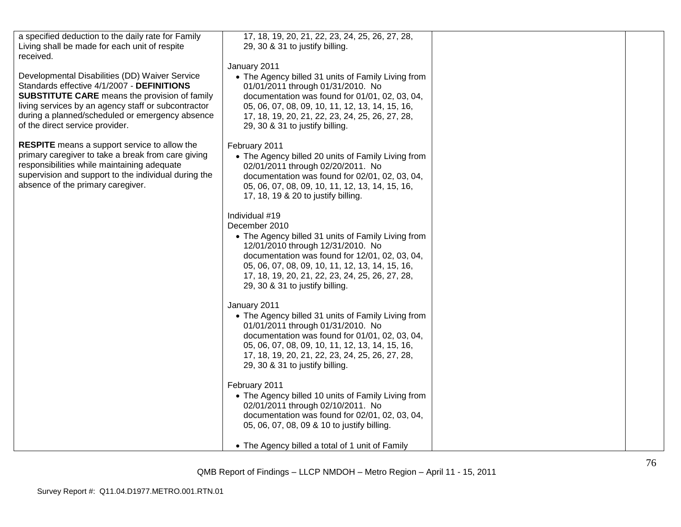| a specified deduction to the daily rate for Family<br>Living shall be made for each unit of respite<br>received.                                                                                                                                                                                  | 17, 18, 19, 20, 21, 22, 23, 24, 25, 26, 27, 28,<br>29, 30 & 31 to justify billing.                                                                                                                                                                                                                                    |  |
|---------------------------------------------------------------------------------------------------------------------------------------------------------------------------------------------------------------------------------------------------------------------------------------------------|-----------------------------------------------------------------------------------------------------------------------------------------------------------------------------------------------------------------------------------------------------------------------------------------------------------------------|--|
| Developmental Disabilities (DD) Waiver Service<br>Standards effective 4/1/2007 - DEFINITIONS<br><b>SUBSTITUTE CARE</b> means the provision of family<br>living services by an agency staff or subcontractor<br>during a planned/scheduled or emergency absence<br>of the direct service provider. | January 2011<br>• The Agency billed 31 units of Family Living from<br>01/01/2011 through 01/31/2010. No<br>documentation was found for 01/01, 02, 03, 04,<br>05, 06, 07, 08, 09, 10, 11, 12, 13, 14, 15, 16,<br>17, 18, 19, 20, 21, 22, 23, 24, 25, 26, 27, 28,<br>29, 30 & 31 to justify billing.                    |  |
| <b>RESPITE</b> means a support service to allow the<br>primary caregiver to take a break from care giving<br>responsibilities while maintaining adequate<br>supervision and support to the individual during the<br>absence of the primary caregiver.                                             | February 2011<br>• The Agency billed 20 units of Family Living from<br>02/01/2011 through 02/20/2011. No<br>documentation was found for 02/01, 02, 03, 04,<br>05, 06, 07, 08, 09, 10, 11, 12, 13, 14, 15, 16,<br>17, 18, 19 & 20 to justify billing.                                                                  |  |
|                                                                                                                                                                                                                                                                                                   | Individual #19<br>December 2010<br>• The Agency billed 31 units of Family Living from<br>12/01/2010 through 12/31/2010. No<br>documentation was found for 12/01, 02, 03, 04,<br>05, 06, 07, 08, 09, 10, 11, 12, 13, 14, 15, 16,<br>17, 18, 19, 20, 21, 22, 23, 24, 25, 26, 27, 28,<br>29, 30 & 31 to justify billing. |  |
|                                                                                                                                                                                                                                                                                                   | January 2011<br>• The Agency billed 31 units of Family Living from<br>01/01/2011 through 01/31/2010. No<br>documentation was found for 01/01, 02, 03, 04,<br>05, 06, 07, 08, 09, 10, 11, 12, 13, 14, 15, 16,<br>17, 18, 19, 20, 21, 22, 23, 24, 25, 26, 27, 28,<br>29, 30 & 31 to justify billing.                    |  |
|                                                                                                                                                                                                                                                                                                   | February 2011<br>• The Agency billed 10 units of Family Living from<br>02/01/2011 through 02/10/2011. No<br>documentation was found for 02/01, 02, 03, 04,<br>05, 06, 07, 08, 09 & 10 to justify billing.                                                                                                             |  |
|                                                                                                                                                                                                                                                                                                   | • The Agency billed a total of 1 unit of Family                                                                                                                                                                                                                                                                       |  |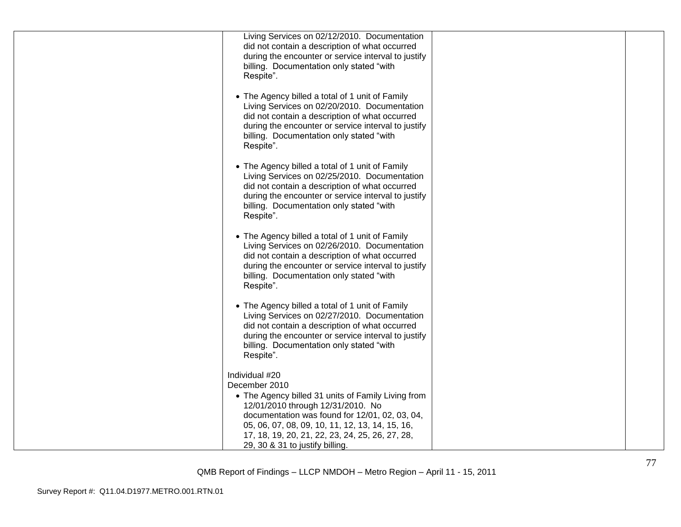| Living Services on 02/12/2010. Documentation<br>did not contain a description of what occurred<br>during the encounter or service interval to justify<br>billing. Documentation only stated "with<br>Respite".                                                                                                        |  |
|-----------------------------------------------------------------------------------------------------------------------------------------------------------------------------------------------------------------------------------------------------------------------------------------------------------------------|--|
| • The Agency billed a total of 1 unit of Family<br>Living Services on 02/20/2010. Documentation<br>did not contain a description of what occurred<br>during the encounter or service interval to justify<br>billing. Documentation only stated "with<br>Respite".                                                     |  |
| • The Agency billed a total of 1 unit of Family<br>Living Services on 02/25/2010. Documentation<br>did not contain a description of what occurred<br>during the encounter or service interval to justify<br>billing. Documentation only stated "with<br>Respite".                                                     |  |
| • The Agency billed a total of 1 unit of Family<br>Living Services on 02/26/2010. Documentation<br>did not contain a description of what occurred<br>during the encounter or service interval to justify<br>billing. Documentation only stated "with<br>Respite".                                                     |  |
| • The Agency billed a total of 1 unit of Family<br>Living Services on 02/27/2010. Documentation<br>did not contain a description of what occurred<br>during the encounter or service interval to justify<br>billing. Documentation only stated "with<br>Respite".                                                     |  |
| Individual #20<br>December 2010<br>• The Agency billed 31 units of Family Living from<br>12/01/2010 through 12/31/2010. No<br>documentation was found for 12/01, 02, 03, 04,<br>05, 06, 07, 08, 09, 10, 11, 12, 13, 14, 15, 16,<br>17, 18, 19, 20, 21, 22, 23, 24, 25, 26, 27, 28,<br>29, 30 & 31 to justify billing. |  |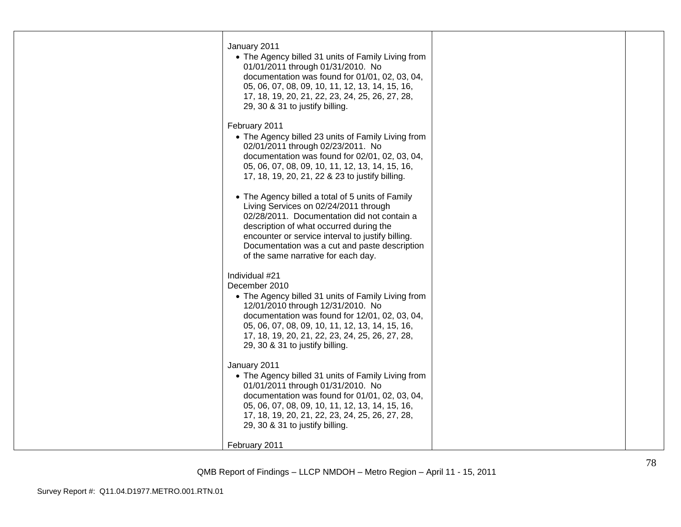| January 2011<br>• The Agency billed 31 units of Family Living from<br>01/01/2011 through 01/31/2010. No<br>documentation was found for 01/01, 02, 03, 04,<br>05, 06, 07, 08, 09, 10, 11, 12, 13, 14, 15, 16,<br>17, 18, 19, 20, 21, 22, 23, 24, 25, 26, 27, 28,<br>29, 30 & 31 to justify billing.                               |  |
|----------------------------------------------------------------------------------------------------------------------------------------------------------------------------------------------------------------------------------------------------------------------------------------------------------------------------------|--|
| February 2011<br>• The Agency billed 23 units of Family Living from<br>02/01/2011 through 02/23/2011. No<br>documentation was found for 02/01, 02, 03, 04,<br>05, 06, 07, 08, 09, 10, 11, 12, 13, 14, 15, 16,<br>17, 18, 19, 20, 21, 22 & 23 to justify billing.                                                                 |  |
| • The Agency billed a total of 5 units of Family<br>Living Services on 02/24/2011 through<br>02/28/2011. Documentation did not contain a<br>description of what occurred during the<br>encounter or service interval to justify billing.<br>Documentation was a cut and paste description<br>of the same narrative for each day. |  |
| Individual #21<br>December 2010<br>• The Agency billed 31 units of Family Living from<br>12/01/2010 through 12/31/2010. No<br>documentation was found for 12/01, 02, 03, 04,<br>05, 06, 07, 08, 09, 10, 11, 12, 13, 14, 15, 16,<br>17, 18, 19, 20, 21, 22, 23, 24, 25, 26, 27, 28,<br>29, 30 & 31 to justify billing.            |  |
| January 2011<br>• The Agency billed 31 units of Family Living from<br>01/01/2011 through 01/31/2010. No<br>documentation was found for 01/01, 02, 03, 04,<br>05, 06, 07, 08, 09, 10, 11, 12, 13, 14, 15, 16,<br>17, 18, 19, 20, 21, 22, 23, 24, 25, 26, 27, 28,<br>29, 30 & 31 to justify billing.                               |  |
| February 2011                                                                                                                                                                                                                                                                                                                    |  |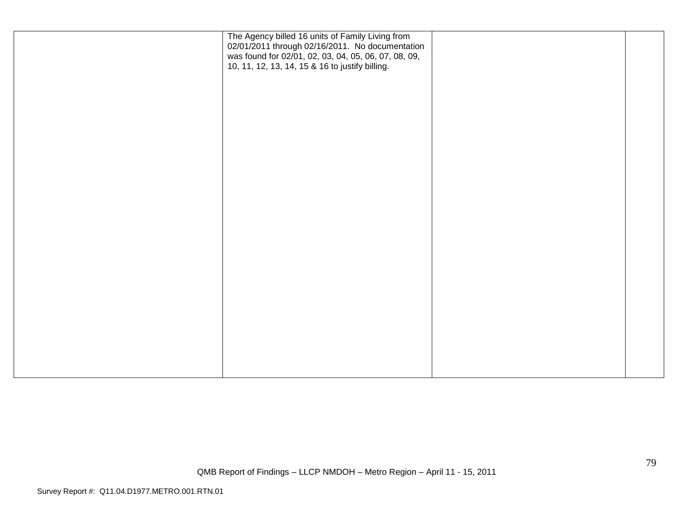| The Agency billed 16 units of Family Living from<br>02/01/2011 through 02/16/2011. No documentation<br>was found for 02/01, 02, 03, 04, 05, 06, 07, 08, 09,<br>10, 11, 12, 13, 14, 15 & 16 to justify billing. |  |
|----------------------------------------------------------------------------------------------------------------------------------------------------------------------------------------------------------------|--|
|                                                                                                                                                                                                                |  |
|                                                                                                                                                                                                                |  |
|                                                                                                                                                                                                                |  |
|                                                                                                                                                                                                                |  |
|                                                                                                                                                                                                                |  |
|                                                                                                                                                                                                                |  |
|                                                                                                                                                                                                                |  |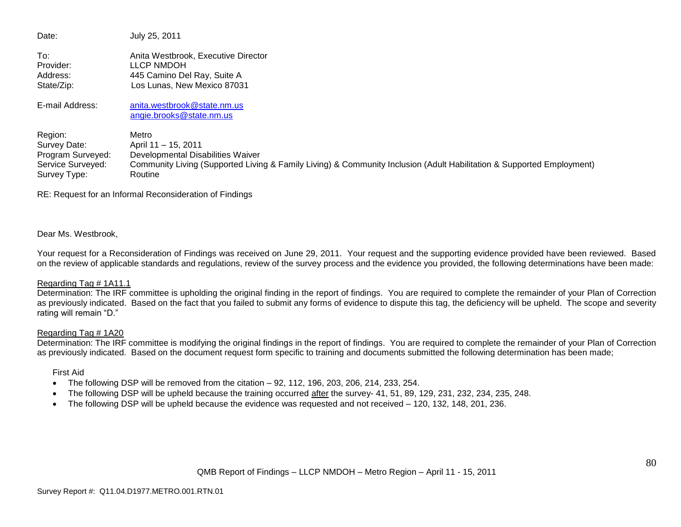| Date:             | July 25, 2011                                                                                                         |
|-------------------|-----------------------------------------------------------------------------------------------------------------------|
| To:               | Anita Westbrook, Executive Director                                                                                   |
| Provider:         | LLCP NMDOH                                                                                                            |
| Address:          | 445 Camino Del Ray, Suite A                                                                                           |
| State/Zip:        | Los Lunas, New Mexico 87031                                                                                           |
| E-mail Address:   | anita.westbrook@state.nm.us                                                                                           |
|                   | angie.brooks@state.nm.us                                                                                              |
| Region:           | Metro                                                                                                                 |
| Survey Date:      | April 11 - 15, 2011                                                                                                   |
| Program Surveyed: | Developmental Disabilities Waiver                                                                                     |
| Service Surveyed: | Community Living (Supported Living & Family Living) & Community Inclusion (Adult Habilitation & Supported Employment) |
| Survey Type:      | Routine                                                                                                               |

RE: Request for an Informal Reconsideration of Findings

# Dear Ms. Westbrook,

Your request for a Reconsideration of Findings was received on June 29, 2011. Your request and the supporting evidence provided have been reviewed. Based on the review of applicable standards and regulations, review of the survey process and the evidence you provided, the following determinations have been made:

# Regarding Tag # 1A11.1

Determination: The IRF committee is upholding the original finding in the report of findings. You are required to complete the remainder of your Plan of Correction as previously indicated. Based on the fact that you failed to submit any forms of evidence to dispute this tag, the deficiency will be upheld. The scope and severity rating will remain "D."

# Regarding Tag # 1A20

Determination: The IRF committee is modifying the original findings in the report of findings. You are required to complete the remainder of your Plan of Correction as previously indicated. Based on the document request form specific to training and documents submitted the following determination has been made;

# First Aid

- The following DSP will be removed from the citation 92, 112, 196, 203, 206, 214, 233, 254.
- The following DSP will be upheld because the training occurred after the survey- 41, 51, 89, 129, 231, 232, 234, 235, 248.
- The following DSP will be upheld because the evidence was requested and not received 120, 132, 148, 201, 236.